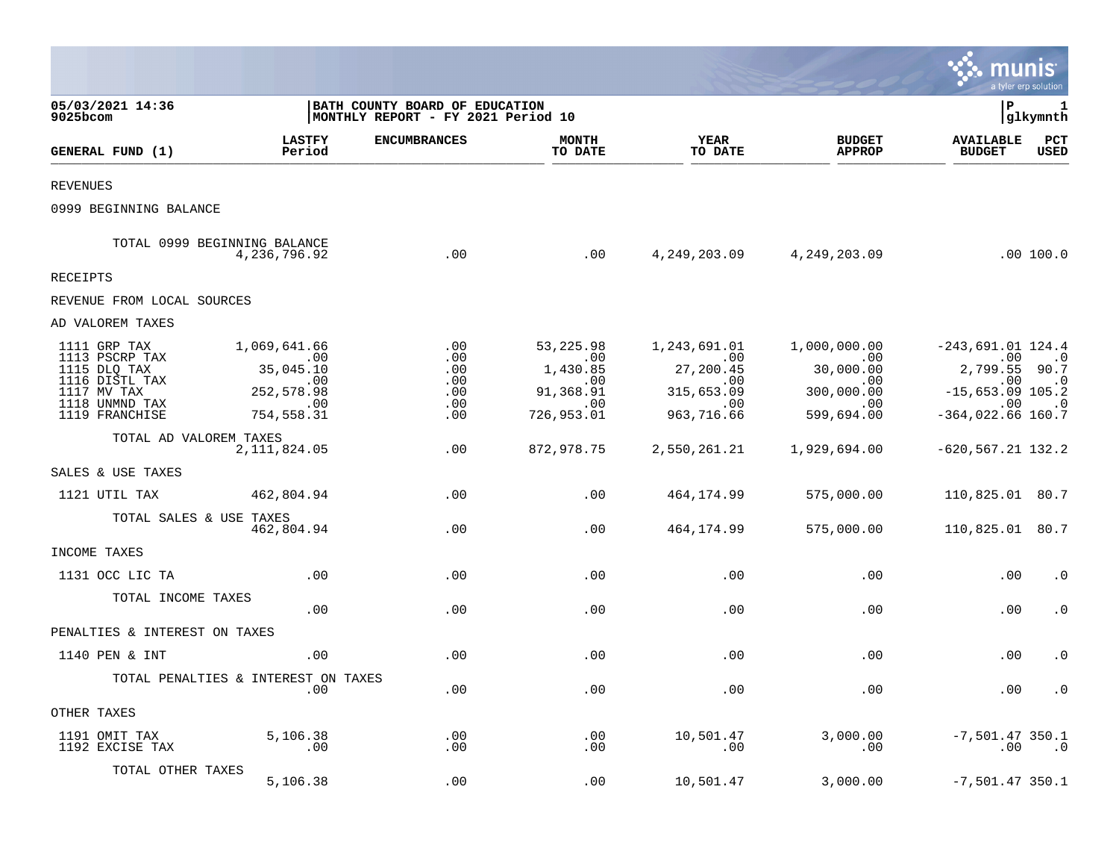|                                                                                                                     |                                                                                        |                                                                      |                                                                        |                                                                            |                                                                                              | munis                                                                                                                            | a tyler erp solution                                 |
|---------------------------------------------------------------------------------------------------------------------|----------------------------------------------------------------------------------------|----------------------------------------------------------------------|------------------------------------------------------------------------|----------------------------------------------------------------------------|----------------------------------------------------------------------------------------------|----------------------------------------------------------------------------------------------------------------------------------|------------------------------------------------------|
| 05/03/2021 14:36<br>9025bcom                                                                                        |                                                                                        | BATH COUNTY BOARD OF EDUCATION<br>MONTHLY REPORT - FY 2021 Period 10 |                                                                        |                                                                            |                                                                                              | P                                                                                                                                | 1<br> glkymnth                                       |
| GENERAL FUND (1)                                                                                                    | <b>LASTFY</b><br>Period                                                                | <b>ENCUMBRANCES</b>                                                  | <b>MONTH</b><br>TO DATE                                                | YEAR<br>TO DATE                                                            | <b>BUDGET</b><br><b>APPROP</b>                                                               | <b>AVAILABLE</b><br><b>BUDGET</b>                                                                                                | $_{\rm PCT}$<br><b>USED</b>                          |
| <b>REVENUES</b>                                                                                                     |                                                                                        |                                                                      |                                                                        |                                                                            |                                                                                              |                                                                                                                                  |                                                      |
| 0999 BEGINNING BALANCE                                                                                              |                                                                                        |                                                                      |                                                                        |                                                                            |                                                                                              |                                                                                                                                  |                                                      |
|                                                                                                                     | TOTAL 0999 BEGINNING BALANCE<br>4,236,796.92                                           | .00                                                                  | .00                                                                    |                                                                            | 4, 249, 203.09 4, 249, 203.09                                                                |                                                                                                                                  | .00 100.0                                            |
| RECEIPTS                                                                                                            |                                                                                        |                                                                      |                                                                        |                                                                            |                                                                                              |                                                                                                                                  |                                                      |
| REVENUE FROM LOCAL SOURCES                                                                                          |                                                                                        |                                                                      |                                                                        |                                                                            |                                                                                              |                                                                                                                                  |                                                      |
| AD VALOREM TAXES                                                                                                    |                                                                                        |                                                                      |                                                                        |                                                                            |                                                                                              |                                                                                                                                  |                                                      |
| 1111 GRP TAX<br>1113 PSCRP TAX<br>1115 DLQ TAX<br>1116 DISTL TAX<br>1117 MV TAX<br>1118 UNMND TAX<br>1119 FRANCHISE | 1,069,641.66<br>$\sim$ 00<br>35,045.10<br>.00<br>252,578.98<br>$\sim 00$<br>754,558.31 | .00<br>.00<br>.00<br>.00<br>.00<br>.00<br>.00                        | 53, 225.98<br>.00<br>1,430.85<br>.00<br>91,368.91<br>.00<br>726,953.01 | 1,243,691.01<br>.00<br>27,200.45<br>.00<br>315,653.09<br>.00<br>963,716.66 | 1,000,000.00<br>$\overline{00}$<br>30,000.00<br>.00<br>300,000.00<br>$\sim 00$<br>599,694.00 | $-243,691.01$ 124.4<br>.00<br>2,799.55 90.7<br>.00<br>$-15,653.09$ 105.2<br>$\overline{\phantom{0}}$ .00<br>$-364, 022.66$ 160.7 | $\ldots$<br>$\cdot$ 0<br>$\overline{\phantom{0}}$ .0 |
| TOTAL AD VALOREM TAXES                                                                                              | 2, 111, 824.05                                                                         | .00                                                                  | 872,978.75                                                             | 2,550,261.21                                                               | 1,929,694.00                                                                                 | $-620, 567.21$ 132.2                                                                                                             |                                                      |
| SALES & USE TAXES                                                                                                   |                                                                                        |                                                                      |                                                                        |                                                                            |                                                                                              |                                                                                                                                  |                                                      |
| 1121 UTIL TAX                                                                                                       | 462,804.94                                                                             | .00                                                                  | .00                                                                    | 464,174.99                                                                 | 575,000.00                                                                                   | 110,825.01 80.7                                                                                                                  |                                                      |
| TOTAL SALES & USE TAXES                                                                                             | 462,804.94                                                                             | .00                                                                  | .00                                                                    | 464,174.99                                                                 | 575,000.00                                                                                   | 110,825.01 80.7                                                                                                                  |                                                      |
| INCOME TAXES                                                                                                        |                                                                                        |                                                                      |                                                                        |                                                                            |                                                                                              |                                                                                                                                  |                                                      |
| 1131 OCC LIC TA                                                                                                     | .00                                                                                    | .00                                                                  | .00                                                                    | .00                                                                        | .00                                                                                          | .00                                                                                                                              | . 0                                                  |
| TOTAL INCOME TAXES                                                                                                  | .00                                                                                    | .00                                                                  | .00                                                                    | .00                                                                        | .00                                                                                          | .00                                                                                                                              | $\cdot$ 0                                            |
| PENALTIES & INTEREST ON TAXES                                                                                       |                                                                                        |                                                                      |                                                                        |                                                                            |                                                                                              |                                                                                                                                  |                                                      |
| 1140 PEN & INT                                                                                                      | .00                                                                                    | .00                                                                  | .00                                                                    | .00                                                                        | .00                                                                                          | .00                                                                                                                              | $\cdot$ 0                                            |
|                                                                                                                     | TOTAL PENALTIES & INTEREST ON TAXES<br>.00                                             | .00                                                                  | .00                                                                    | .00                                                                        | .00                                                                                          | .00                                                                                                                              | $\cdot$ 0                                            |
| OTHER TAXES                                                                                                         |                                                                                        |                                                                      |                                                                        |                                                                            |                                                                                              |                                                                                                                                  |                                                      |
| 1191 OMIT TAX<br>1192 EXCISE TAX                                                                                    | 5,106.38<br>.00                                                                        | .00<br>$.00 \,$                                                      | .00<br>.00                                                             | 10,501.47<br>.00                                                           | 3,000.00<br>.00                                                                              | $-7,501.47$ 350.1<br>.00                                                                                                         | $\ldots 0$                                           |
| TOTAL OTHER TAXES                                                                                                   | 5,106.38                                                                               | .00                                                                  | .00                                                                    | 10,501.47                                                                  | 3,000.00                                                                                     | $-7,501.47$ 350.1                                                                                                                |                                                      |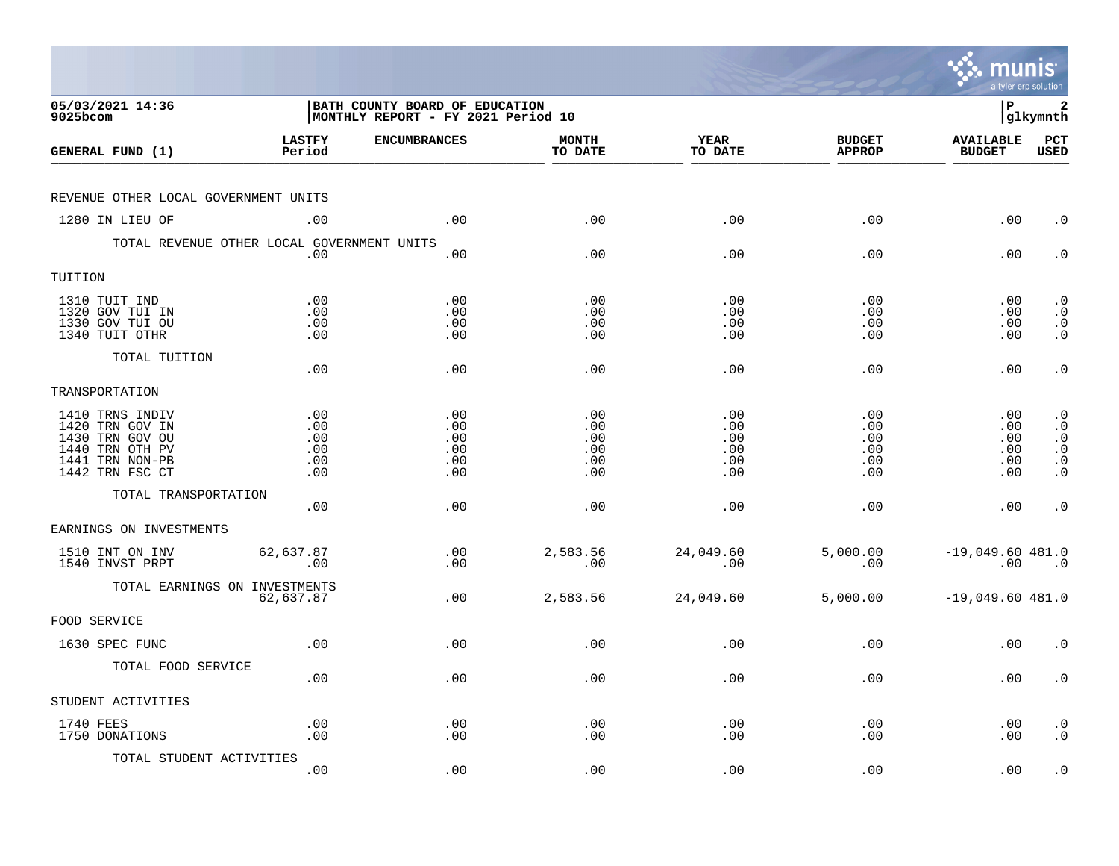|                                                                                                                |                                        |                                                                      |                                        |                                        |                                        | munis                                  | a tyler erp solution                                                                    |
|----------------------------------------------------------------------------------------------------------------|----------------------------------------|----------------------------------------------------------------------|----------------------------------------|----------------------------------------|----------------------------------------|----------------------------------------|-----------------------------------------------------------------------------------------|
| 05/03/2021 14:36<br>$9025$ bcom                                                                                |                                        | BATH COUNTY BOARD OF EDUCATION<br>MONTHLY REPORT - FY 2021 Period 10 |                                        |                                        |                                        | l P                                    | 2<br> glkymnth                                                                          |
| GENERAL FUND (1)                                                                                               | <b>LASTFY</b><br>Period                | <b>ENCUMBRANCES</b>                                                  | <b>MONTH</b><br>TO DATE                | <b>YEAR</b><br>TO DATE                 | <b>BUDGET</b><br><b>APPROP</b>         | <b>AVAILABLE</b><br><b>BUDGET</b>      | PCT<br><b>USED</b>                                                                      |
| REVENUE OTHER LOCAL GOVERNMENT UNITS                                                                           |                                        |                                                                      |                                        |                                        |                                        |                                        |                                                                                         |
| 1280 IN LIEU OF                                                                                                | .00                                    | .00                                                                  | .00                                    | .00                                    | .00                                    | .00                                    | $\cdot$ 0                                                                               |
| TOTAL REVENUE OTHER LOCAL GOVERNMENT UNITS                                                                     | .00                                    | .00                                                                  | .00                                    | .00                                    | .00                                    | .00                                    | $\cdot$ 0                                                                               |
| TUITION                                                                                                        |                                        |                                                                      |                                        |                                        |                                        |                                        |                                                                                         |
| 1310 TUIT IND<br>1320 GOV TUI IN<br>1330 GOV TUI OU<br>1340 TUIT OTHR                                          | .00<br>.00<br>.00<br>.00               | .00<br>.00<br>.00<br>.00                                             | .00<br>.00<br>.00<br>.00               | .00<br>.00<br>.00<br>.00               | .00<br>.00<br>.00<br>.00               | .00<br>.00<br>.00<br>.00               | $\cdot$ 0<br>$\cdot$ 0<br>$\begin{smallmatrix} 0\\ \cdot \end{smallmatrix}$             |
| TOTAL TUITION                                                                                                  | .00                                    | .00                                                                  | .00                                    | .00                                    | .00                                    | .00                                    | $\cdot$ 0                                                                               |
| TRANSPORTATION                                                                                                 |                                        |                                                                      |                                        |                                        |                                        |                                        |                                                                                         |
| 1410 TRNS INDIV<br>1420 TRN GOV IN<br>1430 TRN GOV OU<br>1440 TRN OTH PV<br>1441 TRN NON-PB<br>1442 TRN FSC CT | .00<br>.00<br>.00<br>.00<br>.00<br>.00 | .00<br>.00<br>.00<br>.00<br>.00<br>.00                               | .00<br>.00<br>.00<br>.00<br>.00<br>.00 | .00<br>.00<br>.00<br>.00<br>.00<br>.00 | .00<br>.00<br>.00<br>.00<br>.00<br>.00 | .00<br>.00<br>.00<br>.00<br>.00<br>.00 | $\cdot$ 0<br>$\cdot$ 0<br>$\cdot$ 0<br>$\cdot$ 0<br>$\boldsymbol{\cdot}$ 0<br>$\cdot$ 0 |
| TOTAL TRANSPORTATION                                                                                           | .00                                    | .00                                                                  | .00                                    | .00                                    | .00                                    | .00                                    | $\cdot$ 0                                                                               |
| EARNINGS ON INVESTMENTS                                                                                        |                                        |                                                                      |                                        |                                        |                                        |                                        |                                                                                         |
| 1510 INT ON INV<br>1540 INVST PRPT                                                                             | 62,637.87<br>.00                       | .00<br>.00                                                           | 2,583.56<br>.00                        | 24,049.60<br>.00                       | 5,000.00<br>.00                        | $-19,049.60$ 481.0<br>$.00\,$          | $\overline{\phantom{0}}$ .0                                                             |
| TOTAL EARNINGS ON INVESTMENTS                                                                                  | 62,637.87                              | .00                                                                  | 2,583.56                               | 24,049.60                              | 5,000.00                               | $-19,049.60 481.0$                     |                                                                                         |
| FOOD SERVICE                                                                                                   |                                        |                                                                      |                                        |                                        |                                        |                                        |                                                                                         |
| 1630 SPEC FUNC                                                                                                 | .00                                    | .00                                                                  | .00                                    | .00                                    | .00                                    | .00                                    | $\cdot$ 0                                                                               |
| TOTAL FOOD SERVICE                                                                                             | .00                                    | .00                                                                  | .00                                    | .00                                    | .00                                    | .00                                    | $\cdot$ 0                                                                               |
| STUDENT ACTIVITIES                                                                                             |                                        |                                                                      |                                        |                                        |                                        |                                        |                                                                                         |
| 1740 FEES<br>1750 DONATIONS                                                                                    | .00<br>.00                             | $\boldsymbol{\mathsf{.00}}$<br>.00                                   | .00<br>.00                             | .00<br>.00                             | .00<br>.00                             | .00<br>.00                             | $\cdot$ 0<br>$\cdot$ 0                                                                  |
| TOTAL STUDENT ACTIVITIES                                                                                       | .00                                    | .00                                                                  | .00                                    | .00                                    | .00                                    | .00                                    | $\cdot$ 0                                                                               |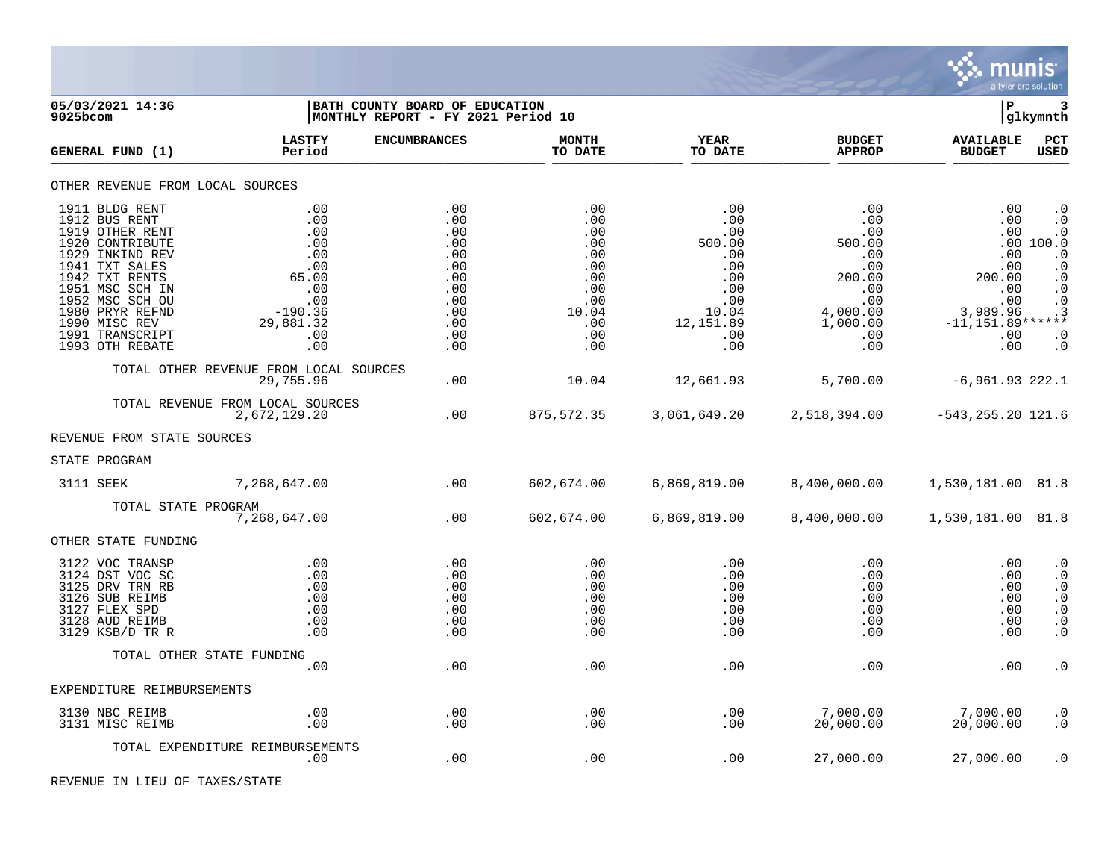

| 05/03/2021 14:36<br>9025bcom                                                                                                                                                                                                                 |                                                                                                       | BATH COUNTY BOARD OF EDUCATION<br> MONTHLY REPORT - FY 2021 Period 10                   |                                                                                           |                                                                                                              |                                                                                                              | l P                                                                                                      | 3<br> glkymnth                                                                                                                                           |
|----------------------------------------------------------------------------------------------------------------------------------------------------------------------------------------------------------------------------------------------|-------------------------------------------------------------------------------------------------------|-----------------------------------------------------------------------------------------|-------------------------------------------------------------------------------------------|--------------------------------------------------------------------------------------------------------------|--------------------------------------------------------------------------------------------------------------|----------------------------------------------------------------------------------------------------------|----------------------------------------------------------------------------------------------------------------------------------------------------------|
| GENERAL FUND (1)                                                                                                                                                                                                                             | <b>LASTFY</b><br>Period                                                                               | <b>ENCUMBRANCES</b>                                                                     | <b>MONTH</b><br>TO DATE                                                                   | <b>YEAR</b><br>TO DATE                                                                                       | <b>BUDGET</b><br><b>APPROP</b>                                                                               | <b>AVAILABLE</b><br><b>BUDGET</b>                                                                        | PCT<br>USED                                                                                                                                              |
| OTHER REVENUE FROM LOCAL SOURCES                                                                                                                                                                                                             |                                                                                                       |                                                                                         |                                                                                           |                                                                                                              |                                                                                                              |                                                                                                          |                                                                                                                                                          |
| 1911 BLDG RENT<br>1912 BUS RENT<br>1919 OTHER RENT<br>1920 CONTRIBUTE<br>1929 INKIND REV<br>1941 TXT SALES<br>1942 TXT RENTS<br>1951 MSC SCH IN<br>1952 MSC SCH OU<br>1980 PRYR REFND<br>1990 MISC REV<br>1991 TRANSCRIPT<br>1993 OTH REBATE | .00<br>.00<br>.00<br>.00<br>.00<br>.00<br>65.00<br>.00<br>.00<br>$-190.36$<br>29,881.32<br>.00<br>.00 | .00<br>.00<br>.00<br>.00<br>.00<br>.00<br>.00<br>.00<br>.00<br>.00<br>.00<br>.00<br>.00 | .00<br>.00<br>.00<br>.00<br>.00<br>.00<br>.00<br>.00<br>.00<br>10.04<br>.00<br>.00<br>.00 | .00<br>$.00 \,$<br>.00<br>500.00<br>.00<br>.00<br>$.00 \,$<br>.00<br>.00<br>10.04<br>12,151.89<br>.00<br>.00 | .00<br>$.00 \,$<br>.00<br>500.00<br>.00<br>.00<br>200.00<br>.00<br>.00<br>4,000.00<br>1,000.00<br>.00<br>.00 | .00<br>.00<br>.00<br>.00<br>.00<br>200.00<br>.00<br>.00<br>3,989.96<br>$-11, 151.89******$<br>.00<br>.00 | $\cdot$ 0<br>$\cdot$ 0<br>$\cdot$ 0<br>.00 100.0<br>$\cdot$ 0<br>$\cdot$ 0<br>$\cdot$ 0<br>$\cdot$ 0<br>$\cdot$ 0<br>$\cdot$ 3<br>$\cdot$ 0<br>$\cdot$ 0 |
|                                                                                                                                                                                                                                              | TOTAL OTHER REVENUE FROM LOCAL SOURCES<br>29,755.96                                                   | .00                                                                                     | 10.04                                                                                     | 12,661.93                                                                                                    | 5,700.00                                                                                                     | $-6,961.93$ 222.1                                                                                        |                                                                                                                                                          |
|                                                                                                                                                                                                                                              | TOTAL REVENUE FROM LOCAL SOURCES<br>2,672,129.20                                                      | .00                                                                                     | 875,572.35                                                                                | 3,061,649.20                                                                                                 | 2,518,394.00                                                                                                 | $-543, 255.20$ 121.6                                                                                     |                                                                                                                                                          |
| REVENUE FROM STATE SOURCES                                                                                                                                                                                                                   |                                                                                                       |                                                                                         |                                                                                           |                                                                                                              |                                                                                                              |                                                                                                          |                                                                                                                                                          |
| STATE PROGRAM                                                                                                                                                                                                                                |                                                                                                       |                                                                                         |                                                                                           |                                                                                                              |                                                                                                              |                                                                                                          |                                                                                                                                                          |
| 3111 SEEK                                                                                                                                                                                                                                    | 7,268,647.00                                                                                          | $\sim$ 00                                                                               | 602,674.00                                                                                | 6,869,819.00                                                                                                 | 8,400,000.00                                                                                                 | 1,530,181.00 81.8                                                                                        |                                                                                                                                                          |
|                                                                                                                                                                                                                                              | TOTAL STATE PROGRAM<br>7,268,647.00                                                                   | .00                                                                                     | 602,674.00                                                                                | 6,869,819.00                                                                                                 | 8,400,000.00                                                                                                 | 1,530,181.00 81.8                                                                                        |                                                                                                                                                          |
| OTHER STATE FUNDING                                                                                                                                                                                                                          |                                                                                                       |                                                                                         |                                                                                           |                                                                                                              |                                                                                                              |                                                                                                          |                                                                                                                                                          |
| 3122 VOC TRANSP<br>3124 DST VOC SC<br>3125 DRV TRN RB<br>3126 SUB REIMB<br>3127 FLEX SPD<br>3128 AUD REIMB<br>3129 KSB/D TR R                                                                                                                | .00<br>.00<br>.00<br>.00<br>.00<br>.00<br>.00                                                         | .00<br>.00<br>.00<br>.00<br>.00<br>.00<br>.00                                           | .00<br>.00<br>.00<br>.00<br>.00<br>.00<br>.00                                             | .00<br>.00<br>$.00 \,$<br>.00<br>.00<br>.00<br>.00                                                           | .00<br>.00<br>.00<br>.00<br>.00<br>.00<br>.00                                                                | .00<br>.00<br>.00<br>.00<br>.00<br>.00<br>.00                                                            | $\cdot$ 0<br>$\cdot$ 0<br>$\cdot$ 0<br>$\boldsymbol{\cdot}$ 0<br>$\boldsymbol{\cdot}$ 0<br>$\cdot$ 0<br>$\cdot$ 0                                        |
|                                                                                                                                                                                                                                              | TOTAL OTHER STATE FUNDING                                                                             |                                                                                         |                                                                                           |                                                                                                              |                                                                                                              |                                                                                                          |                                                                                                                                                          |
| EXPENDITURE REIMBURSEMENTS                                                                                                                                                                                                                   | .00                                                                                                   | .00                                                                                     | .00                                                                                       | .00                                                                                                          | .00                                                                                                          | .00                                                                                                      | $\boldsymbol{\cdot}$ 0                                                                                                                                   |
|                                                                                                                                                                                                                                              |                                                                                                       |                                                                                         |                                                                                           |                                                                                                              |                                                                                                              |                                                                                                          |                                                                                                                                                          |
| 3130 NBC REIMB<br>3131 MISC REIMB                                                                                                                                                                                                            | .00<br>.00                                                                                            | .00<br>.00                                                                              | .00<br>.00                                                                                | .00<br>.00                                                                                                   | 7,000.00<br>20,000.00                                                                                        | 7,000.00<br>20,000.00                                                                                    | $\cdot$ 0<br>$\cdot$ 0                                                                                                                                   |
|                                                                                                                                                                                                                                              | TOTAL EXPENDITURE REIMBURSEMENTS<br>.00                                                               | .00                                                                                     | .00                                                                                       | .00                                                                                                          | 27,000.00                                                                                                    | 27,000.00                                                                                                | $\cdot$ 0                                                                                                                                                |

REVENUE IN LIEU OF TAXES/STATE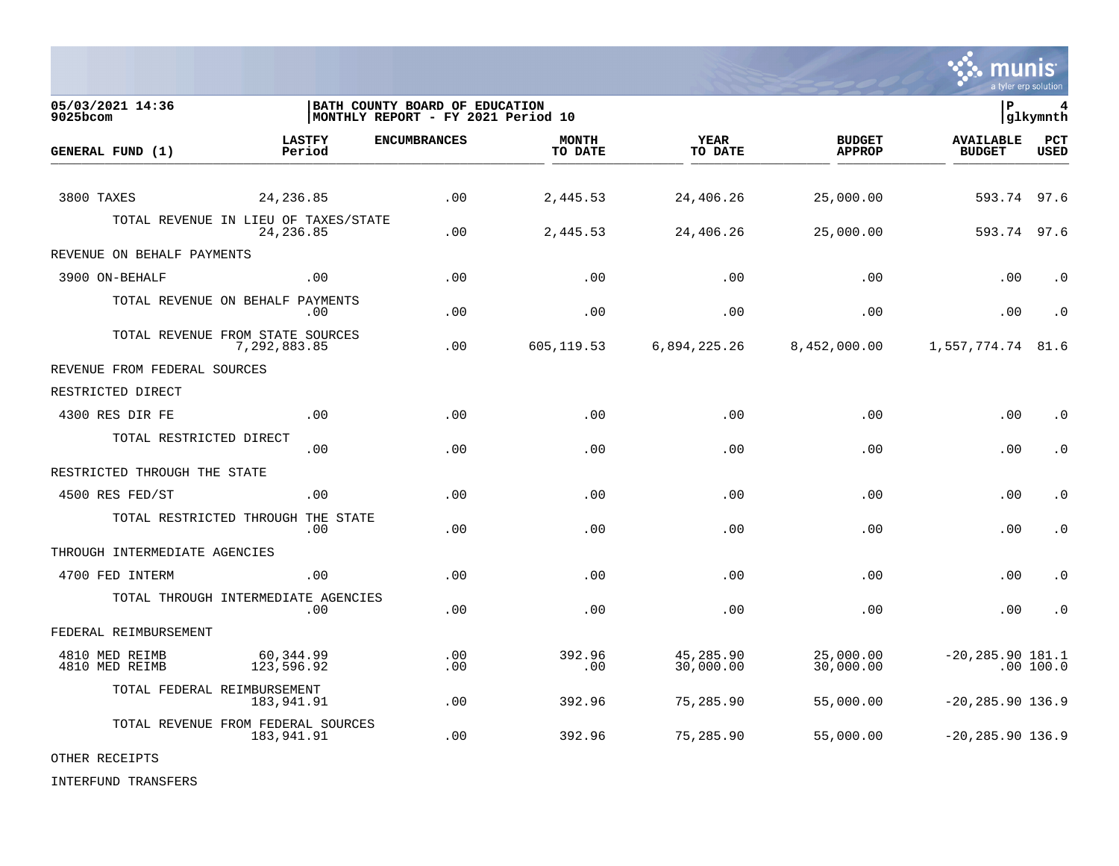

| 05/03/2021 14:36<br>9025bcom     |                                                    | BATH COUNTY BOARD OF EDUCATION<br>MONTHLY REPORT - FY 2021 Period 10 |                         |                        |                                | ∣P                                | 4<br>glkymnth      |
|----------------------------------|----------------------------------------------------|----------------------------------------------------------------------|-------------------------|------------------------|--------------------------------|-----------------------------------|--------------------|
| GENERAL FUND (1)                 | <b>LASTFY</b><br>Period                            | <b>ENCUMBRANCES</b>                                                  | <b>MONTH</b><br>TO DATE | YEAR<br>TO DATE        | <b>BUDGET</b><br><b>APPROP</b> | <b>AVAILABLE</b><br><b>BUDGET</b> | PCT<br><b>USED</b> |
| 3800 TAXES                       | 24, 236.85                                         | .00                                                                  | 2,445.53                | 24,406.26              | 25,000.00                      | 593.74                            | 97.6               |
|                                  | TOTAL REVENUE IN LIEU OF TAXES/STATE<br>24, 236.85 | .00                                                                  | 2,445.53                | 24,406.26              | 25,000.00                      | 593.74                            | 97.6               |
| REVENUE ON BEHALF PAYMENTS       |                                                    |                                                                      |                         |                        |                                |                                   |                    |
| 3900 ON-BEHALF                   | .00                                                | .00                                                                  | .00                     | .00                    | .00                            | .00                               | $\cdot$ 0          |
|                                  | TOTAL REVENUE ON BEHALF PAYMENTS<br>.00            | .00                                                                  | .00                     | .00                    | .00                            | .00                               | $\cdot$ 0          |
|                                  | TOTAL REVENUE FROM STATE SOURCES<br>7,292,883.85   | .00                                                                  | 605,119.53              | 6,894,225.26           | 8,452,000.00                   | 1,557,774.74                      | 81.6               |
| REVENUE FROM FEDERAL SOURCES     |                                                    |                                                                      |                         |                        |                                |                                   |                    |
| RESTRICTED DIRECT                |                                                    |                                                                      |                         |                        |                                |                                   |                    |
| 4300 RES DIR FE                  | .00                                                | .00                                                                  | .00                     | .00                    | .00                            | .00                               | $\cdot$ 0          |
| TOTAL RESTRICTED DIRECT          | .00                                                | .00                                                                  | .00                     | .00                    | .00                            | .00                               | $\cdot$ 0          |
| RESTRICTED THROUGH THE STATE     |                                                    |                                                                      |                         |                        |                                |                                   |                    |
| 4500 RES FED/ST                  | .00                                                | .00                                                                  | .00                     | .00                    | .00                            | .00                               | $\cdot$ 0          |
|                                  | TOTAL RESTRICTED THROUGH THE STATE<br>.00          | .00                                                                  | .00                     | .00                    | .00                            | .00                               | $\cdot$ 0          |
| THROUGH INTERMEDIATE AGENCIES    |                                                    |                                                                      |                         |                        |                                |                                   |                    |
| 4700 FED INTERM                  | .00                                                | .00                                                                  | .00                     | .00                    | .00                            | .00                               | $\cdot$ 0          |
|                                  | TOTAL THROUGH INTERMEDIATE AGENCIES<br>.00         | .00                                                                  | .00                     | .00                    | .00                            | .00                               | $\cdot$ 0          |
| FEDERAL REIMBURSEMENT            |                                                    |                                                                      |                         |                        |                                |                                   |                    |
| 4810 MED REIMB<br>4810 MED REIMB | 60,344.99<br>123,596.92                            | .00<br>.00                                                           | 392.96<br>.00           | 45,285.90<br>30,000.00 | 25,000.00<br>30,000.00         | $-20, 285.90$ 181.1               | .00 100.0          |
|                                  | TOTAL FEDERAL REIMBURSEMENT<br>183,941.91          | .00                                                                  | 392.96                  | 75,285.90              | 55,000.00                      | $-20, 285.90$ 136.9               |                    |
|                                  | TOTAL REVENUE FROM FEDERAL SOURCES<br>183,941.91   | .00                                                                  | 392.96                  | 75,285.90              | 55,000.00                      | $-20, 285.90$ 136.9               |                    |

OTHER RECEIPTS

INTERFUND TRANSFERS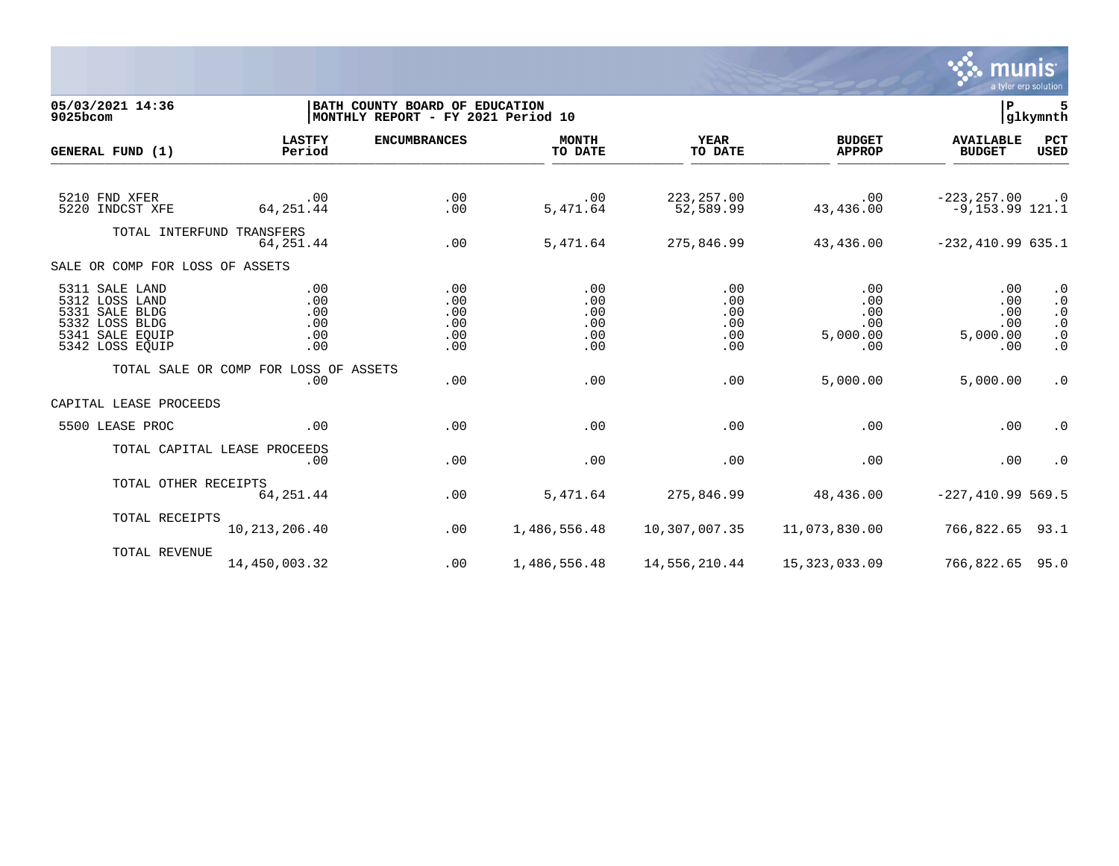

| 05/03/2021 14:36<br>9025bcom     |                                       | BATH COUNTY BOARD OF EDUCATION<br>MONTHLY REPORT - FY 2021 Period 10 |                         |                          |                                | l P                                 | 5<br> glkymnth         |
|----------------------------------|---------------------------------------|----------------------------------------------------------------------|-------------------------|--------------------------|--------------------------------|-------------------------------------|------------------------|
| GENERAL FUND (1)                 | <b>LASTFY</b><br>Period               | <b>ENCUMBRANCES</b>                                                  | <b>MONTH</b><br>TO DATE | <b>YEAR</b><br>TO DATE   | <b>BUDGET</b><br><b>APPROP</b> | <b>AVAILABLE</b><br><b>BUDGET</b>   | PCT<br><b>USED</b>     |
|                                  |                                       |                                                                      |                         |                          |                                |                                     |                        |
| 5210 FND XFER<br>5220 INDCST XFE | .00<br>64, 251.44                     | .00<br>.00                                                           | .00<br>5,471.64         | 223, 257.00<br>52,589.99 | .00<br>43,436.00               | $-223, 257.00$<br>$-9,153.99$ 121.1 | $\cdot$ 0              |
| TOTAL INTERFUND TRANSFERS        |                                       |                                                                      |                         |                          |                                |                                     |                        |
|                                  | 64,251.44                             | .00                                                                  | 5,471.64                | 275,846.99               | 43,436.00                      | $-232, 410.99635.1$                 |                        |
| SALE OR COMP FOR LOSS OF ASSETS  |                                       |                                                                      |                         |                          |                                |                                     |                        |
| 5311 SALE LAND                   | .00                                   | .00                                                                  | .00                     | .00                      | .00                            | .00                                 | $\cdot$ 0              |
| 5312 LOSS LAND<br>5331 SALE BLDG | .00<br>.00                            | .00<br>.00                                                           | .00<br>.00              | .00<br>.00               | .00<br>.00                     | .00<br>.00                          | $\cdot$ 0              |
| 5332 LOSS BLDG                   | .00                                   | .00                                                                  | .00                     | .00                      | .00                            | .00                                 | $\cdot$ 0<br>$\cdot$ 0 |
| 5341 SALE EOUIP                  | .00                                   | .00                                                                  | .00                     | .00                      | 5,000.00                       | 5,000.00                            | $\cdot$ 0              |
| 5342 LOSS EQUIP                  | .00                                   | .00                                                                  | .00                     | $.00 \,$                 | .00                            | .00                                 | $\cdot$ 0              |
|                                  | TOTAL SALE OR COMP FOR LOSS OF ASSETS |                                                                      |                         |                          |                                |                                     |                        |
|                                  | .00                                   | .00                                                                  | .00                     | .00                      | 5,000.00                       | 5,000.00                            | $\cdot$ 0              |
| CAPITAL LEASE PROCEEDS           |                                       |                                                                      |                         |                          |                                |                                     |                        |
| 5500 LEASE PROC                  | .00                                   | .00                                                                  | .00                     | .00                      | .00                            | .00                                 | $\cdot$ 0              |
|                                  | TOTAL CAPITAL LEASE PROCEEDS          |                                                                      |                         |                          |                                |                                     |                        |
|                                  | .00                                   | .00                                                                  | .00                     | .00                      | .00                            | .00                                 | $\cdot$ 0              |
| TOTAL OTHER RECEIPTS             |                                       |                                                                      |                         |                          |                                |                                     |                        |
|                                  | 64,251.44                             | .00                                                                  | 5,471.64                | 275,846.99               | 48,436.00                      | $-227, 410.99569.5$                 |                        |
| TOTAL RECEIPTS                   |                                       |                                                                      |                         |                          |                                |                                     |                        |
|                                  | 10, 213, 206. 40                      | .00                                                                  | 1,486,556.48            | 10,307,007.35            | 11,073,830.00                  | 766,822.65 93.1                     |                        |
| TOTAL REVENUE                    |                                       |                                                                      |                         |                          |                                |                                     |                        |
|                                  | 14,450,003.32                         | .00                                                                  | 1,486,556.48            | 14,556,210.44            | 15, 323, 033.09                | 766,822.65 95.0                     |                        |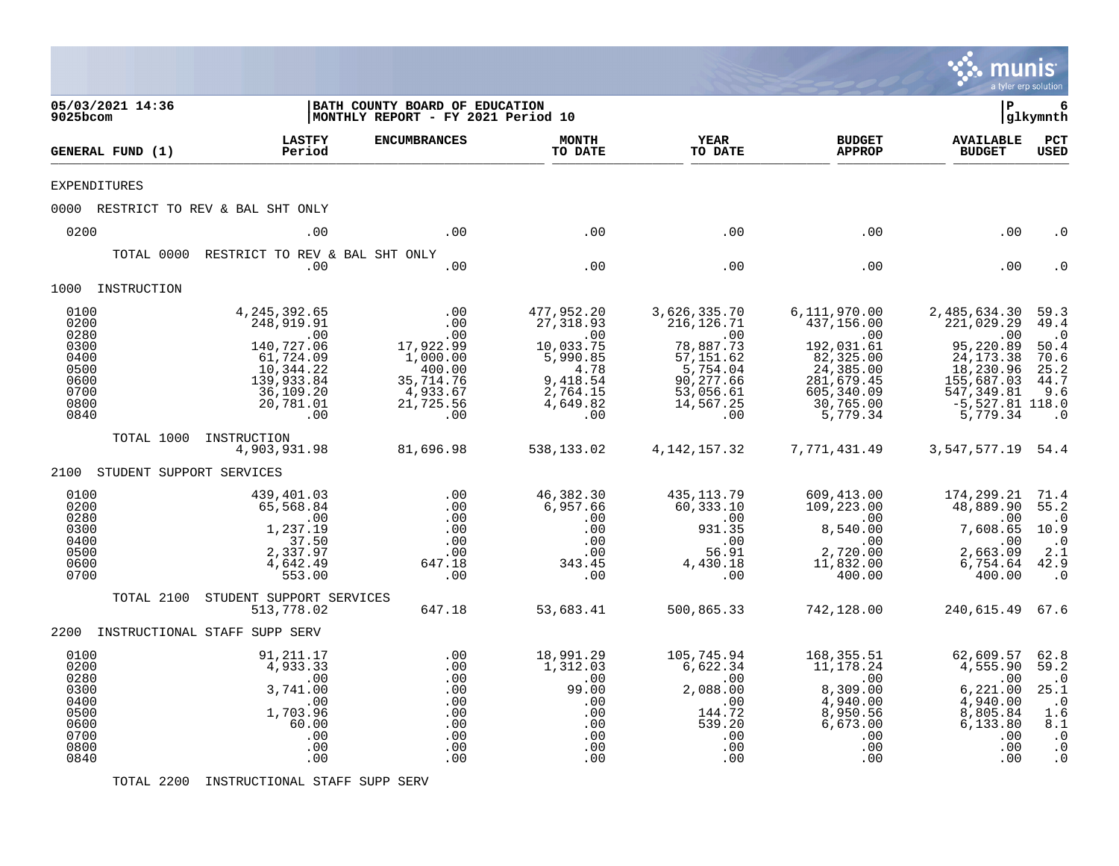|                                                                              |                                                                                                                                  |                                                                                                    |                                                                                                             |                                                                                                                          |                                                                                                                                             |                                                                                                                                         | munis<br>a tyler erp solution                                                                       |
|------------------------------------------------------------------------------|----------------------------------------------------------------------------------------------------------------------------------|----------------------------------------------------------------------------------------------------|-------------------------------------------------------------------------------------------------------------|--------------------------------------------------------------------------------------------------------------------------|---------------------------------------------------------------------------------------------------------------------------------------------|-----------------------------------------------------------------------------------------------------------------------------------------|-----------------------------------------------------------------------------------------------------|
| 05/03/2021 14:36<br>9025bcom                                                 |                                                                                                                                  | BATH COUNTY BOARD OF EDUCATION<br>MONTHLY REPORT - FY 2021 Period 10                               |                                                                                                             |                                                                                                                          |                                                                                                                                             | l P                                                                                                                                     | 6<br> glkymnth                                                                                      |
| GENERAL FUND (1)                                                             | <b>LASTFY</b><br>Period                                                                                                          | <b>ENCUMBRANCES</b>                                                                                | <b>MONTH</b><br>TO DATE                                                                                     | <b>YEAR</b><br>TO DATE                                                                                                   | <b>BUDGET</b><br><b>APPROP</b>                                                                                                              | <b>AVAILABLE</b><br><b>BUDGET</b>                                                                                                       | $_{\rm PCT}$<br><b>USED</b>                                                                         |
| <b>EXPENDITURES</b>                                                          |                                                                                                                                  |                                                                                                    |                                                                                                             |                                                                                                                          |                                                                                                                                             |                                                                                                                                         |                                                                                                     |
|                                                                              | 0000 RESTRICT TO REV & BAL SHT ONLY                                                                                              |                                                                                                    |                                                                                                             |                                                                                                                          |                                                                                                                                             |                                                                                                                                         |                                                                                                     |
| 0200                                                                         | .00                                                                                                                              | .00                                                                                                | .00                                                                                                         | .00                                                                                                                      | .00                                                                                                                                         | .00                                                                                                                                     | . 0                                                                                                 |
| TOTAL 0000                                                                   | RESTRICT TO REV & BAL SHT ONLY<br>.00                                                                                            | .00                                                                                                | .00                                                                                                         | .00                                                                                                                      | .00                                                                                                                                         | .00                                                                                                                                     |                                                                                                     |
| 1000 INSTRUCTION                                                             |                                                                                                                                  |                                                                                                    |                                                                                                             |                                                                                                                          |                                                                                                                                             |                                                                                                                                         |                                                                                                     |
| 0100<br>0200<br>0280<br>0300<br>0400<br>0500<br>0600<br>0700<br>0800<br>0840 | 4, 245, 392.65<br>248,919.91<br>$\sim 00$<br>140,727.06<br>61,724.09<br>10,344.22<br>139,933.84<br>36,109.20<br>20,781.01<br>.00 | .00<br>.00<br>.00<br>17,922.99<br>1,000.00<br>400.00<br>35, 714.76<br>4,933.67<br>21,725.56<br>.00 | 477,952.20<br>27, 318.93<br>.00<br>10,033.75<br>5,990.85<br>4.78<br>9,418.54<br>2,764.15<br>4,649.82<br>.00 | 3,626,335.70<br>216, 126. 71<br>.00<br>78,887.73<br>57, 151.62<br>5,754.04<br>90,277.66<br>53,056.61<br>14,567.25<br>.00 | 6,111,970.00<br>437,156.00<br>$\overline{0}$ .<br>192,031.61<br>82,325.00<br>24,385.00<br>281,679.45<br>605,340.09<br>30,765.00<br>5,779.34 | 2,485,634.30<br>221,029.29<br>.00<br>95,220.89<br>24, 173.38<br>18,230.96<br>155,687.03<br>547, 349.81<br>$-5,527.81$ 118.0<br>5,779.34 | 59.3<br>49.4<br>$\overline{\phantom{a}}$ .0<br>50.4<br>70.6<br>25.2<br>44.7<br>9.6<br>$\cdot$ 0     |
| TOTAL 1000                                                                   | INSTRUCTION<br>4,903,931.98                                                                                                      | 81,696.98                                                                                          | 538,133.02                                                                                                  | 4,142,157.32                                                                                                             | 7,771,431.49                                                                                                                                | 3, 547, 577. 19 54. 4                                                                                                                   |                                                                                                     |
| 2100 STUDENT SUPPORT SERVICES                                                |                                                                                                                                  |                                                                                                    |                                                                                                             |                                                                                                                          |                                                                                                                                             |                                                                                                                                         |                                                                                                     |
| 0100<br>0200<br>0280<br>0300<br>0400<br>0500<br>0600<br>0700                 | 439,401.03<br>65,568.84<br>.00<br>1,237.19<br>37.50<br>2,337.97<br>4,642.49<br>553.00                                            | .00<br>.00<br>.00<br>.00<br>.00<br>.00<br>647.18<br>.00                                            | 46,382.30<br>6,957.66<br>.00<br>.00<br>.00<br>.00<br>343.45<br>.00                                          | 435,113.79<br>60,333.10<br>.00<br>931.35<br>.00<br>56.91<br>4,430.18<br>.00                                              | 609,413.00<br>109,223.00<br>00.<br>8.540.00<br>8,540.00<br>.00<br>2,720.00<br>11,832.00<br>400.00                                           | 174,299.21<br>48,889.90 55.2<br>.00<br>7,608.65<br>.00<br>2,663.09<br>6,754.64<br>400.00                                                | 71.4<br>$\cdot$ 0<br>10.9<br>$\cdot$ 0<br>2.1<br>42.9<br>$\cdot$ 0                                  |
| TOTAL 2100                                                                   | STUDENT SUPPORT SERVICES<br>513,778.02                                                                                           | 647.18                                                                                             | 53,683.41                                                                                                   | 500,865.33                                                                                                               | 742,128.00                                                                                                                                  | 240,615.49 67.6                                                                                                                         |                                                                                                     |
|                                                                              | 2200 INSTRUCTIONAL STAFF SUPP SERV                                                                                               |                                                                                                    |                                                                                                             |                                                                                                                          |                                                                                                                                             |                                                                                                                                         |                                                                                                     |
| 0100<br>0200<br>0280<br>0300<br>0400<br>0500<br>0600<br>0700<br>0800<br>0840 | 91,211.17<br>4,933.33<br>.00<br>3,741.00<br>.00<br>1,703.96<br>60.00<br>.00<br>.00<br>.00                                        | .00<br>.00<br>.00<br>.00<br>.00<br>.00<br>.00<br>.00<br>.00<br>.00                                 | 18,991.29<br>1,312.03<br>.00<br>99.00<br>.00<br>.00<br>.00<br>.00<br>.00<br>.00                             | 105,745.94<br>6,622.34<br>.00<br>2,088.00<br>.00<br>144.72<br>539.20<br>.00<br>.00<br>.00                                | 168,355.51<br>11,178.24<br>.00<br>8,309.00<br>4,940.00<br>8,950.56<br>6,673.00<br>.00<br>.00<br>.00                                         | 62,609.57<br>4,555.90<br>.00<br>6,221.00<br>4,940.00<br>8,805.84<br>6,133.80<br>.00<br>.00<br>.00                                       | 62.8<br>59.2<br>$\cdot$ 0<br>25.1<br>$\cdot$ 0<br>1.6<br>8.1<br>$\cdot$ 0<br>$\cdot$ 0<br>$\cdot$ 0 |

TOTAL 2200 INSTRUCTIONAL STAFF SUPP SERV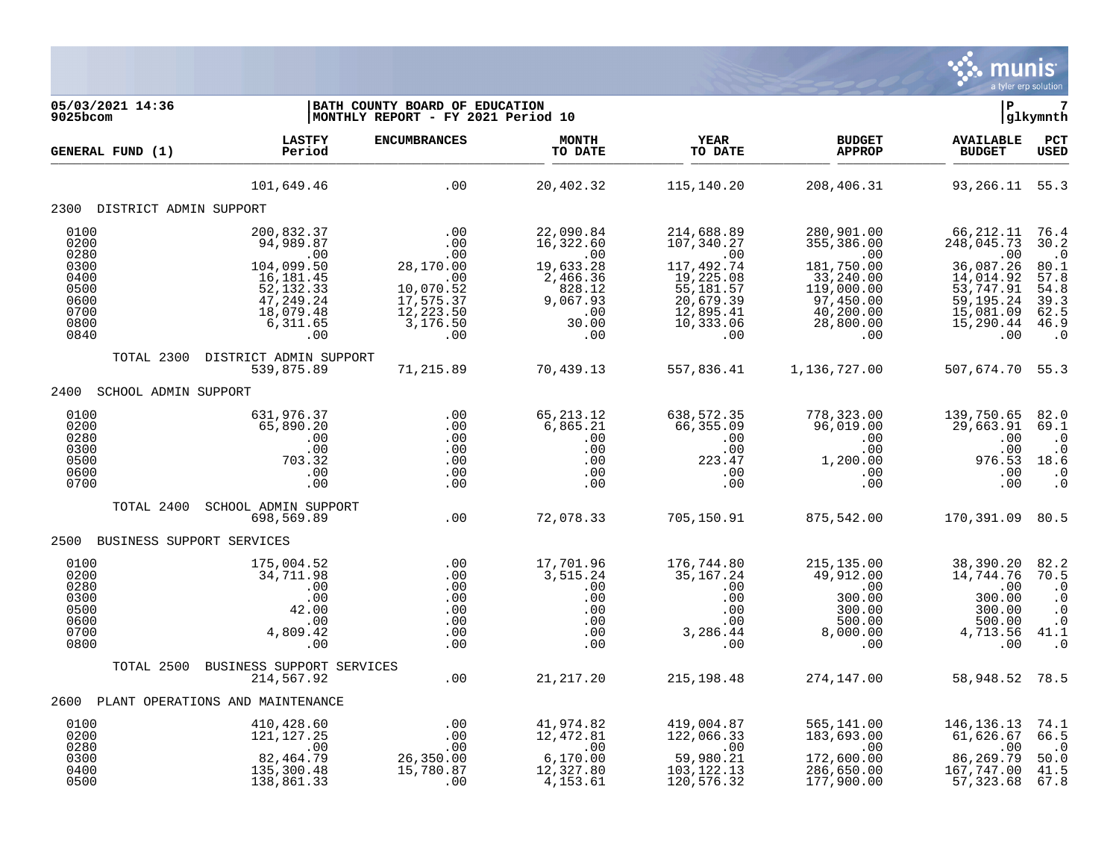

| 05/03/2021 14:36<br>9025bcom                                 |                                                                                                                     | BATH COUNTY BOARD OF EDUCATION<br>MONTHLY REPORT - FY 2021 Period 10          |                                                                                     | ΙP<br>glkymnth                                                                                          |                                                                                                     |                                                                                                   |                                                                                       |  |
|--------------------------------------------------------------|---------------------------------------------------------------------------------------------------------------------|-------------------------------------------------------------------------------|-------------------------------------------------------------------------------------|---------------------------------------------------------------------------------------------------------|-----------------------------------------------------------------------------------------------------|---------------------------------------------------------------------------------------------------|---------------------------------------------------------------------------------------|--|
| GENERAL FUND (1)                                             | <b>LASTFY</b><br>Period                                                                                             | <b>ENCUMBRANCES</b>                                                           | <b>MONTH</b><br>TO DATE                                                             | <b>YEAR</b><br>TO DATE                                                                                  | <b>BUDGET</b><br><b>APPROP</b>                                                                      | <b>AVAILABLE</b><br><b>BUDGET</b>                                                                 | PCT<br><b>USED</b>                                                                    |  |
|                                                              | 101,649.46                                                                                                          | .00                                                                           | 20,402.32                                                                           | 115,140.20                                                                                              | 208,406.31                                                                                          | 93, 266. 11 55. 3                                                                                 |                                                                                       |  |
| 2300 DISTRICT ADMIN SUPPORT                                  |                                                                                                                     |                                                                               |                                                                                     |                                                                                                         |                                                                                                     |                                                                                                   |                                                                                       |  |
| 0100<br>0200<br>0280<br>0300<br>0400<br>0500<br>0600<br>0700 | 200,832.37<br>94,989.87<br>.00<br>$104,099.50$<br>$16,181.45$<br>$52,132,32$<br>52,132.33<br>47,249.24<br>18,079.48 | .00<br>.00<br>.00<br>28,170.00<br>.00<br>10,070.52<br>17,575.37<br>12, 223.50 | 22,090.84<br>16,322.60<br>.00<br>19,633.28<br>2,466.36<br>828.12<br>9,067.93<br>.00 | 214,688.89<br>107,340.27<br>.00<br>117,492.74<br>19,225.08<br>55,181.57<br>20,679.39<br>12,895.41       | 280,901.00<br>355,386.00<br>.00<br>181,750.00<br>33,240.00<br>119,000.00<br>97,450.00<br>40, 200.00 | 66,212.11<br>248,045.73<br>.00<br>36,087.26<br>14,014.92<br>53,747.91<br>59, 195. 24<br>15,081.09 | 76.4<br>30.2<br>$\cdot$ 0<br>80.1<br>57.8<br>54.8<br>$39.3$<br>62.5                   |  |
| 0800<br>0840                                                 | 6,311.65<br>.00                                                                                                     | 3,176.50<br>.00                                                               | 30.00<br>.00                                                                        | 10,333.06<br>.00                                                                                        | 28,800.00<br>.00                                                                                    | 15,290.44<br>.00                                                                                  | 46.9<br>$\cdot$ 0                                                                     |  |
| TOTAL 2300                                                   | DISTRICT ADMIN SUPPORT<br>539,875.89                                                                                | 71,215.89                                                                     | 70,439.13                                                                           | 557,836.41                                                                                              | 1,136,727.00                                                                                        | 507,674.70 55.3                                                                                   |                                                                                       |  |
| SCHOOL ADMIN SUPPORT<br>2400                                 |                                                                                                                     |                                                                               |                                                                                     |                                                                                                         |                                                                                                     |                                                                                                   |                                                                                       |  |
| 0100<br>0200<br>0280<br>0300<br>0500<br>0600<br>0700         | 631,976.37<br>65,890.20<br>.00<br>.00<br>703.32<br>.00<br>.00                                                       | .00<br>.00<br>.00<br>.00<br>.00<br>.00<br>.00                                 | 65, 213.12<br>6,865.21<br>.00<br>.00<br>.00<br>.00<br>.00                           | 638,572.35<br>66,355.09<br>.00<br>.00<br>223.47<br>.00<br>.00                                           | 778,323.00<br>96,019.00<br>.00<br>$.00 \,$<br>1,200.00<br>.00<br>.00                                | 139,750.65<br>29,663.91<br>.00<br>.00<br>976.53<br>.00<br>.00                                     | 82.0<br>69.1<br>$\cdot$ 0<br>$\cdot$ 0<br>18.6<br>$\cdot$ 0<br>$\cdot$ 0              |  |
| TOTAL 2400                                                   | SCHOOL ADMIN SUPPORT<br>698,569.89                                                                                  | .00                                                                           | 72,078.33                                                                           | 705,150.91                                                                                              | 875,542.00                                                                                          | 170,391.09 80.5                                                                                   |                                                                                       |  |
| 2500<br>BUSINESS SUPPORT SERVICES                            |                                                                                                                     |                                                                               |                                                                                     |                                                                                                         |                                                                                                     |                                                                                                   |                                                                                       |  |
| 0100<br>0200<br>0280<br>0300<br>0500<br>0600<br>0700<br>0800 | 175,004.52<br>34,711.98<br>.00<br>.00<br>42.00<br>.00<br>4,809.42<br>.00                                            | .00<br>.00<br>.00<br>.00<br>.00<br>.00<br>.00<br>.00                          | 17,701.96<br>3,515.24<br>.00<br>.00<br>.00<br>.00<br>.00<br>.00                     | 176,744.80<br>35,167.24<br>.00<br>.00<br>.00<br>$\begin{array}{c} .00 \\ .00 \\ .00 \end{array}$<br>.00 | 215,135.00<br>49,912.00<br>.00<br>300.00<br>300.00<br>500.00<br>8,000.00<br>.00                     | 38,390.20<br>14,744.76<br>.00<br>300.00<br>300.00<br>500.00<br>4,713.56<br>.00                    | 82.2<br>70.5<br>$\cdot$ 0<br>$\cdot$ 0<br>$\cdot$ 0<br>$\cdot$ 0<br>41.1<br>$\cdot$ 0 |  |
| TOTAL 2500                                                   | BUSINESS SUPPORT SERVICES<br>214,567.92                                                                             | .00                                                                           | 21, 217.20                                                                          | 215, 198.48                                                                                             | 274,147.00                                                                                          | 58,948.52                                                                                         | 78.5                                                                                  |  |
|                                                              | 2600 PLANT OPERATIONS AND MAINTENANCE                                                                               |                                                                               |                                                                                     |                                                                                                         |                                                                                                     |                                                                                                   |                                                                                       |  |
| 0100                                                         | 410,428.60                                                                                                          |                                                                               | 41,974.82                                                                           | 419,004.87                                                                                              | 565,141.00                                                                                          | 146, 136. 13                                                                                      | 74.1                                                                                  |  |
| 0200<br>0280<br>0300<br>0400<br>0500                         | 121, 127.25<br>.00<br>82,464.79<br>135,300.48<br>138,861.33                                                         | .00<br>00.<br>00.00.<br>26, 350.00<br>15, 790.00<br>15,780.87<br>$.00$        | 12,472.81<br>.00<br>6, 170.00<br>12, 327.80<br>4,153.61                             | 122,066.33<br>$\overline{00}$<br>59,980.21<br>103, 122. 13<br>120,576.32                                | 183,693.00<br>.00<br>172,600.00<br>286,650.00<br>177,900.00                                         | 61,626.67<br>.00<br>86,269.79<br>167,747.00<br>57,323.68                                          | 66.5<br>$\cdot$ 0<br>50.0<br>41.5<br>67.8                                             |  |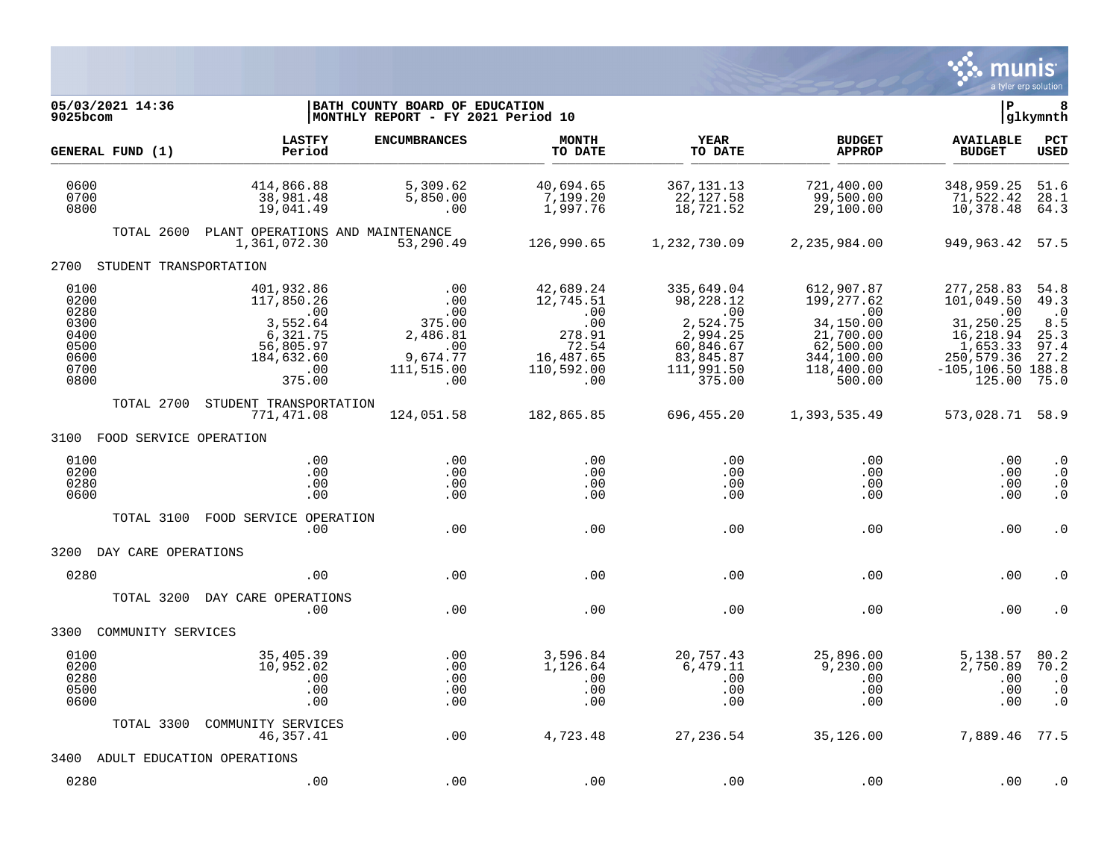

| 05/03/2021 14:36<br>9025bcom                                         |                                                                                                     | BATH COUNTY BOARD OF EDUCATION<br>MONTHLY REPORT - FY 2021 Period 10            |                                                                                           |                                                                                                          |                                                                                                                    | lР                                                                                                                     | 8<br> glkymnth                                                                     |
|----------------------------------------------------------------------|-----------------------------------------------------------------------------------------------------|---------------------------------------------------------------------------------|-------------------------------------------------------------------------------------------|----------------------------------------------------------------------------------------------------------|--------------------------------------------------------------------------------------------------------------------|------------------------------------------------------------------------------------------------------------------------|------------------------------------------------------------------------------------|
| GENERAL FUND (1)                                                     | <b>LASTFY</b><br>Period                                                                             | <b>ENCUMBRANCES</b>                                                             | <b>MONTH</b><br>TO DATE                                                                   | YEAR<br>TO DATE                                                                                          | <b>BUDGET</b><br><b>APPROP</b>                                                                                     | <b>AVAILABLE</b><br><b>BUDGET</b>                                                                                      | PCT<br><b>USED</b>                                                                 |
| 0600<br>0700<br>0800                                                 | 414,866.88<br>38,981.48<br>19,041.49                                                                | 5,309.62<br>5,850.00<br>.00                                                     | 40,694.65<br>7,199.20<br>1,997.76                                                         | 367, 131. 13<br>22,127.58<br>18,721.52                                                                   | 721,400.00<br>99,500.00<br>29,100.00                                                                               | 348,959.25<br>71,522.42<br>10,378.48                                                                                   | 51.6<br>28.1<br>64.3                                                               |
|                                                                      | TOTAL 2600 PLANT OPERATIONS AND MAINTENANCE<br>1,361,072.30                                         | 53,290.49                                                                       | 126,990.65                                                                                | 1,232,730.09                                                                                             | 2,235,984.00                                                                                                       | 949, 963. 42 57. 5                                                                                                     |                                                                                    |
| 2700 STUDENT TRANSPORTATION                                          |                                                                                                     |                                                                                 |                                                                                           |                                                                                                          |                                                                                                                    |                                                                                                                        |                                                                                    |
| 0100<br>0200<br>0280<br>0300<br>0400<br>0500<br>0600<br>0700<br>0800 | 401,932.86<br>117,850.26<br>.00<br>3,552.64<br>6,321.75<br>56,805.97<br>184,632.60<br>.00<br>375.00 | .00<br>.00<br>.00<br>375.00<br>2,486.81<br>.00<br>9,674.77<br>111,515.00<br>.00 | 42,689.24<br>12,745.51<br>.00<br>.00<br>278.91<br>72.54<br>16,487.65<br>110,592.00<br>.00 | 335,649.04<br>98,228.12<br>.00<br>2,524.75<br>2,994.25<br>60,846.67<br>83,845.87<br>111,991.50<br>375.00 | 612,907.87<br>199,277.62<br>$\sim$ 00<br>34,150.00<br>21,700.00<br>62,500.00<br>344,100.00<br>118,400.00<br>500.00 | 277, 258.83<br>101,049.50<br>.00<br>31,250.25<br>16,218.94<br>1,653.33<br>250,579.36<br>$-105, 106.50$ 188.8<br>125.00 | 54.8<br>49.3<br>$\overline{\phantom{0}}$ .0<br>8.5<br>25.3<br>97.4<br>27.2<br>75.0 |
| TOTAL 2700                                                           | STUDENT TRANSPORTATION<br>771,471.08                                                                | 124,051.58                                                                      | 182,865.85                                                                                | 696,455.20                                                                                               | 1,393,535.49                                                                                                       | 573,028.71 58.9                                                                                                        |                                                                                    |
| 3100 FOOD SERVICE OPERATION                                          |                                                                                                     |                                                                                 |                                                                                           |                                                                                                          |                                                                                                                    |                                                                                                                        |                                                                                    |
| 0100<br>0200<br>0280<br>0600                                         | .00<br>.00<br>.00<br>.00                                                                            | $.00 \,$<br>.00<br>$.00 \,$<br>.00                                              | .00<br>.00<br>.00<br>.00                                                                  | $.00 \,$<br>$.00 \,$<br>$.00 \,$<br>.00                                                                  | $.00 \,$<br>$.00 \,$<br>$.00 \,$<br>$.00 \,$                                                                       | .00<br>.00<br>.00<br>.00                                                                                               | $\cdot$ 0<br>$\cdot$ 0<br>$\cdot$ 0<br>. 0                                         |
| TOTAL 3100                                                           | FOOD SERVICE OPERATION<br>.00                                                                       | .00                                                                             | .00                                                                                       | .00                                                                                                      | .00                                                                                                                | .00                                                                                                                    | $\cdot$ 0                                                                          |
| 3200<br>DAY CARE OPERATIONS                                          |                                                                                                     |                                                                                 |                                                                                           |                                                                                                          |                                                                                                                    |                                                                                                                        |                                                                                    |
| 0280                                                                 | .00                                                                                                 | .00                                                                             | .00                                                                                       | .00                                                                                                      | .00                                                                                                                | .00                                                                                                                    | . 0                                                                                |
| TOTAL 3200                                                           | DAY CARE OPERATIONS<br>.00                                                                          | .00                                                                             | .00                                                                                       | .00                                                                                                      | .00                                                                                                                | .00                                                                                                                    | $\cdot$ 0                                                                          |
| COMMUNITY SERVICES<br>3300                                           |                                                                                                     |                                                                                 |                                                                                           |                                                                                                          |                                                                                                                    |                                                                                                                        |                                                                                    |
| 0100<br>0200<br>0280<br>0500<br>0600                                 | 35,405.39<br>10,952.02<br>.00<br>.00<br>.00                                                         | .00<br>.00<br>.00<br>.00<br>.00                                                 | 3,596.84<br>1,126.64<br>.00<br>.00<br>.00                                                 | 20,757.43<br>6,479.11<br>.00<br>.00<br>.00                                                               | 25,896.00<br>9,230.00<br>.00<br>.00<br>.00                                                                         | 5,138.57<br>2,750.89<br>.00<br>.00<br>.00                                                                              | 80.2<br>70.2<br>$\cdot$ 0<br>$\cdot$ 0<br>$\cdot$ 0                                |
| TOTAL 3300                                                           | COMMUNITY SERVICES<br>46,357.41                                                                     | .00                                                                             | 4,723.48                                                                                  | 27,236.54                                                                                                | 35,126.00                                                                                                          | 7,889.46 77.5                                                                                                          |                                                                                    |
| 3400                                                                 | ADULT EDUCATION OPERATIONS                                                                          |                                                                                 |                                                                                           |                                                                                                          |                                                                                                                    |                                                                                                                        |                                                                                    |
| 0280                                                                 | .00                                                                                                 | .00                                                                             | .00                                                                                       | .00                                                                                                      | .00                                                                                                                | .00                                                                                                                    | $\cdot$ 0                                                                          |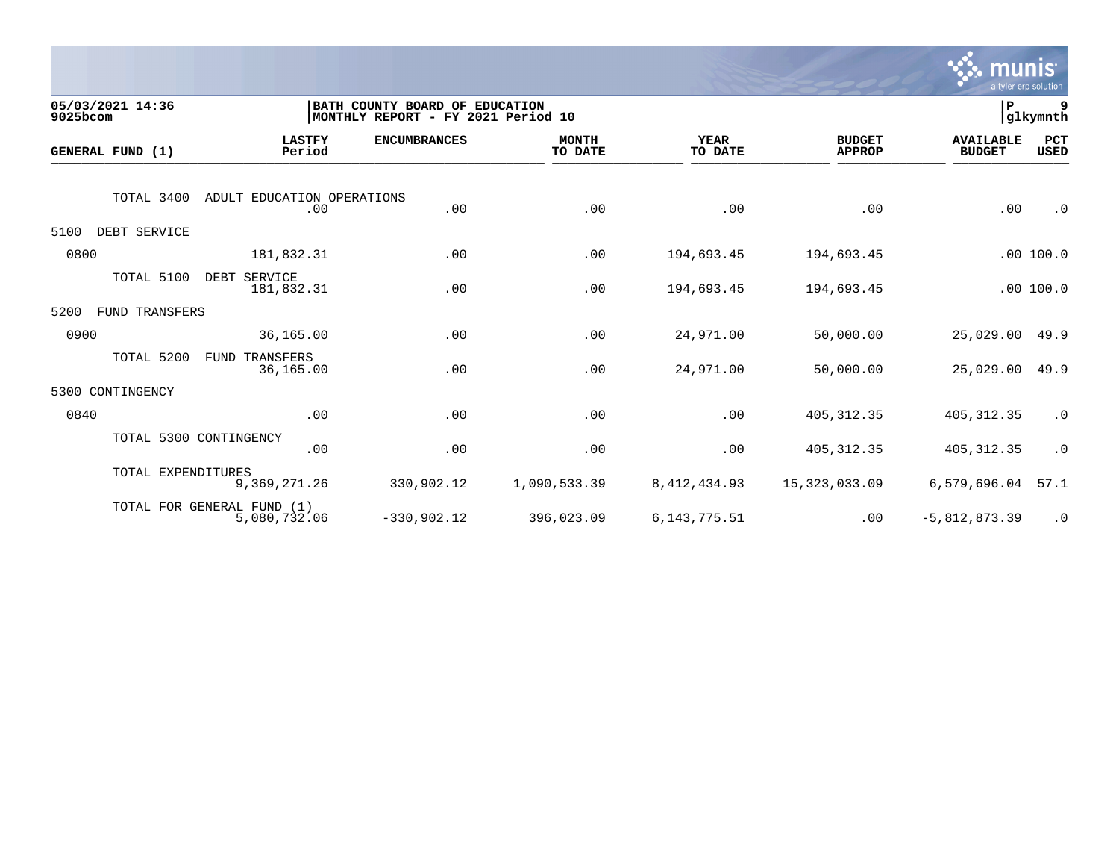

| 9025bcom | 05/03/2021 14:36   |                                            | BATH COUNTY BOARD OF EDUCATION<br>MONTHLY REPORT - FY 2021 Period 10 |                         |                        |                                | ∣P                                | 9<br>glkymnth      |
|----------|--------------------|--------------------------------------------|----------------------------------------------------------------------|-------------------------|------------------------|--------------------------------|-----------------------------------|--------------------|
|          | GENERAL FUND (1)   | <b>LASTFY</b><br>Period                    | <b>ENCUMBRANCES</b>                                                  | <b>MONTH</b><br>TO DATE | <b>YEAR</b><br>TO DATE | <b>BUDGET</b><br><b>APPROP</b> | <b>AVAILABLE</b><br><b>BUDGET</b> | PCT<br><b>USED</b> |
|          | TOTAL 3400         | ADULT EDUCATION OPERATIONS<br>.00          | .00                                                                  | .00                     | .00                    | .00                            | .00                               | $\cdot$ 0          |
| 5100     | DEBT SERVICE       |                                            |                                                                      |                         |                        |                                |                                   |                    |
| 0800     |                    | 181,832.31                                 | .00                                                                  | .00                     | 194,693.45             | 194,693.45                     |                                   | .00100.0           |
|          | TOTAL 5100         | DEBT SERVICE<br>181,832.31                 | .00                                                                  | .00                     | 194,693.45             | 194,693.45                     |                                   | .00 100.0          |
| 5200     | FUND TRANSFERS     |                                            |                                                                      |                         |                        |                                |                                   |                    |
| 0900     |                    | 36,165.00                                  | .00                                                                  | .00                     | 24,971.00              | 50,000.00                      | 25,029.00                         | 49.9               |
|          | TOTAL 5200         | <b>FUND TRANSFERS</b><br>36,165.00         | .00                                                                  | .00                     | 24,971.00              | 50,000.00                      | 25,029.00                         | 49.9               |
| 5300     | CONTINGENCY        |                                            |                                                                      |                         |                        |                                |                                   |                    |
| 0840     |                    | .00                                        | .00                                                                  | .00                     | .00                    | 405, 312.35                    | 405, 312.35                       | $\cdot$ 0          |
|          |                    | TOTAL 5300 CONTINGENCY<br>.00              | .00                                                                  | .00                     | .00                    | 405, 312.35                    | 405, 312.35                       | $\cdot$ 0          |
|          | TOTAL EXPENDITURES | 9,369,271.26                               | 330,902.12                                                           | 1,090,533.39            | 8, 412, 434.93         | 15,323,033.09                  | 6,579,696.04                      | 57.1               |
|          |                    | TOTAL FOR GENERAL FUND (1)<br>5,080,732.06 | $-330,902.12$                                                        | 396,023.09              | 6, 143, 775. 51        | .00                            | $-5,812,873.39$                   | $\cdot$ 0          |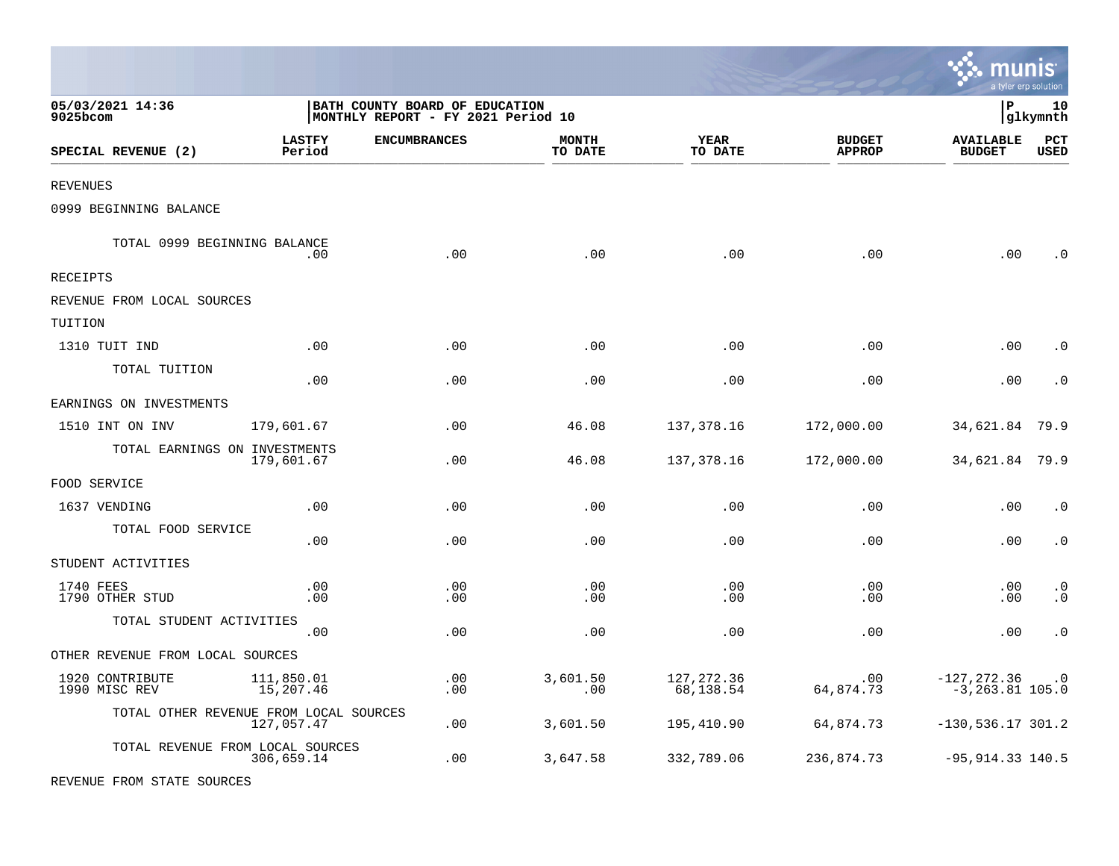|                                        |                         |                                                                      |                         |                          |                                |                                     | a tyler erp solution        |
|----------------------------------------|-------------------------|----------------------------------------------------------------------|-------------------------|--------------------------|--------------------------------|-------------------------------------|-----------------------------|
| 05/03/2021 14:36<br>9025bcom           |                         | BATH COUNTY BOARD OF EDUCATION<br>MONTHLY REPORT - FY 2021 Period 10 |                         |                          |                                | P                                   | 10<br> glkymnth             |
| SPECIAL REVENUE (2)                    | <b>LASTFY</b><br>Period | <b>ENCUMBRANCES</b>                                                  | <b>MONTH</b><br>TO DATE | <b>YEAR</b><br>TO DATE   | <b>BUDGET</b><br><b>APPROP</b> | <b>AVAILABLE</b><br><b>BUDGET</b>   | $_{\rm PCT}$<br><b>USED</b> |
| <b>REVENUES</b>                        |                         |                                                                      |                         |                          |                                |                                     |                             |
| 0999 BEGINNING BALANCE                 |                         |                                                                      |                         |                          |                                |                                     |                             |
| TOTAL 0999 BEGINNING BALANCE           | .00                     | .00                                                                  | .00                     | .00                      | .00                            | .00                                 | C                           |
| RECEIPTS                               |                         |                                                                      |                         |                          |                                |                                     |                             |
| REVENUE FROM LOCAL SOURCES             |                         |                                                                      |                         |                          |                                |                                     |                             |
| TUITION                                |                         |                                                                      |                         |                          |                                |                                     |                             |
| 1310 TUIT IND                          | .00                     | .00                                                                  | .00                     | .00                      | .00                            | .00                                 | $\cdot$ 0                   |
| TOTAL TUITION                          | .00                     | .00                                                                  | .00                     | .00                      | .00                            | .00                                 | $\cdot$ 0                   |
| EARNINGS ON INVESTMENTS                |                         |                                                                      |                         |                          |                                |                                     |                             |
| 1510 INT ON INV                        | 179,601.67              | .00                                                                  | 46.08                   | 137,378.16               | 172,000.00                     | 34,621.84                           | 79.9                        |
| TOTAL EARNINGS ON INVESTMENTS          | 179,601.67              | .00                                                                  | 46.08                   | 137,378.16               | 172,000.00                     | 34,621.84                           | 79.9                        |
| FOOD SERVICE                           |                         |                                                                      |                         |                          |                                |                                     |                             |
| 1637 VENDING                           | .00                     | .00                                                                  | .00                     | .00                      | .00                            | .00                                 | $\cdot$ 0                   |
| TOTAL FOOD SERVICE                     | .00                     | .00                                                                  | .00                     | .00                      | .00                            | .00                                 | $\cdot$ 0                   |
| STUDENT ACTIVITIES                     |                         |                                                                      |                         |                          |                                |                                     |                             |
| 1740 FEES<br>1790 OTHER STUD           | .00<br>.00              | .00<br>.00                                                           | .00<br>.00              | .00<br>.00               | .00<br>.00                     | .00<br>.00                          | $\cdot$ 0<br>$\cdot$ 0      |
| TOTAL STUDENT ACTIVITIES               | .00                     | .00                                                                  | .00                     | .00                      | .00                            | .00                                 | $\cdot$ 0                   |
| OTHER REVENUE FROM LOCAL SOURCES       |                         |                                                                      |                         |                          |                                |                                     |                             |
| 1920 CONTRIBUTE<br>1990 MISC REV       | 111,850.01<br>15,207.46 | .00<br>.00                                                           | 3,601.50<br>.00         | 127, 272.36<br>68,138.54 | .00<br>64,874.73               | $-127,272.36$<br>$-3, 263.81$ 105.0 | $\cdot$ 0                   |
| TOTAL OTHER REVENUE FROM LOCAL SOURCES | 127,057.47              | .00                                                                  | 3,601.50                | 195,410.90               | 64,874.73                      | $-130,536.17$ 301.2                 |                             |
| TOTAL REVENUE FROM LOCAL SOURCES       | 306,659.14              | .00                                                                  | 3,647.58                | 332,789.06               | 236,874.73                     | $-95, 914.33$ 140.5                 |                             |

REVENUE FROM STATE SOURCES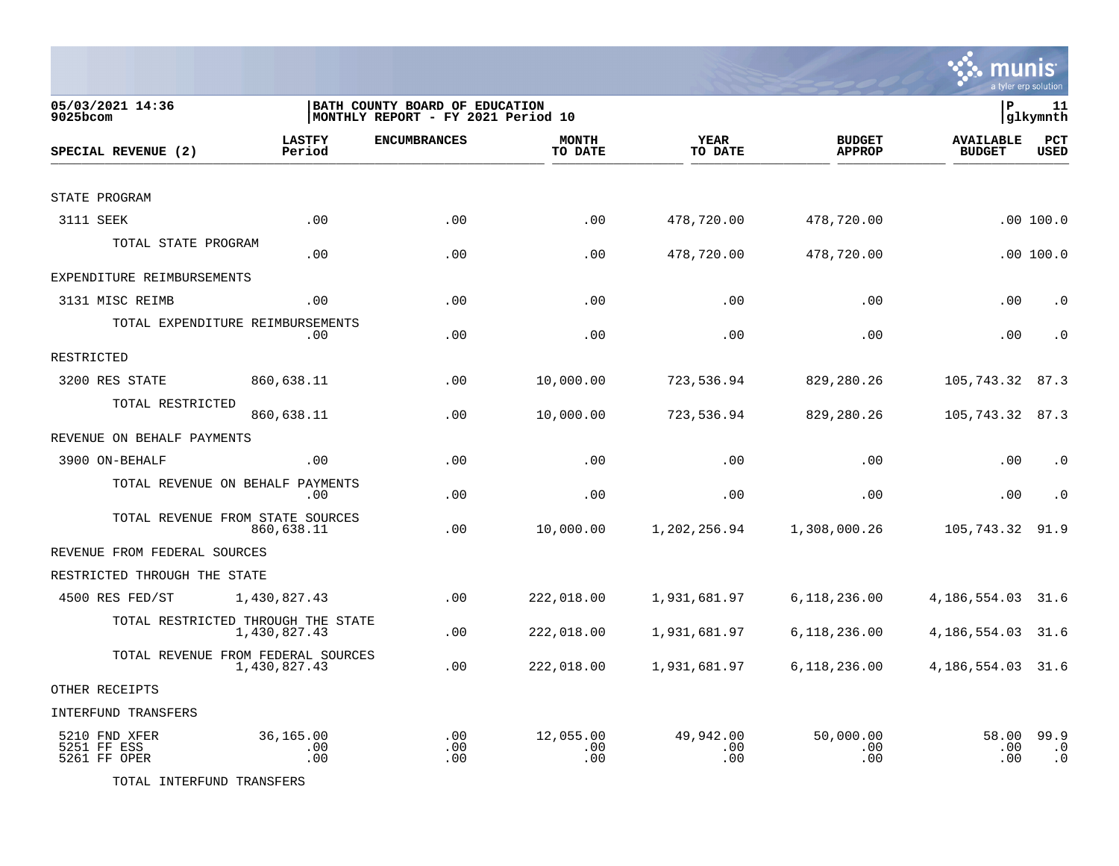

| 05/03/2021 14:36<br>9025bcom                 |                                                    | BATH COUNTY BOARD OF EDUCATION<br>MONTHLY REPORT - FY 2021 Period 10 |                         |                         |                                | P                                 | 11<br>glkymnth                 |
|----------------------------------------------|----------------------------------------------------|----------------------------------------------------------------------|-------------------------|-------------------------|--------------------------------|-----------------------------------|--------------------------------|
| SPECIAL REVENUE (2)                          | <b>LASTFY</b><br>Period                            | <b>ENCUMBRANCES</b>                                                  | <b>MONTH</b><br>TO DATE | <b>YEAR</b><br>TO DATE  | <b>BUDGET</b><br><b>APPROP</b> | <b>AVAILABLE</b><br><b>BUDGET</b> | PCT<br><b>USED</b>             |
|                                              |                                                    |                                                                      |                         |                         |                                |                                   |                                |
| STATE PROGRAM                                |                                                    |                                                                      |                         |                         |                                |                                   |                                |
| 3111 SEEK                                    | .00                                                | .00                                                                  | .00                     | 478,720.00              | 478,720.00                     |                                   | .00100.0                       |
| TOTAL STATE PROGRAM                          | .00                                                | .00                                                                  | .00                     | 478,720.00              | 478,720.00                     |                                   | .00100.0                       |
| EXPENDITURE REIMBURSEMENTS                   |                                                    |                                                                      |                         |                         |                                |                                   |                                |
| 3131 MISC REIMB                              | .00                                                | .00                                                                  | .00                     | .00                     | .00                            | .00                               | $\cdot$ 0                      |
|                                              | TOTAL EXPENDITURE REIMBURSEMENTS<br>.00            | .00                                                                  | .00                     | .00                     | .00                            | .00                               | $\cdot$ 0                      |
| RESTRICTED                                   |                                                    |                                                                      |                         |                         |                                |                                   |                                |
| 3200 RES STATE                               | 860,638.11                                         | .00                                                                  | 10,000.00               | 723,536.94              | 829,280.26                     | 105,743.32                        | 87.3                           |
| TOTAL RESTRICTED                             | 860,638.11                                         | .00                                                                  | 10,000.00               | 723,536.94              | 829,280.26                     | 105,743.32 87.3                   |                                |
| REVENUE ON BEHALF PAYMENTS                   |                                                    |                                                                      |                         |                         |                                |                                   |                                |
| 3900 ON-BEHALF                               | .00                                                | .00                                                                  | .00                     | .00                     | .00                            | .00                               | $\cdot$ 0                      |
|                                              | TOTAL REVENUE ON BEHALF PAYMENTS<br>.00            | .00                                                                  | .00                     | .00                     | .00                            | .00                               | $\cdot$ 0                      |
|                                              | TOTAL REVENUE FROM STATE SOURCES<br>860,638.11     | .00                                                                  | 10,000.00               | 1,202,256.94            | 1,308,000.26                   | 105,743.32                        | 91.9                           |
| REVENUE FROM FEDERAL SOURCES                 |                                                    |                                                                      |                         |                         |                                |                                   |                                |
| RESTRICTED THROUGH THE STATE                 |                                                    |                                                                      |                         |                         |                                |                                   |                                |
| 4500 RES FED/ST                              | 1,430,827.43                                       | .00                                                                  | 222,018.00              | 1,931,681.97            | 6,118,236.00                   | 4,186,554.03                      | 31.6                           |
|                                              | TOTAL RESTRICTED THROUGH THE STATE<br>1,430,827.43 | .00                                                                  | 222,018.00              | 1,931,681.97            | 6,118,236.00                   | 4, 186, 554.03                    | 31.6                           |
|                                              | TOTAL REVENUE FROM FEDERAL SOURCES<br>1,430,827.43 | .00                                                                  | 222,018.00              | 1,931,681.97            | 6,118,236.00                   | 4, 186, 554.03 31.6               |                                |
| OTHER RECEIPTS                               |                                                    |                                                                      |                         |                         |                                |                                   |                                |
| INTERFUND TRANSFERS                          |                                                    |                                                                      |                         |                         |                                |                                   |                                |
| 5210 FND XFER<br>5251 FF ESS<br>5261 FF OPER | 36,165.00<br>.00<br>.00                            | .00<br>.00<br>.00                                                    | 12,055.00<br>.00<br>.00 | 49,942.00<br>.00<br>.00 | 50,000.00<br>.00<br>.00        | 58.00<br>.00<br>.00               | 99.9<br>$\cdot$ 0<br>$\cdot$ 0 |

TOTAL INTERFUND TRANSFERS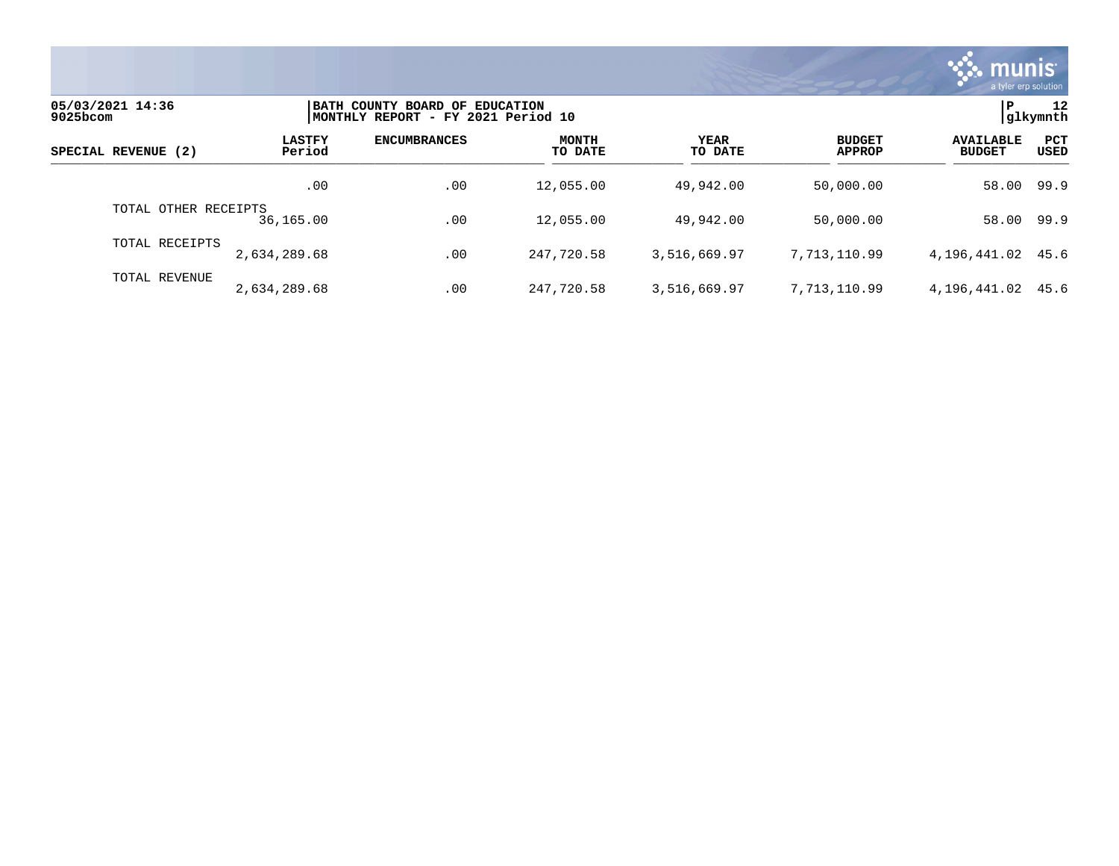

| 05/03/2021 14:36<br>9025bcom |                         | BATH COUNTY BOARD OF EDUCATION<br>MONTHLY REPORT - FY 2021 Period 10 |                         |                 |                                |                                   |                    |  |
|------------------------------|-------------------------|----------------------------------------------------------------------|-------------------------|-----------------|--------------------------------|-----------------------------------|--------------------|--|
| SPECIAL REVENUE (2)          | <b>LASTFY</b><br>Period | <b>ENCUMBRANCES</b>                                                  | <b>MONTH</b><br>TO DATE | YEAR<br>TO DATE | <b>BUDGET</b><br><b>APPROP</b> | <b>AVAILABLE</b><br><b>BUDGET</b> | PCT<br><b>USED</b> |  |
|                              | .00                     | .00                                                                  | 12,055.00               | 49,942.00       | 50,000.00                      | 58.00 99.9                        |                    |  |
| TOTAL OTHER RECEIPTS         | 36,165.00               | .00                                                                  | 12,055.00               | 49,942.00       | 50,000.00                      | 58.00                             | 99.9               |  |
| TOTAL RECEIPTS               | 2,634,289.68            | .00                                                                  | 247,720.58              | 3,516,669.97    | 7,713,110.99                   | 4, 196, 441.02 45.6               |                    |  |
| TOTAL REVENUE                | 2,634,289.68            | .00                                                                  | 247,720.58              | 3,516,669.97    | 7,713,110.99                   | 4,196,441.02                      | 45.6               |  |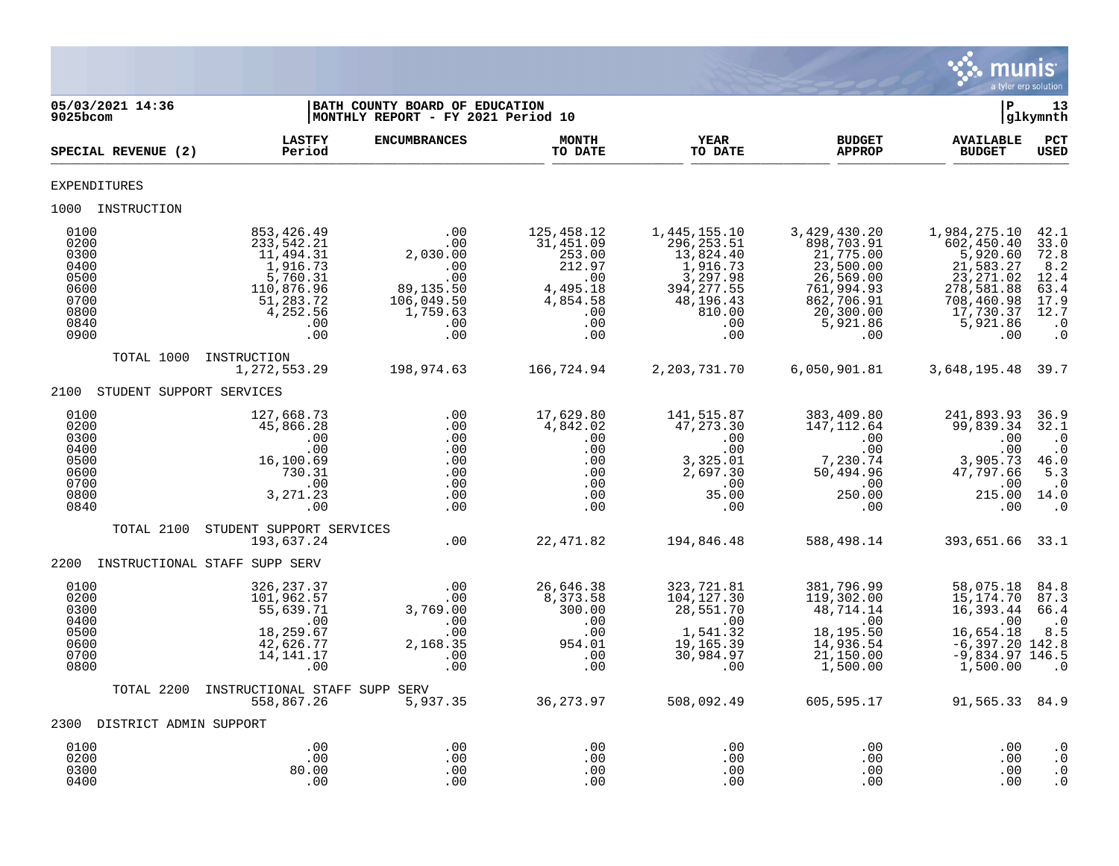

| 05/03/2021 14:36<br>9025bcom                                                 |                               |                                                                                                                    | BATH COUNTY BOARD OF EDUCATION<br>MONTHLY REPORT - FY 2021 Period 10                       |                                                                                                 |                                                                                                                      |                                                                                                                               | P                                                                                                                              | 13<br>glkymnth                                                                            |
|------------------------------------------------------------------------------|-------------------------------|--------------------------------------------------------------------------------------------------------------------|--------------------------------------------------------------------------------------------|-------------------------------------------------------------------------------------------------|----------------------------------------------------------------------------------------------------------------------|-------------------------------------------------------------------------------------------------------------------------------|--------------------------------------------------------------------------------------------------------------------------------|-------------------------------------------------------------------------------------------|
|                                                                              | SPECIAL REVENUE (2)           | <b>LASTFY</b><br>Period                                                                                            | <b>ENCUMBRANCES</b>                                                                        | <b>MONTH</b><br>TO DATE                                                                         | <b>YEAR</b><br>TO DATE                                                                                               | <b>BUDGET</b><br><b>APPROP</b>                                                                                                | <b>AVAILABLE</b><br><b>BUDGET</b>                                                                                              | PCT<br><b>USED</b>                                                                        |
| <b>EXPENDITURES</b>                                                          |                               |                                                                                                                    |                                                                                            |                                                                                                 |                                                                                                                      |                                                                                                                               |                                                                                                                                |                                                                                           |
|                                                                              | 1000 INSTRUCTION              |                                                                                                                    |                                                                                            |                                                                                                 |                                                                                                                      |                                                                                                                               |                                                                                                                                |                                                                                           |
| 0100<br>0200<br>0300<br>0400<br>0500<br>0600<br>0700<br>0800<br>0840<br>0900 |                               | 853,426.49<br>233,542.21<br>11,494.31<br>1,916.73<br>5,760.31<br>110,876.96<br>51,283.72<br>4,252.56<br>.00<br>.00 | .00<br>.00<br>2,030.00<br>.00<br>.00<br>89, 135.50<br>106,049.50<br>1,759.63<br>.00<br>.00 | 125,458.12<br>31,451.09<br>253.00<br>212.97<br>.00<br>4,495.18<br>4,854.58<br>.00<br>.00<br>.00 | 1,445,155.10<br>296, 253.51<br>13,824.40<br>1,916.73<br>3,297.98<br>394, 277.55<br>48,196.43<br>810.00<br>.00<br>.00 | 3,429,430.20<br>898,703.91<br>21,775.00<br>23,500.00<br>26,569.00<br>761,994.93<br>862,706.91<br>20,300.00<br>5,921.86<br>.00 | 1,984,275.10<br>602, 450.40<br>5,920.60<br>21,583.27<br>23, 271.02<br>278,581.88<br>708,460.98<br>17,730.37<br>5,921.86<br>.00 | 42.1<br>33.0<br>72.8<br>8.2<br>12.4<br>63.4<br>$17.9$<br>$12.7$<br>$\cdot$ 0<br>$\cdot$ 0 |
|                                                                              | TOTAL 1000                    | INSTRUCTION<br>1,272,553.29                                                                                        | 198,974.63                                                                                 | 166,724.94                                                                                      | 2, 203, 731. 70                                                                                                      | 6,050,901.81                                                                                                                  | 3,648,195.48 39.7                                                                                                              |                                                                                           |
|                                                                              | 2100 STUDENT SUPPORT SERVICES |                                                                                                                    |                                                                                            |                                                                                                 |                                                                                                                      |                                                                                                                               |                                                                                                                                |                                                                                           |
| 0100<br>0200<br>0300<br>0400<br>0500<br>0600<br>0700<br>0800<br>0840         |                               | 127,668.73<br>45,866.28<br>.00<br>.00<br>16,100.69<br>730.31<br>.00<br>3, 271.23<br>.00                            | .00<br>.00<br>.00<br>.00<br>.00<br>.00<br>.00<br>.00<br>.00                                | 17,629.80<br>4,842.02<br>.00<br>.00<br>.00<br>.00<br>.00<br>.00<br>$.00 \,$                     | 141,515.87<br>47, 273.30<br>.00<br>.00<br>3,325.01<br>2,697.30<br>.00<br>35.00<br>.00                                | 383,409.80<br>147, 112.64<br>.00<br>.00<br>7,230.74<br>50,494.96<br>.00<br>250.00<br>.00                                      | 241,893.93<br>99,839.34<br>.00<br>.00<br>3,905.73<br>47,797.66<br>.00<br>215.00 14.0<br>.00                                    | 36.9<br>32.1<br>$\cdot$ 0<br>$\cdot$ 0<br>46.0<br>5.3<br>$\cdot$ 0<br>$\cdot$ 0           |
|                                                                              | TOTAL 2100                    | STUDENT SUPPORT SERVICES<br>193,637.24                                                                             | .00                                                                                        | 22,471.82                                                                                       | 194,846.48                                                                                                           | 588,498.14                                                                                                                    | 393,651.66 33.1                                                                                                                |                                                                                           |
| 2200                                                                         |                               | INSTRUCTIONAL STAFF SUPP SERV                                                                                      |                                                                                            |                                                                                                 |                                                                                                                      |                                                                                                                               |                                                                                                                                |                                                                                           |
| 0100<br>0200<br>0300<br>0400<br>0500<br>0600<br>0700<br>0800                 |                               | 326, 237.37<br>101,962.57<br>55,639.71<br>.00<br>18,259.67<br>42,626.77<br>14, 141. 17<br>.00                      | .00<br>.00<br>3,769.00<br>.00<br>.00<br>2,168.35<br>.00<br>.00                             | 26,646.38<br>8,373.58<br>300.00<br>.00<br>.00<br>954.01<br>.00<br>.00                           | 323,721.81<br>104, 127.30<br>28,551.70<br>.00<br>1,541.32<br>19,165.39<br>30,984.97<br>.00                           | 381,796.99<br>119,302.00<br>48,714.14<br>$\sim 00$<br>18,195.50<br>14,936.54<br>21,150.00<br>1,500.00                         | 58,075.18<br>15,174.70<br>16,393.44<br>.00<br>16,654.18<br>$-6,397.20$ 142.8<br>$-9,834.97$ 146.5<br>1,500.00                  | 84.8<br>87.3<br>66.4<br>$\cdot$ 0<br>8.5<br>$\cdot$ 0                                     |
|                                                                              | TOTAL 2200                    | INSTRUCTIONAL STAFF SUPP SERV<br>558,867.26                                                                        | 5,937.35                                                                                   | 36, 273.97                                                                                      | 508,092.49                                                                                                           | 605,595.17                                                                                                                    | 91,565.33 84.9                                                                                                                 |                                                                                           |
|                                                                              | 2300 DISTRICT ADMIN SUPPORT   |                                                                                                                    |                                                                                            |                                                                                                 |                                                                                                                      |                                                                                                                               |                                                                                                                                |                                                                                           |
| 0100<br>0200<br>0300<br>0400                                                 |                               | .00<br>.00<br>80.00<br>.00                                                                                         | .00<br>.00<br>.00<br>.00                                                                   | .00<br>.00<br>.00<br>.00                                                                        | .00<br>.00<br>.00<br>.00                                                                                             | .00<br>.00<br>.00<br>.00                                                                                                      | .00<br>.00<br>.00<br>.00                                                                                                       | $\cdot$ 0<br>$\cdot$ 0<br>$\cdot$ 0<br>$\cdot$ 0                                          |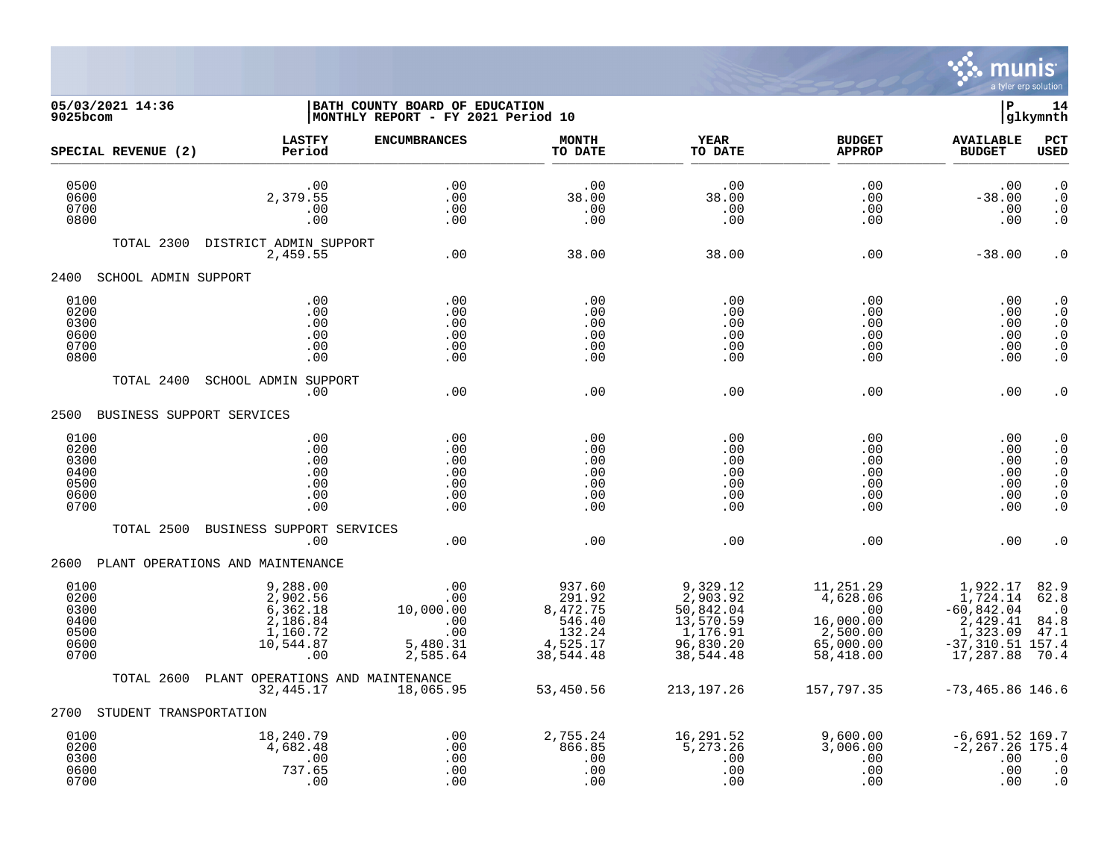

| 05/03/2021 14:36<br>9025bcom                         |                                                                              | BATH COUNTY BOARD OF EDUCATION<br>MONTHLY REPORT - FY 2021 Period 10  |                                                                           |                                                                                      |                                                                                 | l P                                                                                              | 14<br> glkymnth                                                                                     |
|------------------------------------------------------|------------------------------------------------------------------------------|-----------------------------------------------------------------------|---------------------------------------------------------------------------|--------------------------------------------------------------------------------------|---------------------------------------------------------------------------------|--------------------------------------------------------------------------------------------------|-----------------------------------------------------------------------------------------------------|
| SPECIAL REVENUE (2)                                  | <b>LASTFY</b><br>Period                                                      | <b>ENCUMBRANCES</b>                                                   | <b>MONTH</b><br>TO DATE                                                   | <b>YEAR</b><br>TO DATE                                                               | <b>BUDGET</b><br><b>APPROP</b>                                                  | <b>AVAILABLE</b><br><b>BUDGET</b>                                                                | PCT<br><b>USED</b>                                                                                  |
| 0500<br>0600<br>0700<br>0800                         | .00<br>2,379.55<br>.00<br>.00                                                | .00<br>.00<br>.00<br>.00                                              | .00<br>38.00<br>.00<br>.00                                                | .00<br>38.00<br>.00<br>.00                                                           | .00<br>.00<br>.00<br>.00                                                        | .00<br>$-38.00$<br>.00<br>.00                                                                    | $\cdot$ 0<br>$\cdot$ 0<br>$\cdot$ 0<br>$\cdot$ 0                                                    |
| TOTAL 2300                                           | DISTRICT ADMIN SUPPORT<br>2,459.55                                           | .00                                                                   | 38.00                                                                     | 38.00                                                                                | .00                                                                             | $-38.00$                                                                                         | $\cdot$ 0                                                                                           |
| 2400<br>SCHOOL ADMIN SUPPORT                         |                                                                              |                                                                       |                                                                           |                                                                                      |                                                                                 |                                                                                                  |                                                                                                     |
| 0100<br>0200<br>0300<br>0600<br>0700<br>0800         | .00<br>.00<br>.00<br>.00<br>.00<br>.00                                       | .00<br>.00<br>.00<br>.00<br>.00<br>.00                                | .00<br>.00<br>.00<br>.00<br>.00<br>.00                                    | .00<br>.00<br>.00<br>.00<br>.00<br>.00                                               | .00<br>.00<br>.00<br>.00<br>.00<br>.00                                          | .00<br>.00.<br>.00<br>.00<br>.00<br>.00                                                          | $\cdot$ 0<br>$\cdot$ 0<br>$\cdot$ 0<br>$\cdot$ 0<br>$\cdot$ 0<br>$\cdot$ 0                          |
| TOTAL 2400                                           | <b>SCHOOL ADMIN SUPPORT</b><br>$.00 \,$                                      | .00                                                                   | .00                                                                       | .00                                                                                  | .00                                                                             | .00                                                                                              | $\cdot$ 0                                                                                           |
| 2500<br>BUSINESS SUPPORT SERVICES                    |                                                                              |                                                                       |                                                                           |                                                                                      |                                                                                 |                                                                                                  |                                                                                                     |
| 0100<br>0200<br>0300<br>0400<br>0500<br>0600<br>0700 | .00<br>.00<br>.00<br>.00<br>.00<br>.00<br>.00                                | .00<br>.00<br>.00<br>.00<br>.00<br>.00<br>.00                         | .00<br>.00<br>.00<br>.00<br>.00<br>.00<br>.00                             | .00<br>.00<br>.00<br>.00<br>.00<br>.00<br>.00                                        | .00<br>.00<br>.00<br>.00<br>.00<br>.00<br>.00                                   | .00<br>$.00 \,$<br>.00<br>.00<br>.00<br>.00<br>.00                                               | $\cdot$ 0<br>$\overline{0}$<br>$\cdot$ 0<br>$\ddot{0}$<br>$\cdot$ 0<br>$\ddot{\cdot}$<br>$\ddot{0}$ |
| TOTAL 2500                                           | BUSINESS SUPPORT SERVICES<br>.00                                             | .00                                                                   | .00                                                                       | .00                                                                                  | .00                                                                             | .00                                                                                              | $\cdot$ 0                                                                                           |
| 2600                                                 | PLANT OPERATIONS AND MAINTENANCE                                             |                                                                       |                                                                           |                                                                                      |                                                                                 |                                                                                                  |                                                                                                     |
| 0100<br>0200<br>0300<br>0400<br>0500<br>0600<br>0700 | 9,288.00<br>2,902.56<br>6,362.18<br>2,186.84<br>1,160.72<br>10,544.87<br>.00 | .00<br>00.<br>00.<br>^^ ^^^^.01<br>.00<br>.00<br>5,480.31<br>2,585.64 | 937.60<br>291.92<br>8,472.75<br>546.40<br>132.24<br>4,525.17<br>38,544.48 | 9,329.12<br>2,903.92<br>50,842.04<br>13,570.59<br>1,176.91<br>96,830.20<br>38,544.48 | 11,251.29<br>4,628.06<br>.00<br>16,000.00<br>2,500.00<br>65,000.00<br>58,418.00 | 1,922.17<br>1,724.14<br>$-60,842.04$<br>2,429.41<br>1,323.09<br>$-37, 310.51$ 157.4<br>17,287.88 | $82.9$<br>62.8<br>$\cdot$ 0<br>84.8<br>47.1<br>70.4                                                 |
| TOTAL 2600                                           | PLANT OPERATIONS AND MAINTENANCE<br>32, 445.17                               | 18,065.95                                                             | 53,450.56                                                                 | 213,197.26                                                                           | 157,797.35                                                                      | $-73,465.86$ 146.6                                                                               |                                                                                                     |
| 2700<br>STUDENT TRANSPORTATION                       |                                                                              |                                                                       |                                                                           |                                                                                      |                                                                                 |                                                                                                  |                                                                                                     |
| 0100<br>0200<br>0300<br>0600<br>0700                 | 18,240.79<br>4,682.48<br>.00<br>737.65<br>.00                                | .00<br>.00<br>.00<br>.00<br>.00                                       | 2,755.24<br>866.85<br>.00<br>.00<br>.00                                   | 16,291.52<br>5, 273.26<br>.00<br>.00<br>.00                                          | 9,600.00<br>3,006.00<br>.00<br>.00<br>.00                                       | $-6,691.52$ 169.7<br>$-2, 267.26$ 175.4<br>.00<br>.00<br>.00                                     | $\cdot$ 0<br>$\cdot$ 0<br>$\cdot$ 0                                                                 |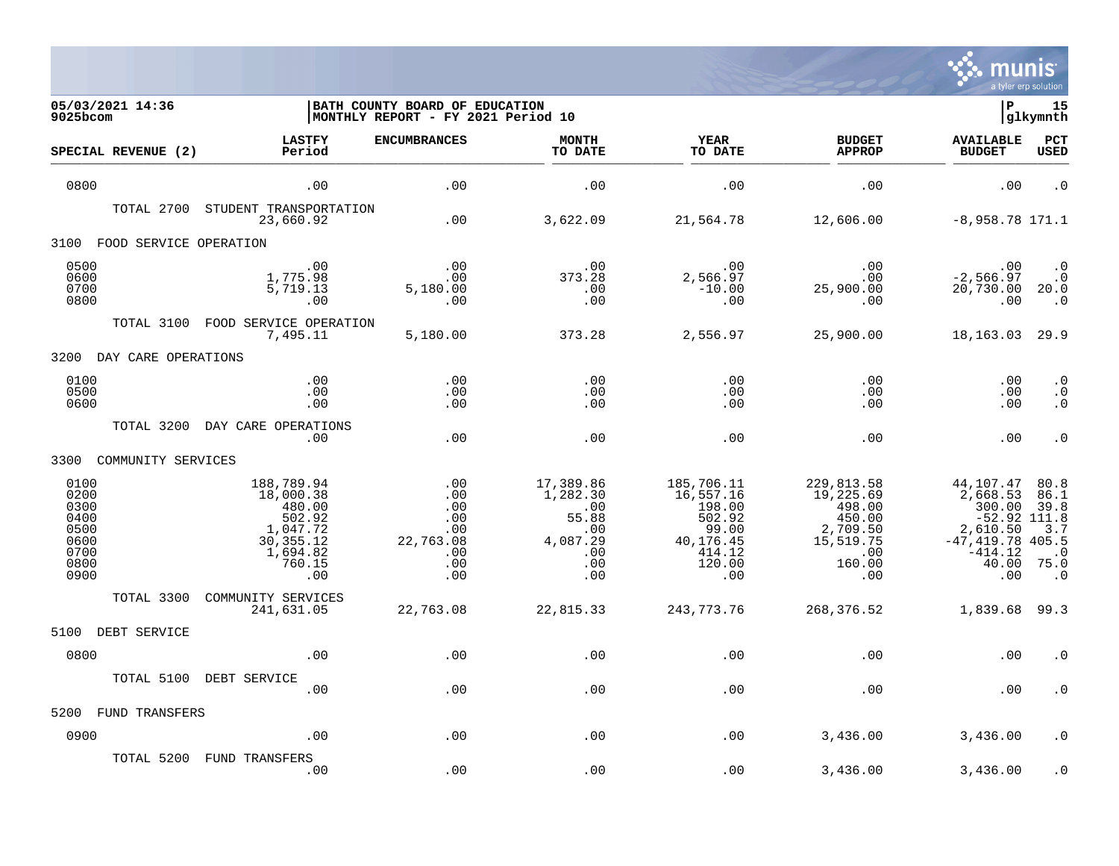

| 05/03/2021 14:36<br>9025bcom                                         |                                                                                                     | BATH COUNTY BOARD OF EDUCATION<br> MONTHLY REPORT - FY 2021 Period 10 |                                                                                    |                                                                                              | ΙP<br>15<br> glkymnth                                                                        |                                                                                                                   |                                                               |
|----------------------------------------------------------------------|-----------------------------------------------------------------------------------------------------|-----------------------------------------------------------------------|------------------------------------------------------------------------------------|----------------------------------------------------------------------------------------------|----------------------------------------------------------------------------------------------|-------------------------------------------------------------------------------------------------------------------|---------------------------------------------------------------|
| SPECIAL REVENUE (2)                                                  | <b>LASTFY</b><br>Period                                                                             | <b>ENCUMBRANCES</b>                                                   | <b>MONTH</b><br>TO DATE                                                            | <b>YEAR</b><br>TO DATE                                                                       | <b>BUDGET</b><br><b>APPROP</b>                                                               | <b>AVAILABLE</b><br><b>BUDGET</b>                                                                                 | PCT<br><b>USED</b>                                            |
| 0800                                                                 | .00                                                                                                 | .00                                                                   | .00                                                                                | .00                                                                                          | .00                                                                                          | .00                                                                                                               | $\cdot$ 0                                                     |
| TOTAL 2700                                                           | STUDENT TRANSPORTATION<br>23,660.92                                                                 | .00                                                                   | 3,622.09                                                                           | 21,564.78                                                                                    | 12,606.00                                                                                    | $-8,958.78$ 171.1                                                                                                 |                                                               |
| FOOD SERVICE OPERATION<br>3100                                       |                                                                                                     |                                                                       |                                                                                    |                                                                                              |                                                                                              |                                                                                                                   |                                                               |
| 0500<br>0600<br>0700<br>0800                                         | .00<br>1,775.98<br>5,719.13<br>.00                                                                  | .00<br>.00<br>5,180.00<br>.00                                         | .00<br>373.28<br>.00<br>.00                                                        | .00<br>2,566.97<br>$-10.00$<br>.00                                                           | .00<br>.00<br>25,900.00<br>.00                                                               | .00<br>$-2,566.97$<br>20,730.00<br>.00                                                                            | $\cdot$ 0<br>$\cdot$ 0<br>20.0<br>$\cdot$ 0                   |
| TOTAL 3100                                                           | FOOD SERVICE OPERATION<br>7,495.11                                                                  | 5,180.00                                                              | 373.28                                                                             | 2,556.97                                                                                     | 25,900.00                                                                                    | 18, 163. 03 29. 9                                                                                                 |                                                               |
| 3200<br>DAY CARE OPERATIONS                                          |                                                                                                     |                                                                       |                                                                                    |                                                                                              |                                                                                              |                                                                                                                   |                                                               |
| 0100<br>0500<br>0600                                                 | .00<br>.00<br>.00                                                                                   | .00<br>.00<br>.00                                                     | .00<br>.00<br>.00                                                                  | .00<br>.00<br>.00                                                                            | .00<br>.00<br>.00                                                                            | .00<br>.00<br>.00                                                                                                 | $\cdot$ 0<br>$\cdot$ 0<br>$\cdot$ 0                           |
| TOTAL 3200                                                           | DAY CARE OPERATIONS<br>.00                                                                          | .00                                                                   | .00                                                                                | .00                                                                                          | .00                                                                                          | .00                                                                                                               | $\cdot$ 0                                                     |
| COMMUNITY SERVICES<br>3300                                           |                                                                                                     |                                                                       |                                                                                    |                                                                                              |                                                                                              |                                                                                                                   |                                                               |
| 0100<br>0200<br>0300<br>0400<br>0500<br>0600<br>0700<br>0800<br>0900 | 188,789.94<br>18,000.38<br>480.00<br>502.92<br>1,047.72<br>30, 355. 12<br>1,694.82<br>760.15<br>.00 | .00<br>.00<br>.00<br>.00<br>.00<br>22,763.08<br>.00<br>.00<br>.00     | 17,389.86<br>1,282.30<br>$\ldots$<br>55.88<br>.00<br>4,087.29<br>.00<br>.00<br>.00 | 185,706.11<br>16,557.16<br>198.00<br>502.92<br>99.00<br>40,176.45<br>414.12<br>120.00<br>.00 | 229,813.58<br>19,225.69<br>498.00<br>450.00<br>2,709.50<br>15,519.75<br>.00<br>160.00<br>.00 | 44,107.47<br>2,668.53<br>300.00<br>$-52.92$ 111.8<br>2,610.50<br>$-47, 419.78$ 405.5<br>$-414.12$<br>40.00<br>.00 | 80.8<br>86.1<br>39.8<br>3.7<br>$\cdot$ 0<br>75.0<br>$\cdot$ 0 |
| TOTAL 3300                                                           | COMMUNITY SERVICES<br>241,631.05                                                                    | 22,763.08                                                             | 22,815.33                                                                          | 243, 773. 76                                                                                 | 268,376.52                                                                                   | 1,839.68 99.3                                                                                                     |                                                               |
| 5100<br>DEBT SERVICE                                                 |                                                                                                     |                                                                       |                                                                                    |                                                                                              |                                                                                              |                                                                                                                   |                                                               |
| 0800                                                                 | .00                                                                                                 | .00                                                                   | .00                                                                                | .00                                                                                          | .00                                                                                          | .00                                                                                                               | . 0                                                           |
| TOTAL 5100                                                           | DEBT SERVICE<br>.00                                                                                 | .00                                                                   | .00                                                                                | .00                                                                                          | .00                                                                                          | .00                                                                                                               | . 0                                                           |
| FUND TRANSFERS<br>5200                                               |                                                                                                     |                                                                       |                                                                                    |                                                                                              |                                                                                              |                                                                                                                   |                                                               |
| 0900                                                                 | .00                                                                                                 | .00                                                                   | .00                                                                                | .00                                                                                          | 3,436.00                                                                                     | 3,436.00                                                                                                          | . 0                                                           |
| TOTAL 5200                                                           | FUND TRANSFERS<br>.00                                                                               | .00                                                                   | .00                                                                                | .00                                                                                          | 3,436.00                                                                                     | 3,436.00                                                                                                          | $\cdot$ 0                                                     |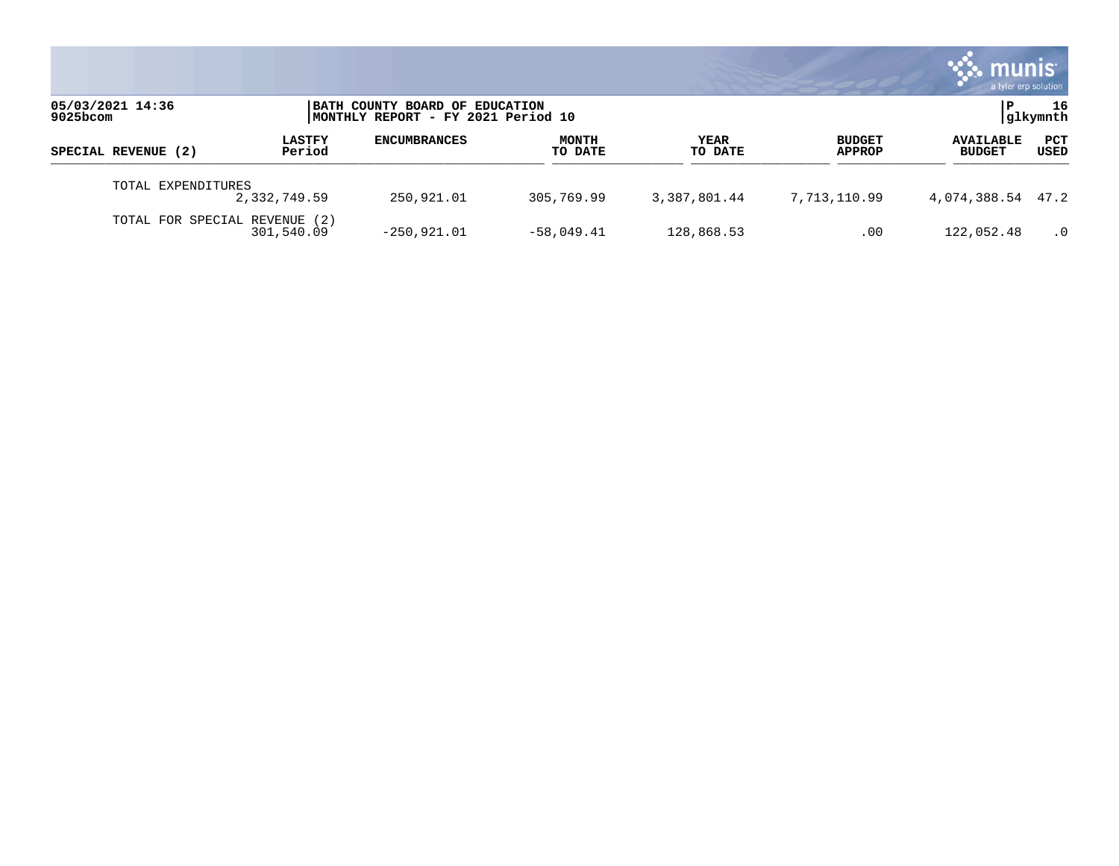|                                 |                                             |                                                                      |                         |                 |                                | <b>munis</b>                      | a tyler erp solution |
|---------------------------------|---------------------------------------------|----------------------------------------------------------------------|-------------------------|-----------------|--------------------------------|-----------------------------------|----------------------|
| 05/03/2021 14:36<br>$9025$ bcom |                                             | BATH COUNTY BOARD OF EDUCATION<br>MONTHLY REPORT - FY 2021 Period 10 |                         |                 |                                |                                   | 16<br> glkymnth      |
| SPECIAL REVENUE (2)             | <b>LASTFY</b><br>Period                     | <b>ENCUMBRANCES</b>                                                  | <b>MONTH</b><br>TO DATE | YEAR<br>TO DATE | <b>BUDGET</b><br><b>APPROP</b> | <b>AVAILABLE</b><br><b>BUDGET</b> | PCT<br>USED          |
| TOTAL EXPENDITURES              | 2,332,749.59                                | 250,921.01                                                           | 305,769.99              | 3,387,801.44    | 7,713,110.99                   | 4,074,388.54 47.2                 |                      |
|                                 | TOTAL FOR SPECIAL REVENUE (2)<br>301,540.09 | $-250,921.01$                                                        | $-58,049.41$            | 128,868.53      | .00                            | 122,052.48                        | $\cdot$ 0            |

the contract of the contract of

and the control of the control of the control of the control of the control of the control of the control of the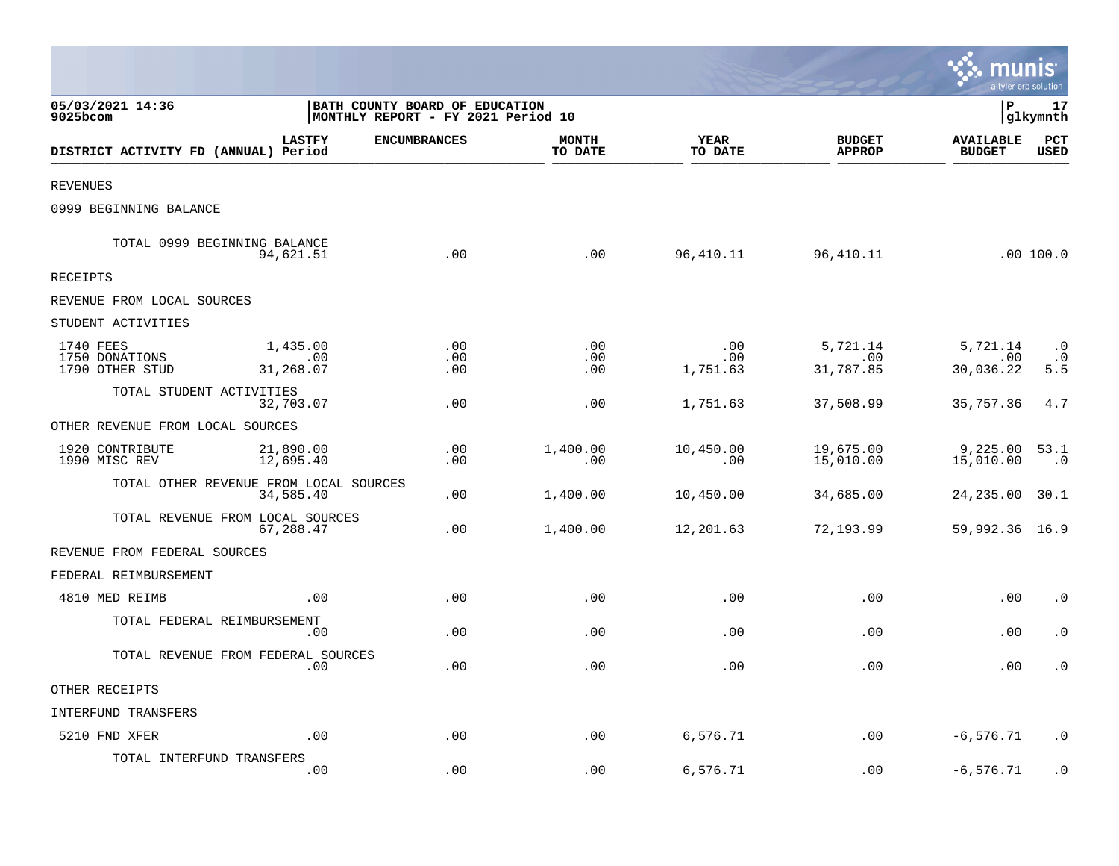|                                                |                                                                              |                     |                         |                        |                                | <b>A. MUNIS</b><br>a tyler erp solution |                               |
|------------------------------------------------|------------------------------------------------------------------------------|---------------------|-------------------------|------------------------|--------------------------------|-----------------------------------------|-------------------------------|
| 05/03/2021 14:36<br>9025bcom                   | <b>BATH COUNTY BOARD OF EDUCATION</b><br> MONTHLY REPORT - FY 2021 Period 10 |                     |                         |                        |                                | lР                                      | 17<br> glkymnth               |
| DISTRICT ACTIVITY FD (ANNUAL) Period           | <b>LASTFY</b>                                                                | <b>ENCUMBRANCES</b> | <b>MONTH</b><br>TO DATE | YEAR<br>TO DATE        | <b>BUDGET</b><br><b>APPROP</b> | <b>AVAILABLE</b><br><b>BUDGET</b>       | PCT<br><b>USED</b>            |
| <b>REVENUES</b>                                |                                                                              |                     |                         |                        |                                |                                         |                               |
| 0999 BEGINNING BALANCE                         |                                                                              |                     |                         |                        |                                |                                         |                               |
| TOTAL 0999 BEGINNING BALANCE                   | 94,621.51                                                                    | .00                 | .00                     | 96,410.11              | 96, 410.11                     |                                         | .00100.0                      |
| RECEIPTS                                       |                                                                              |                     |                         |                        |                                |                                         |                               |
| REVENUE FROM LOCAL SOURCES                     |                                                                              |                     |                         |                        |                                |                                         |                               |
| STUDENT ACTIVITIES                             |                                                                              |                     |                         |                        |                                |                                         |                               |
| 1740 FEES<br>1750 DONATIONS<br>1790 OTHER STUD | 1,435.00<br>.00<br>31,268.07                                                 | .00<br>.00<br>.00   | .00<br>.00<br>.00       | .00<br>.00<br>1,751.63 | 5,721.14<br>.00<br>31,787.85   | 5,721.14<br>.00<br>30,036.22            | $\cdot$ 0<br>$\cdot$ 0<br>5.5 |
| TOTAL STUDENT ACTIVITIES                       | 32,703.07                                                                    | .00                 | .00                     | 1,751.63               | 37,508.99                      | 35,757.36                               | 4.7                           |
| OTHER REVENUE FROM LOCAL SOURCES               |                                                                              |                     |                         |                        |                                |                                         |                               |
| 1920 CONTRIBUTE<br>1990 MISC REV               | 21,890.00<br>12,695.40                                                       | .00<br>.00          | 1,400.00<br>.00         | 10,450.00<br>.00       | 19,675.00<br>15,010.00         | 9,225.00<br>15,010.00                   | 53.1<br>$\cdot$ 0             |
| TOTAL OTHER REVENUE FROM LOCAL SOURCES         | 34,585.40                                                                    | .00                 | 1,400.00                | 10,450.00              | 34,685.00                      | 24,235.00                               | 30.1                          |
| TOTAL REVENUE FROM LOCAL SOURCES               | 67,288.47                                                                    | .00                 | 1,400.00                | 12,201.63              | 72,193.99                      | 59,992.36 16.9                          |                               |
| REVENUE FROM FEDERAL SOURCES                   |                                                                              |                     |                         |                        |                                |                                         |                               |
| FEDERAL REIMBURSEMENT                          |                                                                              |                     |                         |                        |                                |                                         |                               |
| 4810 MED REIMB                                 | .00                                                                          | .00                 | .00                     | .00                    | .00                            | .00                                     | $\cdot$ 0                     |
| TOTAL FEDERAL REIMBURSEMENT                    | .00                                                                          | .00                 | .00                     | .00                    | .00                            | .00                                     | $\cdot$ 0                     |
| TOTAL REVENUE FROM FEDERAL SOURCES             | .00                                                                          | .00                 | .00                     | .00                    | .00                            | .00                                     | $\cdot$ 0                     |
| OTHER RECEIPTS                                 |                                                                              |                     |                         |                        |                                |                                         |                               |
| INTERFUND TRANSFERS                            |                                                                              |                     |                         |                        |                                |                                         |                               |
| 5210 FND XFER                                  | .00                                                                          | .00                 | .00                     | 6,576.71               | .00                            | $-6, 576.71$                            | . 0                           |
| TOTAL INTERFUND TRANSFERS                      | .00                                                                          | .00                 | .00.                    | 6,576.71               | .00                            | $-6, 576.71$                            | $\cdot$ 0                     |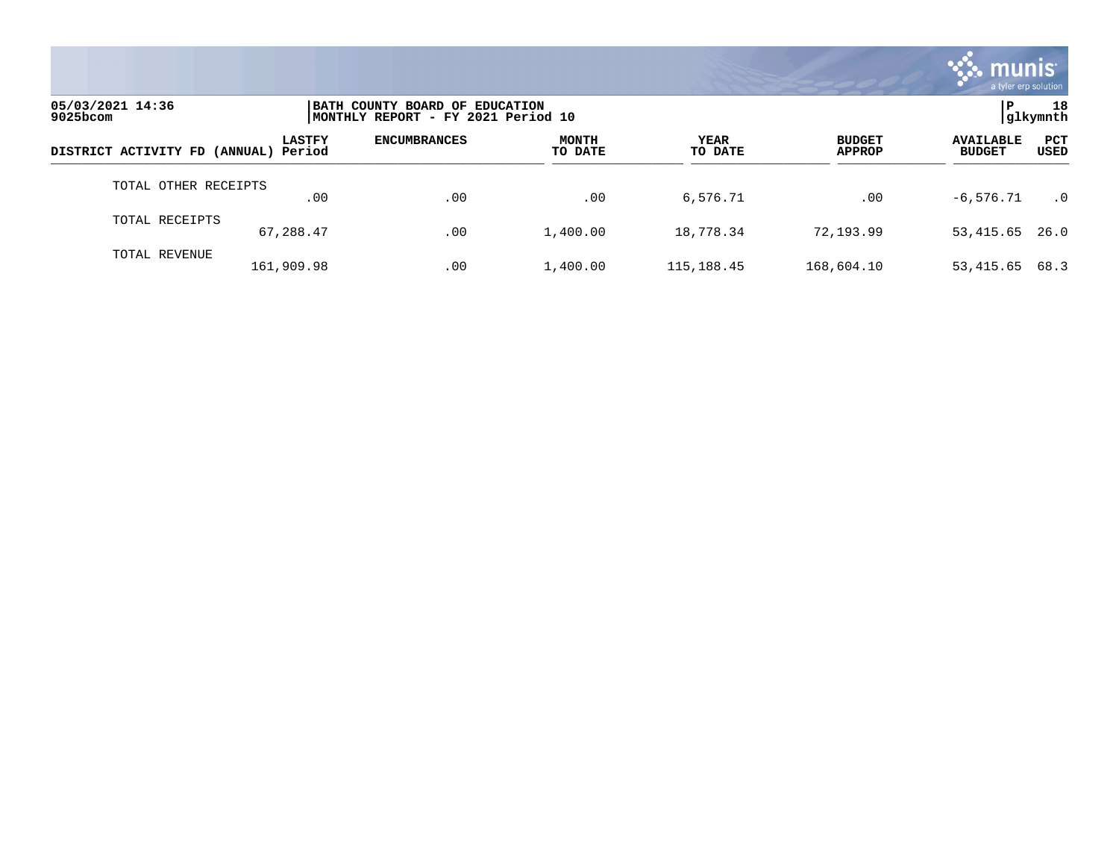

| 05/03/2021 14:36<br>$9025$ bcom      |               | BATH COUNTY BOARD OF EDUCATION<br> MONTHLY REPORT - FY 2021 Period 10 |                         |                 |                                |                                                  |            |  |
|--------------------------------------|---------------|-----------------------------------------------------------------------|-------------------------|-----------------|--------------------------------|--------------------------------------------------|------------|--|
| DISTRICT ACTIVITY FD (ANNUAL) Period | <b>LASTFY</b> | <b>ENCUMBRANCES</b>                                                   | <b>MONTH</b><br>TO DATE | YEAR<br>TO DATE | <b>BUDGET</b><br><b>APPROP</b> | <b>AVAILABLE</b><br><b>USED</b><br><b>BUDGET</b> | <b>PCT</b> |  |
| TOTAL OTHER RECEIPTS                 | .00           | .00                                                                   | .00                     | 6,576.71        | .00                            | $-6.576.71$                                      | $\cdot$ 0  |  |
| TOTAL RECEIPTS                       | 67,288.47     | .00                                                                   | 1,400.00                | 18,778.34       | 72,193.99                      | 53,415.65<br>26.0                                |            |  |
| TOTAL REVENUE                        | 161,909.98    | .00                                                                   | 1,400.00                | 115, 188. 45    | 168,604.10                     | 68.3<br>53,415.65                                |            |  |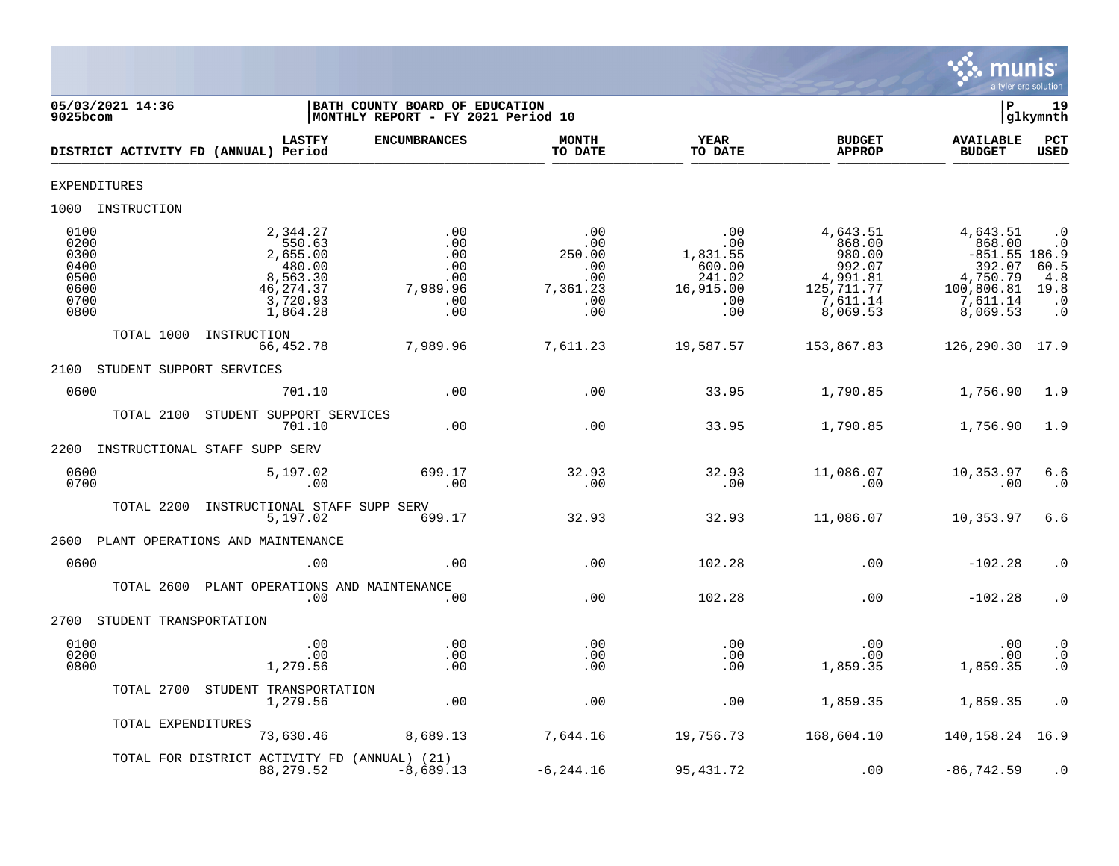

| 05/03/2021 14:36<br>9025bcom                                 |                                                                                            | BATH COUNTY BOARD OF EDUCATION<br>l P<br>MONTHLY REPORT - FY 2021 Period 10<br>glkymnth |                                                              |                                                                       |                                                                                            |                                                                                                   |                                                                             |  |  |
|--------------------------------------------------------------|--------------------------------------------------------------------------------------------|-----------------------------------------------------------------------------------------|--------------------------------------------------------------|-----------------------------------------------------------------------|--------------------------------------------------------------------------------------------|---------------------------------------------------------------------------------------------------|-----------------------------------------------------------------------------|--|--|
|                                                              | <b>LASTFY</b><br>DISTRICT ACTIVITY FD (ANNUAL) Period                                      | <b>ENCUMBRANCES</b>                                                                     | <b>MONTH</b><br>TO DATE                                      | YEAR<br>TO DATE                                                       | <b>BUDGET</b><br><b>APPROP</b>                                                             | <b>AVAILABLE</b><br><b>BUDGET</b>                                                                 | PCT<br><b>USED</b>                                                          |  |  |
| <b>EXPENDITURES</b>                                          |                                                                                            |                                                                                         |                                                              |                                                                       |                                                                                            |                                                                                                   |                                                                             |  |  |
| 1000 INSTRUCTION                                             |                                                                                            |                                                                                         |                                                              |                                                                       |                                                                                            |                                                                                                   |                                                                             |  |  |
| 0100<br>0200<br>0300<br>0400<br>0500<br>0600<br>0700<br>0800 | 2,344.27<br>550.63<br>2,655.00<br>480.00<br>8,563.30<br>46, 274.37<br>3,720.93<br>1,864.28 | .00<br>.00<br>.00<br>.00<br>.00<br>7,989.96<br>.00<br>.00                               | .00<br>.00<br>250.00<br>.00<br>.00<br>7,361.23<br>.00<br>.00 | .00<br>.00<br>1,831.55<br>600.00<br>241.02<br>16,915.00<br>.00<br>.00 | 4,643.51<br>868.00<br>980.00<br>992.07<br>4,991.81<br>125, 711. 77<br>7,611.14<br>8,069.53 | 4,643.51<br>868.00<br>$-851.55$ 186.9<br>392.07<br>4,750.79<br>100,806.81<br>7,611.14<br>8,069.53 | $\cdot$ 0<br>$\cdot$ 0<br>$60.5$<br>$4.8$<br>19.8<br>$\cdot$ 0<br>$\cdot$ 0 |  |  |
| TOTAL 1000                                                   | INSTRUCTION<br>66,452.78                                                                   | 7,989.96                                                                                | 7,611.23                                                     | 19,587.57                                                             | 153,867.83                                                                                 | 126,290.30 17.9                                                                                   |                                                                             |  |  |
| 2100                                                         | STUDENT SUPPORT SERVICES                                                                   |                                                                                         |                                                              |                                                                       |                                                                                            |                                                                                                   |                                                                             |  |  |
| 0600                                                         | 701.10                                                                                     | .00                                                                                     | .00                                                          | 33.95                                                                 | 1,790.85                                                                                   | 1,756.90                                                                                          | 1.9                                                                         |  |  |
| TOTAL 2100                                                   | STUDENT SUPPORT SERVICES<br>701.10                                                         | .00                                                                                     | .00                                                          | 33.95                                                                 | 1,790.85                                                                                   | 1,756.90                                                                                          | 1.9                                                                         |  |  |
| 2200                                                         | INSTRUCTIONAL STAFF SUPP SERV                                                              |                                                                                         |                                                              |                                                                       |                                                                                            |                                                                                                   |                                                                             |  |  |
| 0600<br>0700                                                 | 5,197.02<br>.00                                                                            | 699.17<br>.00                                                                           | 32.93<br>.00                                                 | 32.93<br>.00                                                          | 11,086.07<br>.00                                                                           | 10,353.97<br>.00                                                                                  | 6.6<br>$\cdot$ 0                                                            |  |  |
| TOTAL 2200                                                   | INSTRUCTIONAL STAFF SUPP SERV<br>5,197.02                                                  | 699.17                                                                                  | 32.93                                                        | 32.93                                                                 | 11,086.07                                                                                  | 10,353.97                                                                                         | 6.6                                                                         |  |  |
| 2600                                                         | PLANT OPERATIONS AND MAINTENANCE                                                           |                                                                                         |                                                              |                                                                       |                                                                                            |                                                                                                   |                                                                             |  |  |
| 0600                                                         | .00                                                                                        | .00                                                                                     | .00                                                          | 102.28                                                                | .00                                                                                        | $-102.28$                                                                                         | $\cdot$ 0                                                                   |  |  |
| TOTAL 2600                                                   | PLANT OPERATIONS AND MAINTENANCE<br>.00                                                    | .00                                                                                     | .00                                                          | 102.28                                                                | .00                                                                                        | $-102.28$                                                                                         | $\cdot$ 0                                                                   |  |  |
| 2700                                                         | STUDENT TRANSPORTATION                                                                     |                                                                                         |                                                              |                                                                       |                                                                                            |                                                                                                   |                                                                             |  |  |
| 0100<br>0200<br>0800                                         | .00<br>.00<br>1,279.56                                                                     | .00<br>.00<br>.00                                                                       | .00<br>$.00 \,$<br>.00                                       | .00<br>.00<br>.00                                                     | .00<br>$.00 \,$<br>1,859.35                                                                | .00<br>.00<br>1,859.35                                                                            | $\cdot$ 0<br>$\overline{0}$<br>$\overline{0}$ .                             |  |  |
|                                                              | TOTAL 2700 STUDENT TRANSPORTATION<br>1,279.56                                              | .00                                                                                     | .00                                                          | .00                                                                   | 1,859.35                                                                                   | 1,859.35                                                                                          | $\cdot$ 0                                                                   |  |  |
|                                                              | TOTAL EXPENDITURES<br>73,630.46                                                            | 8,689.13                                                                                | 7,644.16                                                     | 19,756.73                                                             | 168,604.10                                                                                 | 140, 158. 24 16. 9                                                                                |                                                                             |  |  |
|                                                              | TOTAL FOR DISTRICT ACTIVITY FD (ANNUAL) (21)<br>88, 279.52                                 | $-8,689.13$                                                                             | $-6, 244.16$                                                 | 95, 431.72                                                            | .00                                                                                        | $-86, 742.59$                                                                                     | $\cdot$ 0                                                                   |  |  |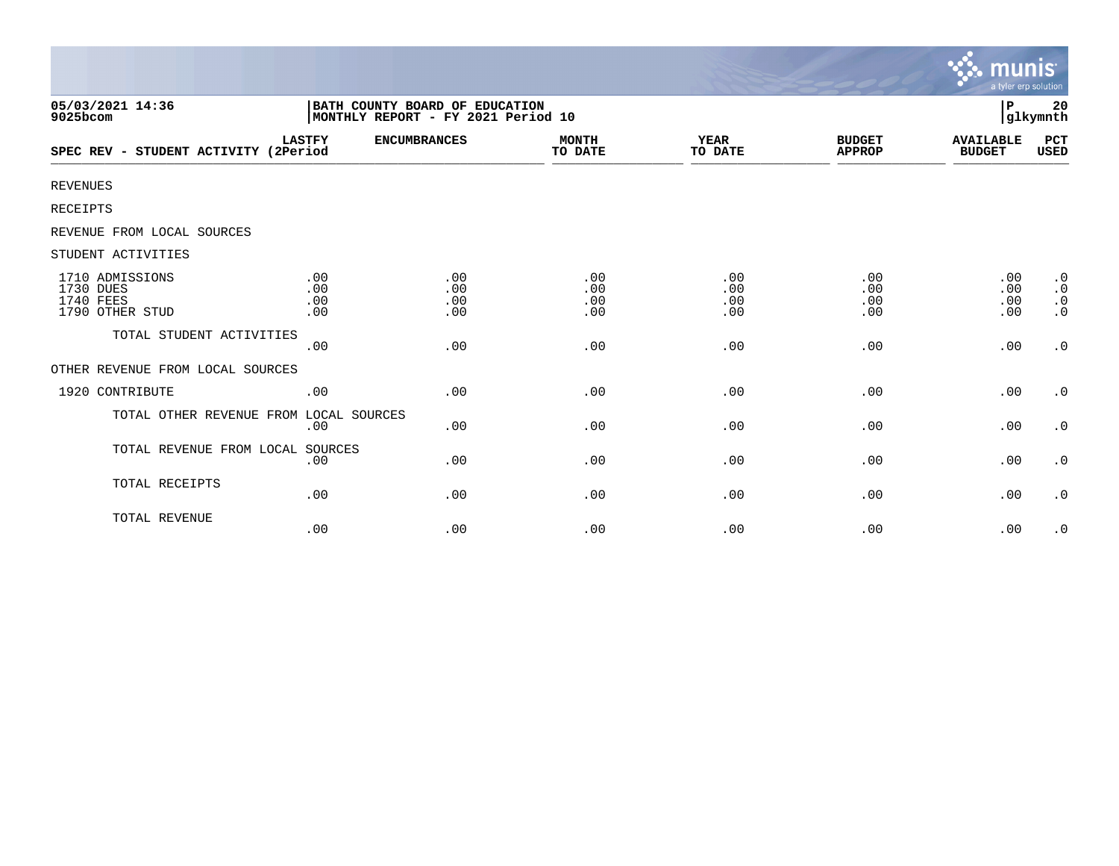|                                                                     |                                                                      |                          |                          |                          |                                | munis<br>a tyler erp solution     |                                                               |
|---------------------------------------------------------------------|----------------------------------------------------------------------|--------------------------|--------------------------|--------------------------|--------------------------------|-----------------------------------|---------------------------------------------------------------|
| 05/03/2021 14:36<br>$9025$ bcom                                     | BATH COUNTY BOARD OF EDUCATION<br>MONTHLY REPORT - FY 2021 Period 10 |                          |                          |                          |                                | P                                 | 20<br> glkymnth                                               |
| SPEC REV - STUDENT ACTIVITY (2Period                                | <b>LASTFY</b>                                                        | <b>ENCUMBRANCES</b>      | <b>MONTH</b><br>TO DATE  | <b>YEAR</b><br>TO DATE   | <b>BUDGET</b><br><b>APPROP</b> | <b>AVAILABLE</b><br><b>BUDGET</b> | PCT<br><b>USED</b>                                            |
| <b>REVENUES</b>                                                     |                                                                      |                          |                          |                          |                                |                                   |                                                               |
| <b>RECEIPTS</b>                                                     |                                                                      |                          |                          |                          |                                |                                   |                                                               |
| REVENUE FROM LOCAL SOURCES                                          |                                                                      |                          |                          |                          |                                |                                   |                                                               |
| STUDENT ACTIVITIES                                                  |                                                                      |                          |                          |                          |                                |                                   |                                                               |
| 1710 ADMISSIONS<br>1730 DUES<br><b>1740 FEES</b><br>1790 OTHER STUD | .00<br>.00<br>.00<br>.00                                             | .00<br>.00<br>.00<br>.00 | .00<br>.00<br>.00<br>.00 | .00<br>.00<br>.00<br>.00 | .00<br>.00<br>.00<br>.00       | .00<br>.00<br>.00<br>.00          | $\cdot$ 0<br>$\boldsymbol{\cdot}$ 0<br>$\cdot$ 0<br>$\cdot$ 0 |
| TOTAL STUDENT ACTIVITIES                                            | .00                                                                  | .00                      | .00                      | .00                      | .00                            | .00                               | $\cdot$ 0                                                     |
| OTHER REVENUE FROM LOCAL SOURCES                                    |                                                                      |                          |                          |                          |                                |                                   |                                                               |
| 1920 CONTRIBUTE                                                     | .00                                                                  | .00                      | .00                      | .00                      | .00                            | .00                               | $\cdot$ 0                                                     |
| TOTAL OTHER REVENUE FROM LOCAL SOURCES                              | .00                                                                  | .00                      | .00                      | .00                      | .00                            | .00                               | $\cdot$ 0                                                     |
| TOTAL REVENUE FROM LOCAL SOURCES                                    | .00                                                                  | .00                      | .00                      | .00                      | .00                            | .00                               | $\cdot$ 0                                                     |
| TOTAL RECEIPTS                                                      | .00                                                                  | .00                      | .00                      | .00                      | .00                            | .00                               | $\cdot$ 0                                                     |
| TOTAL REVENUE                                                       | .00                                                                  | .00                      | .00                      | .00                      | .00                            | .00                               | $\cdot$ 0                                                     |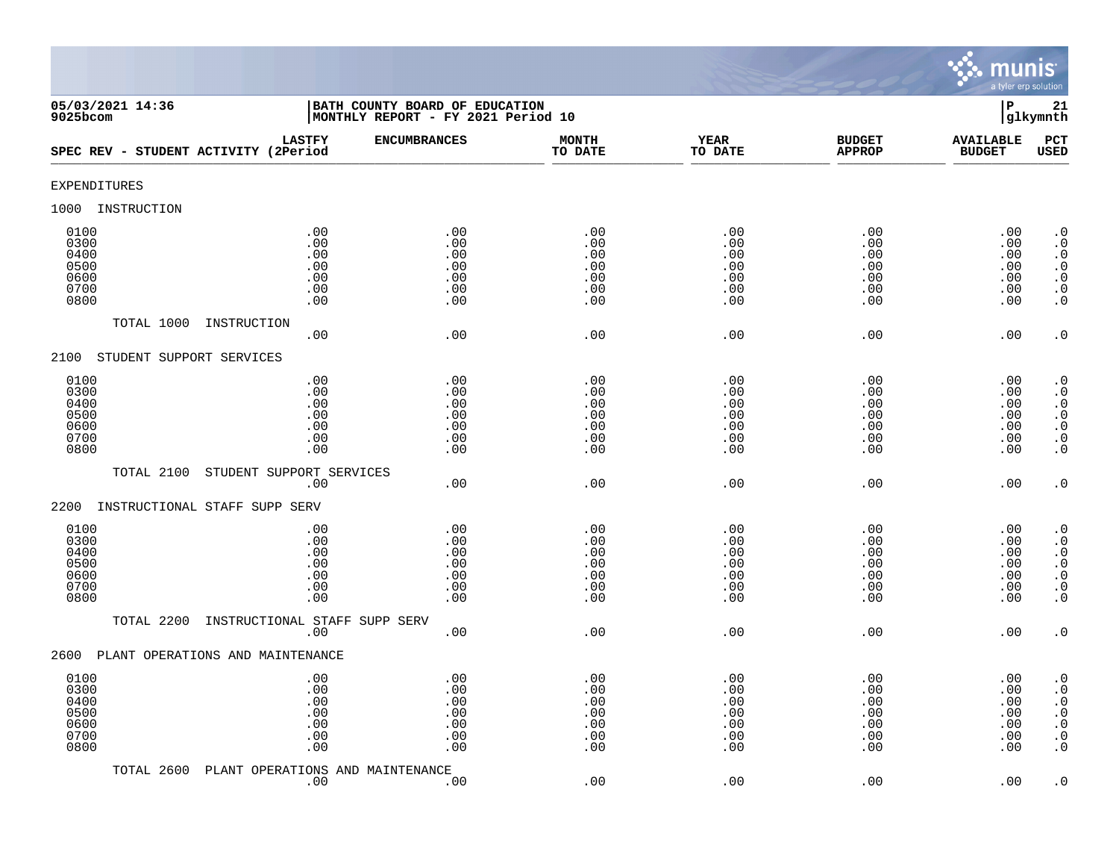

| 05/03/2021 14:36<br>9025bcom                         | BATH COUNTY BOARD OF EDUCATION<br>MONTHLY REPORT - FY 2021 Period 10 | $\, {\bf P}$<br>21<br>glkymnth                |                                               |                                                 |                                               |                                               |                                                                                                                                      |
|------------------------------------------------------|----------------------------------------------------------------------|-----------------------------------------------|-----------------------------------------------|-------------------------------------------------|-----------------------------------------------|-----------------------------------------------|--------------------------------------------------------------------------------------------------------------------------------------|
| SPEC REV - STUDENT ACTIVITY (2Period                 | <b>LASTFY</b>                                                        | <b>ENCUMBRANCES</b>                           | <b>MONTH</b><br>TO DATE                       | <b>YEAR</b><br>TO DATE                          | <b>BUDGET</b><br><b>APPROP</b>                | <b>AVAILABLE</b><br><b>BUDGET</b>             | PCT<br><b>USED</b>                                                                                                                   |
| <b>EXPENDITURES</b>                                  |                                                                      |                                               |                                               |                                                 |                                               |                                               |                                                                                                                                      |
| INSTRUCTION<br>1000                                  |                                                                      |                                               |                                               |                                                 |                                               |                                               |                                                                                                                                      |
| 0100<br>0300<br>0400<br>0500<br>0600<br>0700<br>0800 | .00<br>.00<br>.00<br>.00<br>.00<br>.00<br>.00                        | .00<br>.00<br>.00<br>.00<br>.00<br>.00<br>.00 | .00<br>.00<br>.00<br>.00<br>.00<br>.00<br>.00 | .00<br>.00<br>.00<br>.00<br>.00<br>.00<br>.00   | .00<br>.00<br>.00<br>.00<br>.00<br>.00<br>.00 | .00<br>.00<br>.00<br>.00<br>.00<br>.00<br>.00 | $\cdot$ 0<br>$\boldsymbol{\cdot}$ 0<br>$\cdot$ 0<br>$\begin{smallmatrix} . & 0 \\ . & 0 \end{smallmatrix}$<br>$\cdot$ 0<br>$\cdot$ 0 |
| TOTAL 1000                                           | INSTRUCTION<br>.00                                                   | .00                                           | .00                                           | .00                                             | .00                                           | .00                                           | $\cdot$ 0                                                                                                                            |
| STUDENT SUPPORT SERVICES<br>2100                     |                                                                      |                                               |                                               |                                                 |                                               |                                               |                                                                                                                                      |
| 0100<br>0300<br>0400<br>0500<br>0600<br>0700<br>0800 | .00<br>.00<br>.00<br>.00<br>.00<br>.00<br>.00                        | .00<br>.00<br>.00<br>.00<br>.00<br>.00<br>.00 | .00<br>.00<br>.00<br>.00<br>.00<br>.00<br>.00 | .00<br>.00<br>.00<br>.00<br>.00<br>.00<br>.00   | .00<br>.00<br>.00<br>.00<br>.00<br>.00<br>.00 | .00<br>.00<br>.00<br>.00<br>.00<br>.00<br>.00 | $\cdot$ 0<br>$\overline{0}$<br>$\cdot$ 0<br>$\begin{array}{c} 0.0 \\ 0.0 \\ 0.0 \end{array}$<br>$\ddot{0}$                           |
| TOTAL 2100                                           | STUDENT SUPPORT SERVICES<br>.00                                      | .00                                           | .00                                           | .00                                             | .00                                           | .00                                           | $\cdot$ 0                                                                                                                            |
| 2200<br>INSTRUCTIONAL STAFF SUPP SERV                |                                                                      |                                               |                                               |                                                 |                                               |                                               |                                                                                                                                      |
| 0100<br>0300<br>0400<br>0500<br>0600<br>0700<br>0800 | .00<br>.00<br>.00<br>.00<br>.00<br>.00<br>.00                        | .00<br>.00<br>.00<br>.00<br>.00<br>.00<br>.00 | .00<br>.00<br>.00<br>.00<br>.00<br>.00<br>.00 | .00<br>.00<br>.00<br>.00<br>.00<br>$.00$<br>.00 | .00<br>.00<br>.00<br>.00<br>.00<br>.00<br>.00 | .00<br>.00<br>.00<br>.00<br>.00<br>.00<br>.00 | $\cdot$ 0<br>$\cdot$ 0<br>$\cdot$ 0<br>$\boldsymbol{\cdot}$ 0<br>$\boldsymbol{\cdot}$ 0<br>$\boldsymbol{\cdot}$ 0<br>$\cdot$ 0       |
| TOTAL 2200                                           | INSTRUCTIONAL STAFF SUPP SERV<br>.00                                 | .00                                           | .00                                           | .00                                             | .00                                           | .00                                           | $\cdot$ 0                                                                                                                            |
| 2600                                                 | PLANT OPERATIONS AND MAINTENANCE                                     |                                               |                                               |                                                 |                                               |                                               |                                                                                                                                      |
| 0100<br>0300<br>0400<br>0500<br>0600<br>0700<br>0800 | .00<br>.00<br>.00<br>.00<br>.00<br>.00<br>.00                        | .00<br>.00<br>.00<br>.00<br>.00<br>.00<br>.00 | .00<br>.00<br>.00<br>.00<br>.00<br>.00<br>.00 | .00<br>.00<br>.00<br>.00<br>.00<br>.00<br>.00   | .00<br>.00<br>.00<br>.00<br>.00<br>.00<br>.00 | .00<br>.00<br>.00<br>.00<br>.00<br>.00<br>.00 | $\cdot$ 0<br>$\cdot$ 0<br>$\begin{array}{c} 0.0 \\ 0.0 \\ 0.0 \end{array}$<br>$\boldsymbol{\cdot}$ 0<br>$\cdot$ 0                    |
| TOTAL 2600                                           | PLANT OPERATIONS AND MAINTENANCE<br>.00                              | .00                                           | .00                                           | .00                                             | .00                                           | .00                                           | $\cdot$ 0                                                                                                                            |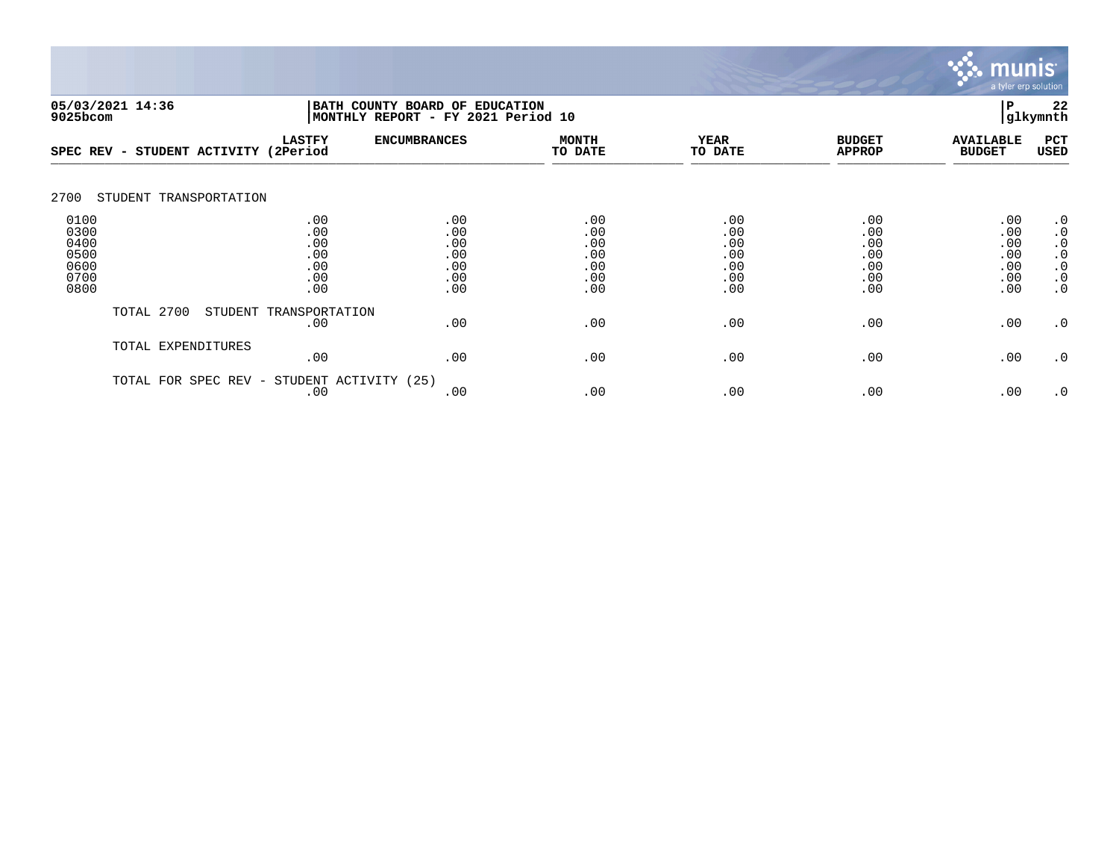

| 05/03/2021 14:36<br>BATH COUNTY BOARD OF<br>9025bcom |                        |                                               | MONTHLY REPORT - FY 2021 Period 10            | <b>EDUCATION</b><br>P<br> glkymnth            |                                               |                                               |                                               |                                                                                         |  |
|------------------------------------------------------|------------------------|-----------------------------------------------|-----------------------------------------------|-----------------------------------------------|-----------------------------------------------|-----------------------------------------------|-----------------------------------------------|-----------------------------------------------------------------------------------------|--|
| $SPEC$ REV $-$                                       | STUDENT ACTIVITY       | <b>LASTFY</b><br>(2Period                     | <b>ENCUMBRANCES</b>                           | <b>MONTH</b><br>TO DATE                       | <b>YEAR</b><br>TO DATE                        | <b>BUDGET</b><br><b>APPROP</b>                | <b>AVAILABLE</b><br><b>BUDGET</b>             | PCT<br><b>USED</b>                                                                      |  |
| 2700                                                 | STUDENT TRANSPORTATION |                                               |                                               |                                               |                                               |                                               |                                               |                                                                                         |  |
| 0100<br>0300<br>0400<br>0500<br>0600<br>0700<br>0800 |                        | .00<br>.00<br>.00<br>.00<br>.00<br>.00<br>.00 | .00<br>.00<br>.00<br>.00<br>.00<br>.00<br>.00 | .00<br>.00<br>.00<br>.00<br>.00<br>.00<br>.00 | .00<br>.00<br>.00<br>.00<br>.00<br>.00<br>.00 | .00<br>.00<br>.00<br>.00<br>.00<br>.00<br>.00 | .00<br>.00<br>.00<br>.00<br>.00<br>.00<br>.00 | $\cdot$ 0<br>$\cdot$ 0<br>$\cdot$ 0<br>$\cdot$ 0<br>$\cdot$ 0<br>$\cdot$ 0<br>$\cdot$ 0 |  |
|                                                      | TOTAL 2700             | STUDENT TRANSPORTATION<br>.00                 | .00                                           | .00                                           | .00                                           | .00                                           | .00                                           | $\cdot$ 0                                                                               |  |
|                                                      | TOTAL EXPENDITURES     | .00                                           | .00                                           | .00                                           | .00                                           | .00                                           | .00                                           | $\cdot$ 0                                                                               |  |
|                                                      | TOTAL FOR SPEC REV -   | STUDENT ACTIVITY (25)<br>.00                  | .00                                           | .00                                           | .00                                           | .00                                           | .00                                           | $\cdot$ 0                                                                               |  |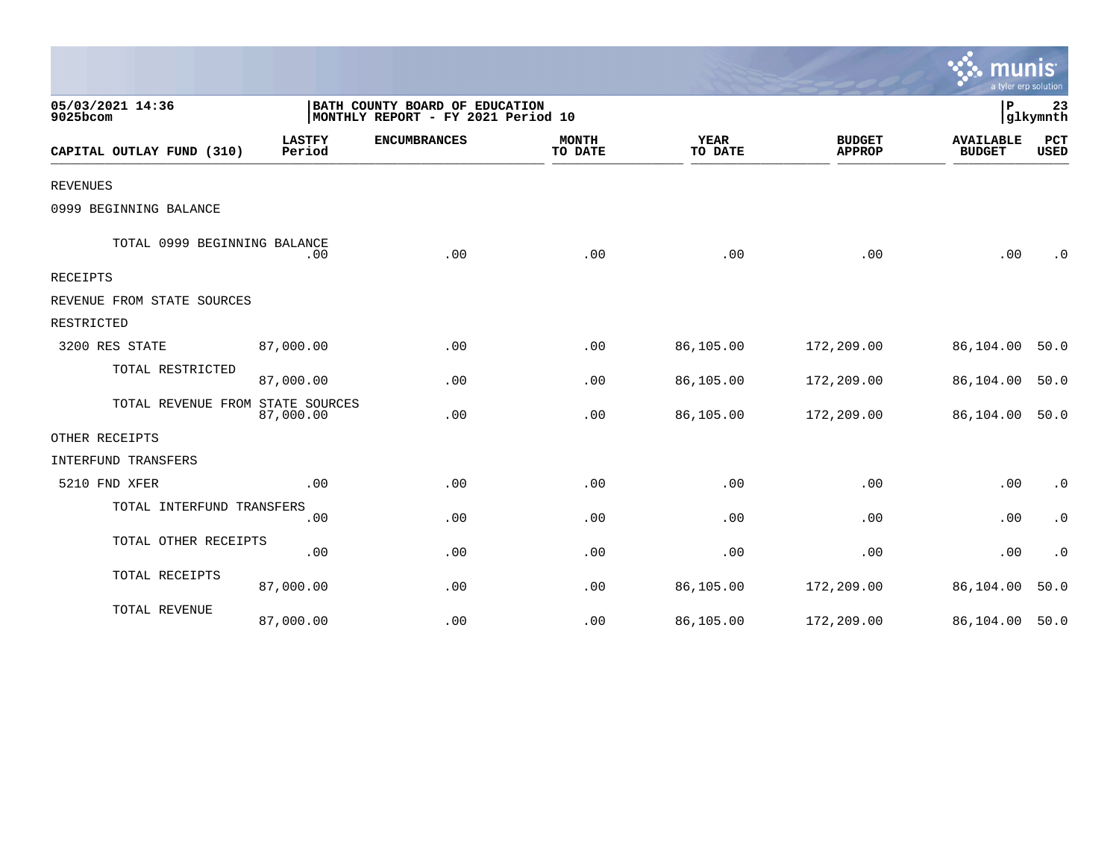|                                  |                                                                      |                     |                         |                 |                                | a tyler erp solution              |                        |
|----------------------------------|----------------------------------------------------------------------|---------------------|-------------------------|-----------------|--------------------------------|-----------------------------------|------------------------|
| 05/03/2021 14:36<br>9025bcom     | BATH COUNTY BOARD OF EDUCATION<br>MONTHLY REPORT - FY 2021 Period 10 |                     |                         |                 |                                | P                                 | 23<br>glkymnth         |
| CAPITAL OUTLAY FUND (310)        | <b>LASTFY</b><br>Period                                              | <b>ENCUMBRANCES</b> | <b>MONTH</b><br>TO DATE | YEAR<br>TO DATE | <b>BUDGET</b><br><b>APPROP</b> | <b>AVAILABLE</b><br><b>BUDGET</b> | PCT<br><b>USED</b>     |
| <b>REVENUES</b>                  |                                                                      |                     |                         |                 |                                |                                   |                        |
| 0999 BEGINNING BALANCE           |                                                                      |                     |                         |                 |                                |                                   |                        |
| TOTAL 0999 BEGINNING BALANCE     | .00                                                                  | .00                 | .00                     | .00             | .00                            | .00                               | $\cdot$ 0              |
| RECEIPTS                         |                                                                      |                     |                         |                 |                                |                                   |                        |
| REVENUE FROM STATE SOURCES       |                                                                      |                     |                         |                 |                                |                                   |                        |
| RESTRICTED                       |                                                                      |                     |                         |                 |                                |                                   |                        |
| 3200 RES STATE                   | 87,000.00                                                            | .00                 | .00                     | 86,105.00       | 172,209.00                     | 86,104.00                         | 50.0                   |
| TOTAL RESTRICTED                 | 87,000.00                                                            | .00                 | .00                     | 86,105.00       | 172,209.00                     | 86,104.00                         | 50.0                   |
| TOTAL REVENUE FROM STATE SOURCES | 87,000.00                                                            | .00                 | .00                     | 86,105.00       | 172,209.00                     | 86,104.00 50.0                    |                        |
| OTHER RECEIPTS                   |                                                                      |                     |                         |                 |                                |                                   |                        |
| INTERFUND TRANSFERS              |                                                                      |                     |                         |                 |                                |                                   |                        |
| 5210 FND XFER                    | .00                                                                  | .00                 | .00                     | .00             | .00                            | .00                               | $\cdot$ 0              |
| TOTAL INTERFUND TRANSFERS        | .00                                                                  | .00                 | .00                     | .00             | .00                            | .00                               | $\cdot$ 0              |
| TOTAL OTHER RECEIPTS             | .00                                                                  | .00                 | .00                     | .00             | .00                            | .00                               | $\boldsymbol{\cdot}$ 0 |
| TOTAL RECEIPTS                   | 87,000.00                                                            | .00                 | .00                     | 86,105.00       | 172,209.00                     | 86,104.00                         | 50.0                   |
| TOTAL REVENUE                    | 87,000.00                                                            | .00                 | .00                     | 86,105.00       | 172,209.00                     | 86,104.00 50.0                    |                        |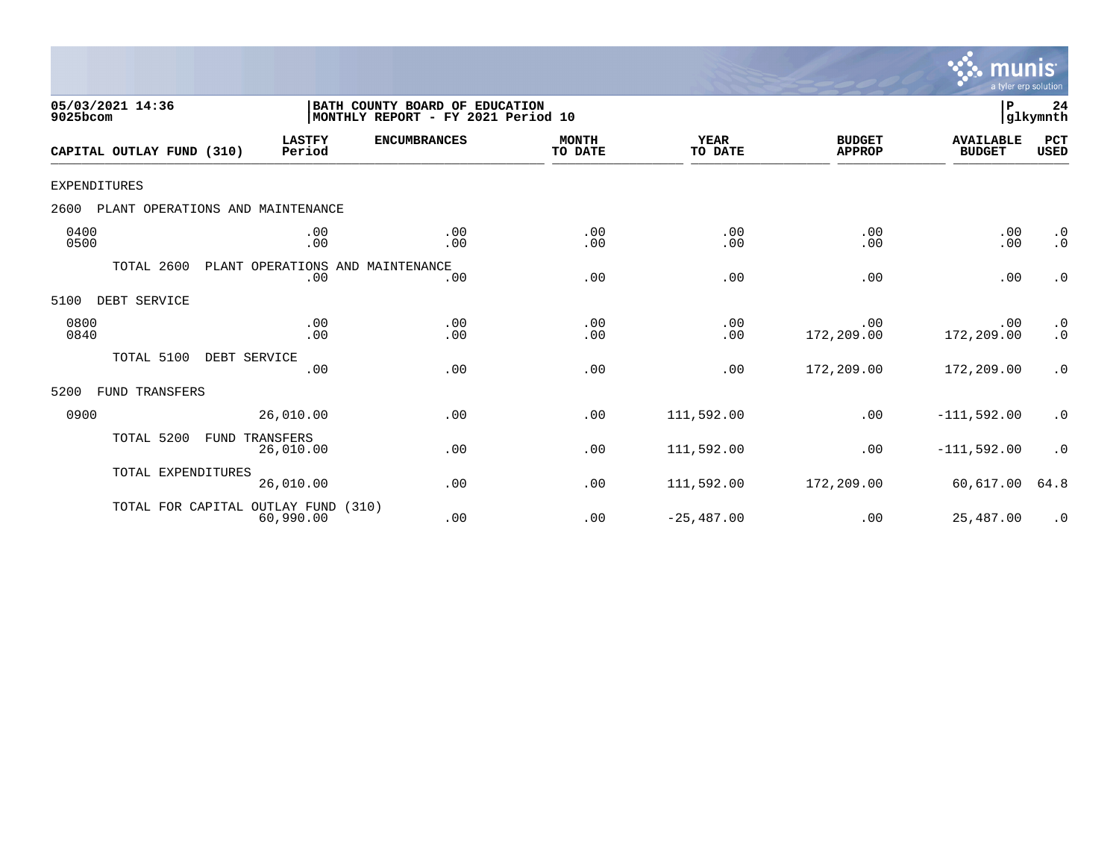

| 05/03/2021 14:36<br>9025bcom             |                                         | BATH COUNTY BOARD OF EDUCATION<br>MONTHLY REPORT - FY 2021 Period 10 |                         |                        |                                |                                   | 24<br>glkymnth                                     |
|------------------------------------------|-----------------------------------------|----------------------------------------------------------------------|-------------------------|------------------------|--------------------------------|-----------------------------------|----------------------------------------------------|
| CAPITAL OUTLAY FUND (310)                | <b>LASTFY</b><br>Period                 | <b>ENCUMBRANCES</b>                                                  | <b>MONTH</b><br>TO DATE | <b>YEAR</b><br>TO DATE | <b>BUDGET</b><br><b>APPROP</b> | <b>AVAILABLE</b><br><b>BUDGET</b> | PCT<br><b>USED</b>                                 |
| <b>EXPENDITURES</b>                      |                                         |                                                                      |                         |                        |                                |                                   |                                                    |
| 2600<br>PLANT OPERATIONS AND MAINTENANCE |                                         |                                                                      |                         |                        |                                |                                   |                                                    |
| 0400<br>0500                             | .00<br>.00                              | .00<br>.00                                                           | .00<br>.00              | .00<br>.00             | .00<br>.00                     | .00<br>.00                        | $\cdot$ 0<br>$\cdot$ 0                             |
| TOTAL 2600                               | PLANT OPERATIONS AND MAINTENANCE<br>.00 | .00                                                                  | .00                     | .00                    | .00                            | .00                               | $\cdot$ 0                                          |
| DEBT SERVICE<br>5100                     |                                         |                                                                      |                         |                        |                                |                                   |                                                    |
| 0800<br>0840                             | .00<br>.00                              | .00<br>.00                                                           | .00<br>.00              | .00<br>.00             | .00<br>172,209.00              | .00<br>172,209.00                 | $\begin{smallmatrix} 0.1 \\ 0.1 \end{smallmatrix}$ |
| TOTAL 5100                               | DEBT SERVICE<br>.00                     | .00                                                                  | .00                     | .00                    | 172,209.00                     | 172,209.00                        | $\cdot$ 0                                          |
| 5200<br>FUND TRANSFERS                   |                                         |                                                                      |                         |                        |                                |                                   |                                                    |
| 0900                                     | 26,010.00                               | .00                                                                  | .00                     | 111,592.00             | .00                            | $-111,592.00$                     | $\cdot$ 0                                          |
| TOTAL 5200<br>FUND                       | TRANSFERS<br>26,010.00                  | .00                                                                  | .00                     | 111,592.00             | .00                            | $-111,592.00$                     | $\cdot$ 0                                          |
| TOTAL EXPENDITURES                       | 26,010.00                               | .00                                                                  | .00                     | 111,592.00             | 172,209.00                     | 60,617.00                         | 64.8                                               |
| TOTAL FOR CAPITAL OUTLAY FUND            | 60,990.00                               | (310)<br>.00                                                         | .00                     | $-25,487.00$           | .00                            | 25,487.00                         | $\cdot$ 0                                          |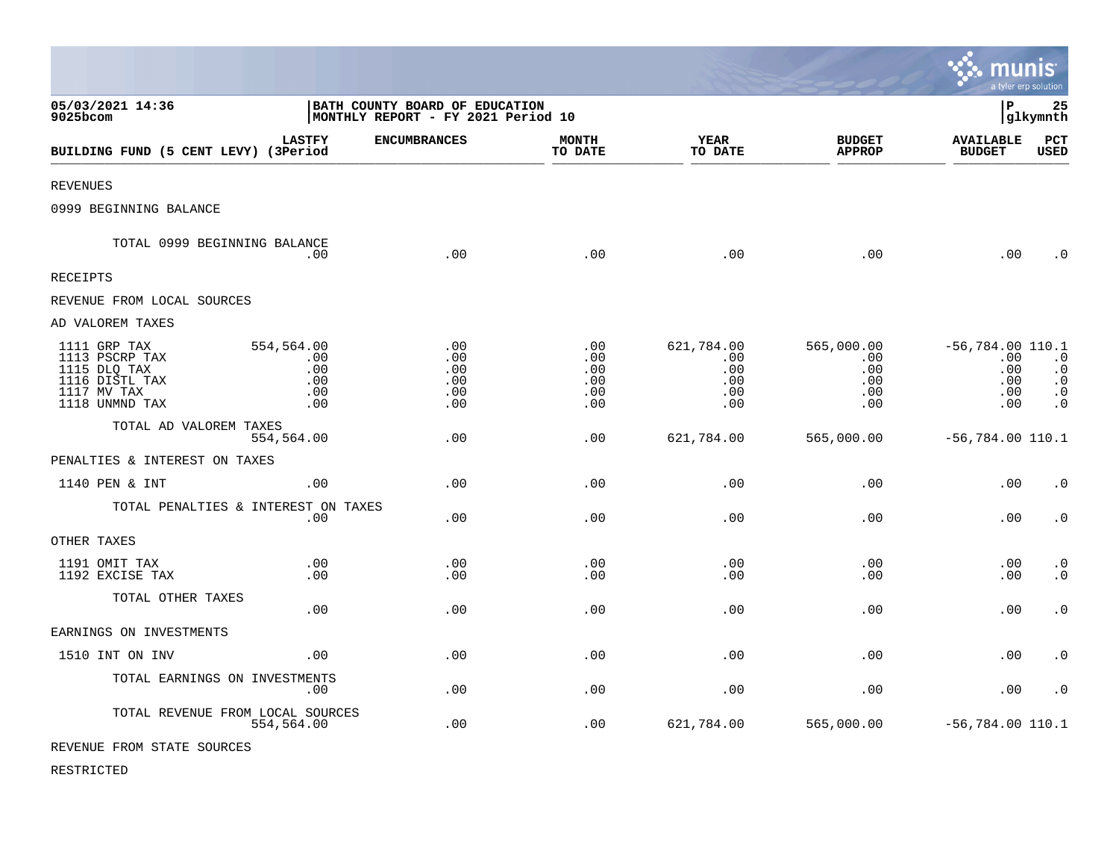|                                                                                                   |                                               |                                                                      |                                             |                                               |                                               | munis                                                 | a tyler erp solution                                          |
|---------------------------------------------------------------------------------------------------|-----------------------------------------------|----------------------------------------------------------------------|---------------------------------------------|-----------------------------------------------|-----------------------------------------------|-------------------------------------------------------|---------------------------------------------------------------|
| 05/03/2021 14:36<br>9025bcom                                                                      |                                               | BATH COUNTY BOARD OF EDUCATION<br>MONTHLY REPORT - FY 2021 Period 10 |                                             |                                               |                                               | l P                                                   | 25<br> glkymnth                                               |
| BUILDING FUND (5 CENT LEVY) (3Period                                                              | <b>LASTFY</b>                                 | <b>ENCUMBRANCES</b>                                                  | <b>MONTH</b><br>TO DATE                     | <b>YEAR</b><br>TO DATE                        | <b>BUDGET</b><br><b>APPROP</b>                | <b>AVAILABLE</b><br><b>BUDGET</b>                     | PCT<br><b>USED</b>                                            |
| <b>REVENUES</b>                                                                                   |                                               |                                                                      |                                             |                                               |                                               |                                                       |                                                               |
| 0999 BEGINNING BALANCE                                                                            |                                               |                                                                      |                                             |                                               |                                               |                                                       |                                                               |
| TOTAL 0999 BEGINNING BALANCE                                                                      | .00                                           | .00                                                                  | .00                                         | .00                                           | .00                                           | .00                                                   | $\cdot$ 0                                                     |
| RECEIPTS                                                                                          |                                               |                                                                      |                                             |                                               |                                               |                                                       |                                                               |
| REVENUE FROM LOCAL SOURCES                                                                        |                                               |                                                                      |                                             |                                               |                                               |                                                       |                                                               |
| AD VALOREM TAXES                                                                                  |                                               |                                                                      |                                             |                                               |                                               |                                                       |                                                               |
| 1111 GRP TAX<br>1113 PSCRP TAX<br>1115 DLQ TAX<br>1116 DISTL TAX<br>1117 MV TAX<br>1118 UNMND TAX | 554,564.00<br>.00<br>.00<br>.00<br>.00<br>.00 | .00<br>.00<br>.00<br>.00<br>.00<br>.00                               | $.00 \,$<br>.00<br>.00<br>.00<br>.00<br>.00 | 621,784.00<br>.00<br>.00<br>.00<br>.00<br>.00 | 565,000.00<br>.00<br>.00<br>.00<br>.00<br>.00 | $-56,784.00$ 110.1<br>.00<br>.00<br>.00<br>.00<br>.00 | $\cdot$ 0<br>$\cdot$ 0<br>$\cdot$ 0<br>$\cdot$ 0<br>$\cdot$ 0 |
| TOTAL AD VALOREM TAXES                                                                            | 554,564.00                                    | .00                                                                  | .00                                         | 621,784.00                                    | 565,000.00                                    | $-56,784.00$ 110.1                                    |                                                               |
| PENALTIES & INTEREST ON TAXES                                                                     |                                               |                                                                      |                                             |                                               |                                               |                                                       |                                                               |
| 1140 PEN & INT                                                                                    | .00                                           | .00                                                                  | .00                                         | .00                                           | .00                                           | .00                                                   | $\cdot$ 0                                                     |
| TOTAL PENALTIES & INTEREST ON TAXES                                                               | .00                                           | .00                                                                  | .00                                         | .00                                           | .00                                           | .00                                                   | $\cdot$ 0                                                     |
| OTHER TAXES                                                                                       |                                               |                                                                      |                                             |                                               |                                               |                                                       |                                                               |
| 1191 OMIT TAX<br>1192 EXCISE TAX                                                                  | .00<br>.00                                    | .00<br>.00                                                           | .00<br>.00                                  | .00<br>.00                                    | .00<br>.00                                    | .00<br>.00                                            | $\cdot$ 0<br>$\cdot$ 0                                        |
| TOTAL OTHER TAXES                                                                                 | .00                                           | .00                                                                  | .00                                         | .00                                           | .00                                           | .00                                                   | $\cdot$ 0                                                     |
| EARNINGS ON INVESTMENTS                                                                           |                                               |                                                                      |                                             |                                               |                                               |                                                       |                                                               |
| 1510 INT ON INV                                                                                   | .00                                           | .00                                                                  | .00                                         | .00                                           | .00                                           | .00                                                   | $\cdot$ 0                                                     |
| TOTAL EARNINGS ON INVESTMENTS                                                                     | .00                                           | .00                                                                  | .00                                         | .00                                           | .00                                           | .00                                                   | $\cdot$ 0                                                     |
| TOTAL REVENUE FROM LOCAL SOURCES                                                                  | 554,564.00                                    | .00                                                                  | .00                                         | 621,784.00                                    | 565,000.00                                    | $-56,784.00$ 110.1                                    |                                                               |
| REVENUE FROM STATE SOURCES                                                                        |                                               |                                                                      |                                             |                                               |                                               |                                                       |                                                               |

 $\bullet$ 

RESTRICTED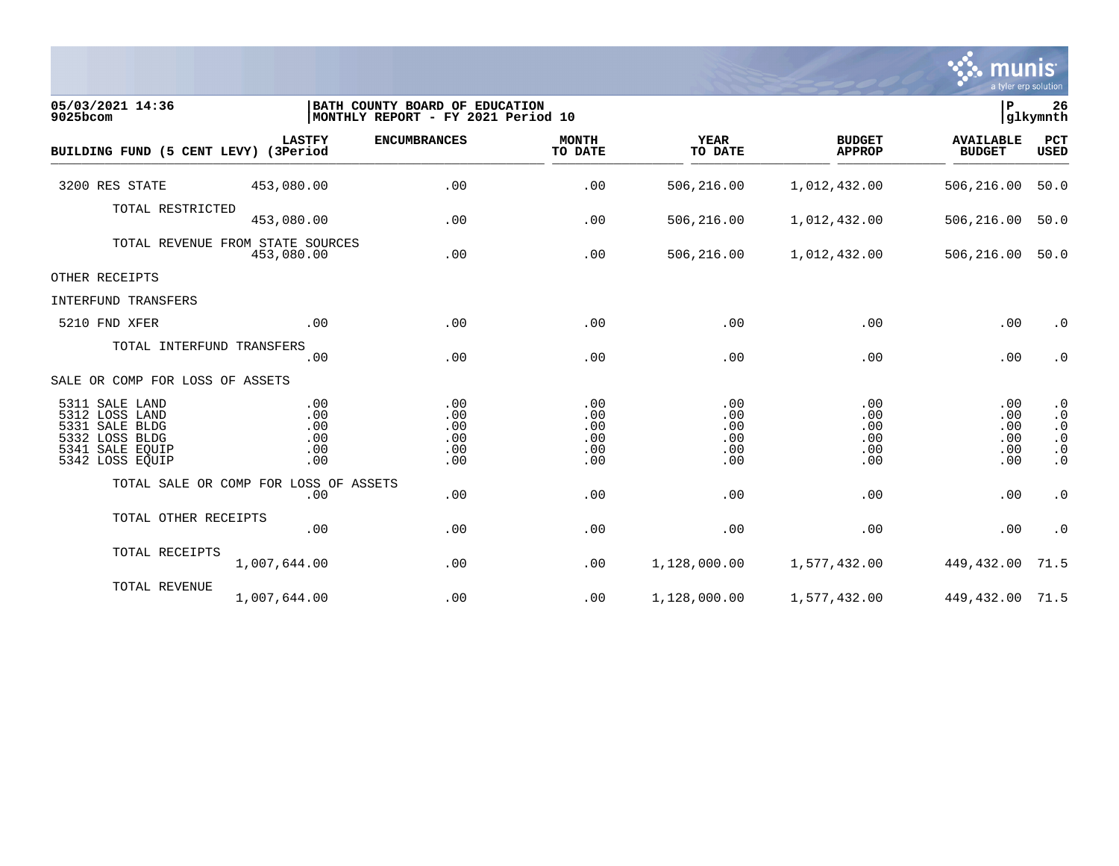

| 05/03/2021 14:36<br>9025bcom                                                                                  |                                                | BATH COUNTY BOARD OF EDUCATION<br>MONTHLY REPORT - FY 2021 Period 10 |                                        |                                        |                                        | P                                      | 26<br>glkymnth                                                             |
|---------------------------------------------------------------------------------------------------------------|------------------------------------------------|----------------------------------------------------------------------|----------------------------------------|----------------------------------------|----------------------------------------|----------------------------------------|----------------------------------------------------------------------------|
| BUILDING FUND (5 CENT LEVY) (3Period                                                                          | <b>LASTFY</b>                                  | <b>ENCUMBRANCES</b>                                                  | <b>MONTH</b><br>TO DATE                | <b>YEAR</b><br>TO DATE                 | <b>BUDGET</b><br><b>APPROP</b>         | <b>AVAILABLE</b><br><b>BUDGET</b>      | PCT<br>USED                                                                |
| 3200 RES STATE                                                                                                | 453,080.00                                     | .00                                                                  | .00                                    | 506,216.00                             | 1,012,432.00                           | 506,216.00                             | 50.0                                                                       |
| TOTAL RESTRICTED                                                                                              | 453,080.00                                     | .00                                                                  | .00                                    | 506,216.00                             | 1,012,432.00                           | 506,216.00                             | 50.0                                                                       |
|                                                                                                               | TOTAL REVENUE FROM STATE SOURCES<br>453,080.00 | .00                                                                  | .00                                    | 506,216.00                             | 1,012,432.00                           | 506,216.00                             | 50.0                                                                       |
| OTHER RECEIPTS                                                                                                |                                                |                                                                      |                                        |                                        |                                        |                                        |                                                                            |
| INTERFUND TRANSFERS                                                                                           |                                                |                                                                      |                                        |                                        |                                        |                                        |                                                                            |
| 5210 FND XFER                                                                                                 | .00                                            | .00                                                                  | .00                                    | .00                                    | .00                                    | .00                                    | $\cdot$ 0                                                                  |
| TOTAL INTERFUND TRANSFERS                                                                                     | .00                                            | .00                                                                  | .00                                    | .00                                    | .00                                    | .00                                    | $\cdot$ 0                                                                  |
| SALE OR COMP FOR LOSS OF ASSETS                                                                               |                                                |                                                                      |                                        |                                        |                                        |                                        |                                                                            |
| 5311 SALE LAND<br>5312 LOSS LAND<br>5331 SALE BLDG<br>5332 LOSS BLDG<br>5341<br>SALE EQUIP<br>5342 LOSS EQUIP | .00<br>.00<br>.00<br>.00<br>.00<br>.00         | .00<br>.00<br>.00<br>.00<br>.00<br>.00                               | .00<br>.00<br>.00<br>.00<br>.00<br>.00 | .00<br>.00<br>.00<br>.00<br>.00<br>.00 | .00<br>.00<br>.00<br>.00<br>.00<br>.00 | .00<br>.00<br>.00<br>.00<br>.00<br>.00 | $\cdot$ 0<br>$\cdot$ 0<br>$\cdot$ 0<br>$\cdot$ 0<br>$\cdot$ 0<br>$\cdot$ 0 |
|                                                                                                               | TOTAL SALE OR COMP FOR LOSS OF ASSETS<br>.00   | .00                                                                  | .00                                    | .00                                    | .00                                    | .00                                    | $\cdot$ 0                                                                  |
| TOTAL OTHER RECEIPTS                                                                                          | .00                                            | .00                                                                  | .00                                    | .00                                    | .00                                    | .00                                    | $\cdot$ 0                                                                  |
| TOTAL RECEIPTS                                                                                                | 1,007,644.00                                   | .00                                                                  | .00                                    | 1,128,000.00                           | 1,577,432.00                           | 449,432.00                             | 71.5                                                                       |
| TOTAL REVENUE                                                                                                 | 1,007,644.00                                   | .00                                                                  | .00                                    | 1,128,000.00                           | 1,577,432.00                           | 449, 432.00 71.5                       |                                                                            |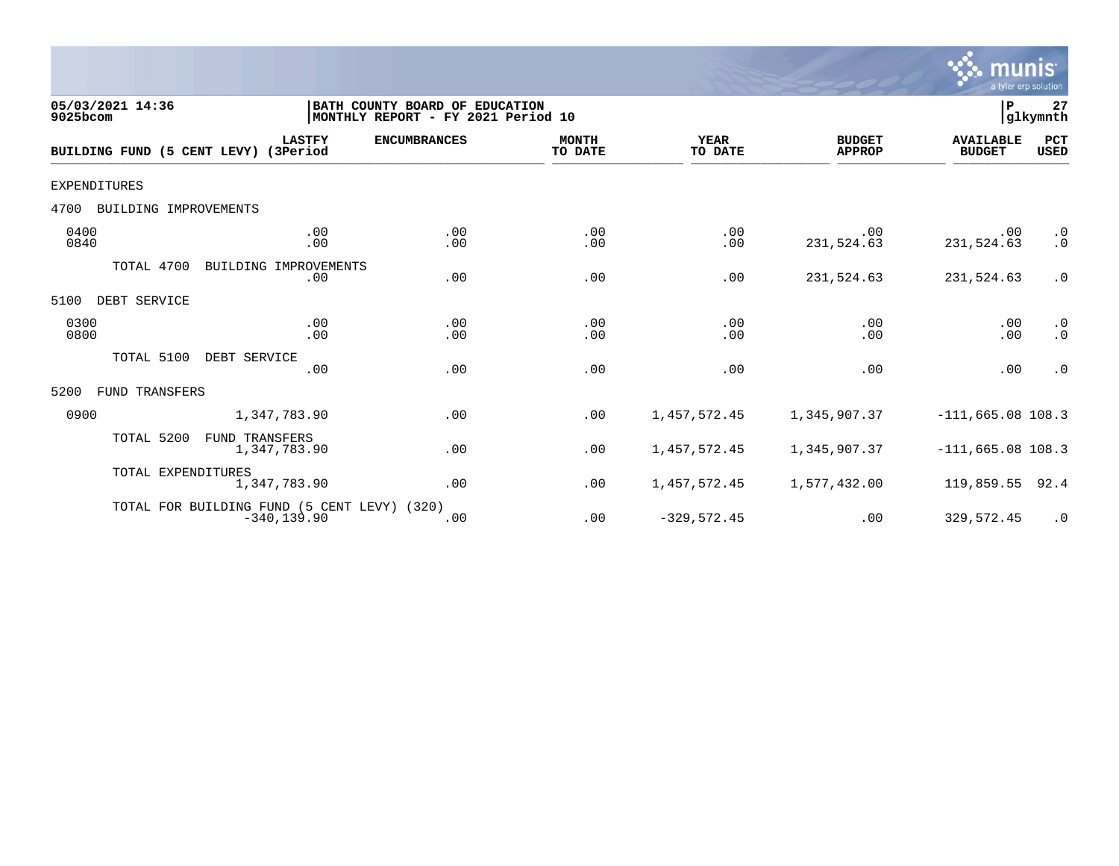

| 05/03/2021 14:36<br>9025bcom  |                                                               | BATH COUNTY BOARD OF EDUCATION<br>MONTHLY REPORT - FY 2021 Period 10 |                         |                        |                                | P                                 | 27<br>glkymnth         |
|-------------------------------|---------------------------------------------------------------|----------------------------------------------------------------------|-------------------------|------------------------|--------------------------------|-----------------------------------|------------------------|
|                               | <b>LASTFY</b><br>BUILDING FUND (5 CENT LEVY) (3Period         | <b>ENCUMBRANCES</b>                                                  | <b>MONTH</b><br>TO DATE | <b>YEAR</b><br>TO DATE | <b>BUDGET</b><br><b>APPROP</b> | <b>AVAILABLE</b><br><b>BUDGET</b> | PCT<br><b>USED</b>     |
| <b>EXPENDITURES</b>           |                                                               |                                                                      |                         |                        |                                |                                   |                        |
| BUILDING IMPROVEMENTS<br>4700 |                                                               |                                                                      |                         |                        |                                |                                   |                        |
| 0400<br>0840                  | .00<br>.00                                                    | .00<br>.00                                                           | .00<br>.00              | .00<br>.00             | .00<br>231,524.63              | .00<br>231,524.63                 | $\cdot$ 0<br>$\cdot$ 0 |
| TOTAL 4700                    | BUILDING IMPROVEMENTS<br>.00                                  | .00                                                                  | .00                     | .00                    | 231,524.63                     | 231,524.63                        | $\cdot$ 0              |
| DEBT SERVICE<br>5100          |                                                               |                                                                      |                         |                        |                                |                                   |                        |
| 0300<br>0800                  | .00<br>.00                                                    | .00<br>.00                                                           | .00<br>.00              | .00<br>.00             | .00<br>.00                     | .00<br>.00                        | $\cdot$ 0<br>$\cdot$ 0 |
| TOTAL 5100                    | DEBT SERVICE<br>.00                                           | .00                                                                  | .00                     | .00                    | .00                            | .00                               | $\cdot$ 0              |
| 5200<br>FUND TRANSFERS        |                                                               |                                                                      |                         |                        |                                |                                   |                        |
| 0900                          | 1,347,783.90                                                  | .00                                                                  | .00                     | 1,457,572.45           | 1,345,907.37                   | $-111,665.08$ 108.3               |                        |
| TOTAL 5200                    | <b>FUND TRANSFERS</b><br>1,347,783.90                         | .00                                                                  | .00                     | 1,457,572.45           | 1,345,907.37                   | $-111,665.08$ 108.3               |                        |
| TOTAL EXPENDITURES            | 1,347,783.90                                                  | .00                                                                  | .00                     | 1,457,572.45           | 1,577,432.00                   | 119,859.55                        | 92.4                   |
|                               | TOTAL FOR BUILDING FUND (5 CENT LEVY) (320)<br>$-340, 139.90$ | .00                                                                  | .00                     | $-329,572.45$          | .00                            | 329,572.45                        | $\cdot$ 0              |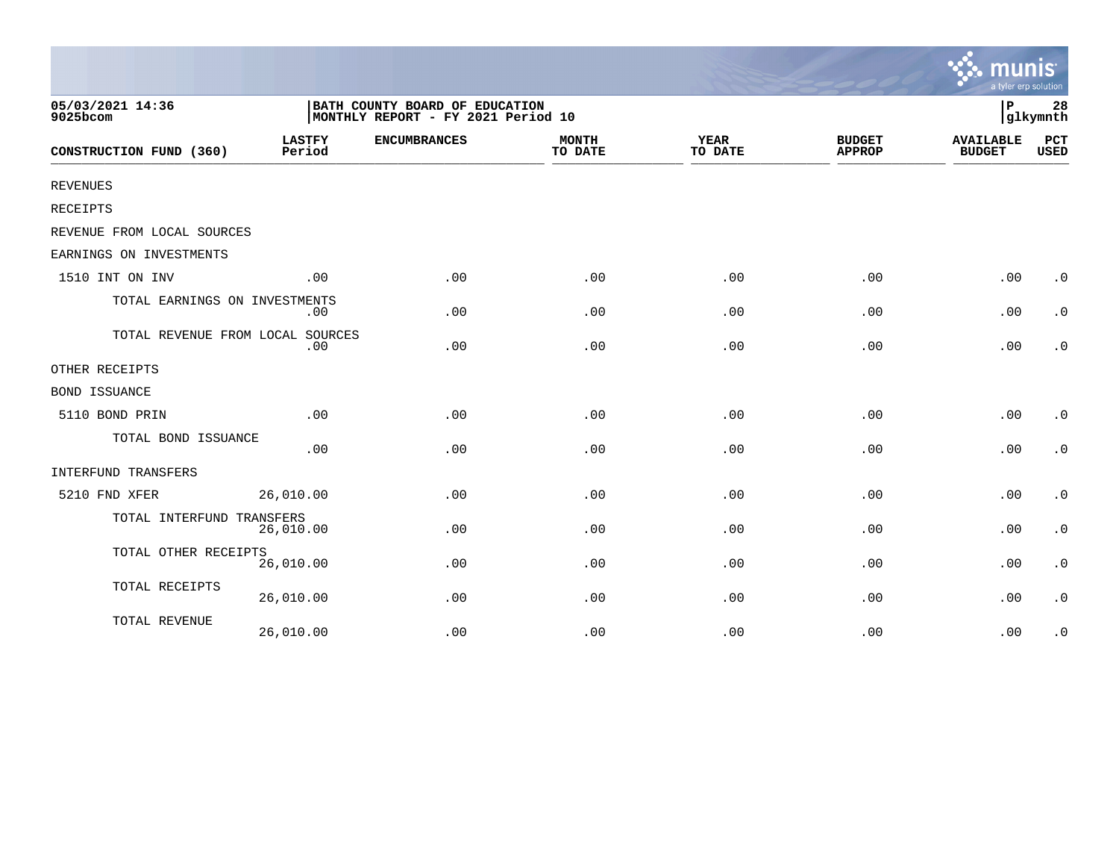|                                  |                                                                      |                     |                         |                        |                                | a tyler erp solution              |                        |
|----------------------------------|----------------------------------------------------------------------|---------------------|-------------------------|------------------------|--------------------------------|-----------------------------------|------------------------|
| 05/03/2021 14:36<br>9025bcom     | BATH COUNTY BOARD OF EDUCATION<br>MONTHLY REPORT - FY 2021 Period 10 |                     |                         |                        |                                |                                   | 28<br>glkymnth         |
| CONSTRUCTION FUND (360)          | <b>LASTFY</b><br>Period                                              | <b>ENCUMBRANCES</b> | <b>MONTH</b><br>TO DATE | <b>YEAR</b><br>TO DATE | <b>BUDGET</b><br><b>APPROP</b> | <b>AVAILABLE</b><br><b>BUDGET</b> | PCT<br><b>USED</b>     |
| <b>REVENUES</b>                  |                                                                      |                     |                         |                        |                                |                                   |                        |
| RECEIPTS                         |                                                                      |                     |                         |                        |                                |                                   |                        |
| REVENUE FROM LOCAL SOURCES       |                                                                      |                     |                         |                        |                                |                                   |                        |
| EARNINGS ON INVESTMENTS          |                                                                      |                     |                         |                        |                                |                                   |                        |
| 1510 INT ON INV                  | .00                                                                  | .00                 | .00                     | .00                    | .00                            | .00                               | $\cdot$ 0              |
| TOTAL EARNINGS ON INVESTMENTS    | .00                                                                  | .00                 | .00                     | .00                    | .00                            | .00                               | $\cdot$ 0              |
| TOTAL REVENUE FROM LOCAL SOURCES | .00                                                                  | .00                 | .00                     | .00                    | .00                            | .00                               | $\cdot$ 0              |
| OTHER RECEIPTS                   |                                                                      |                     |                         |                        |                                |                                   |                        |
| <b>BOND ISSUANCE</b>             |                                                                      |                     |                         |                        |                                |                                   |                        |
| 5110 BOND PRIN                   | .00                                                                  | .00                 | .00                     | .00                    | .00                            | .00                               | $\cdot$ 0              |
| TOTAL BOND ISSUANCE              | .00                                                                  | .00                 | .00                     | .00                    | .00                            | .00                               | $\cdot$ 0              |
| INTERFUND TRANSFERS              |                                                                      |                     |                         |                        |                                |                                   |                        |
| 5210 FND XFER                    | 26,010.00                                                            | .00                 | .00                     | .00                    | .00                            | .00                               | $\boldsymbol{\cdot}$ 0 |
| TOTAL INTERFUND TRANSFERS        | 26,010.00                                                            | .00                 | .00                     | .00                    | .00                            | .00                               | $\boldsymbol{\cdot}$ 0 |
| TOTAL OTHER RECEIPTS             | 26,010.00                                                            | .00                 | .00                     | .00                    | .00                            | .00                               | $\boldsymbol{\cdot}$ 0 |
| TOTAL RECEIPTS                   | 26,010.00                                                            | .00                 | .00                     | .00                    | .00                            | .00                               | $\cdot$ 0              |
| TOTAL REVENUE                    | 26,010.00                                                            | .00                 | .00                     | .00                    | .00                            | .00                               | $\cdot$ 0              |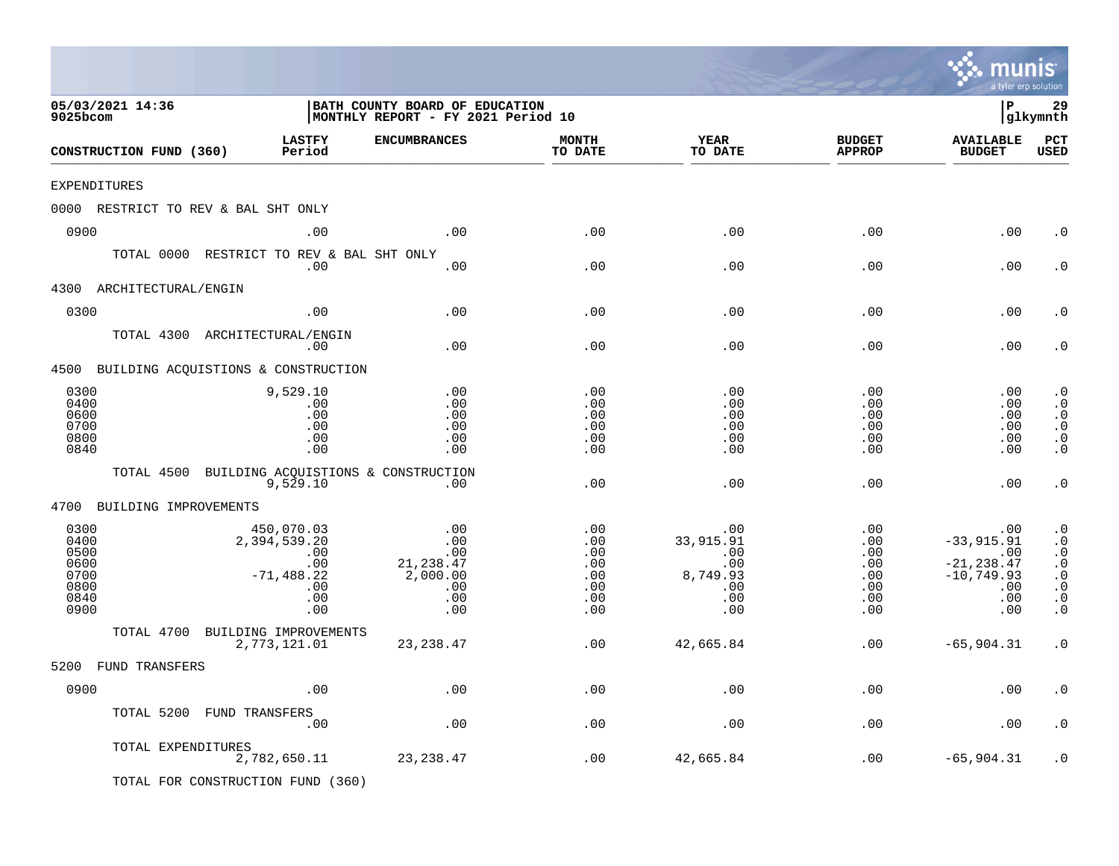|                                                              |                                                                                     |                                                                      |                                                      |                                                                  |                                                                | mu<br>a tyler erp solution                                                        | nis                                                                                                                            |
|--------------------------------------------------------------|-------------------------------------------------------------------------------------|----------------------------------------------------------------------|------------------------------------------------------|------------------------------------------------------------------|----------------------------------------------------------------|-----------------------------------------------------------------------------------|--------------------------------------------------------------------------------------------------------------------------------|
| 05/03/2021 14:36<br>9025bcom                                 |                                                                                     | BATH COUNTY BOARD OF EDUCATION<br>MONTHLY REPORT - FY 2021 Period 10 |                                                      |                                                                  |                                                                | l P                                                                               | 29<br>glkymnth                                                                                                                 |
| CONSTRUCTION FUND (360)                                      | LASTFY<br>Period                                                                    | <b>ENCUMBRANCES</b>                                                  | <b>MONTH</b><br>TO DATE                              | <b>YEAR</b><br>TO DATE                                           | <b>BUDGET</b><br><b>APPROP</b>                                 | <b>AVAILABLE</b><br><b>BUDGET</b>                                                 | PCT<br><b>USED</b>                                                                                                             |
| <b>EXPENDITURES</b>                                          |                                                                                     |                                                                      |                                                      |                                                                  |                                                                |                                                                                   |                                                                                                                                |
|                                                              | 0000 RESTRICT TO REV & BAL SHT ONLY                                                 |                                                                      |                                                      |                                                                  |                                                                |                                                                                   |                                                                                                                                |
| 0900                                                         | .00                                                                                 | .00                                                                  | .00                                                  | .00                                                              | .00                                                            | .00                                                                               | . 0                                                                                                                            |
|                                                              | TOTAL 0000 RESTRICT TO REV & BAL SHT ONLY<br>$.00 \,$                               | .00                                                                  | .00                                                  | .00                                                              | .00                                                            | .00                                                                               | . 0                                                                                                                            |
| 4300<br>ARCHITECTURAL/ENGIN                                  |                                                                                     |                                                                      |                                                      |                                                                  |                                                                |                                                                                   |                                                                                                                                |
| 0300                                                         | .00                                                                                 | .00                                                                  | .00                                                  | .00                                                              | .00                                                            | .00                                                                               | . 0                                                                                                                            |
|                                                              | TOTAL 4300 ARCHITECTURAL/ENGIN<br>$.00 \,$                                          | .00                                                                  | .00                                                  | .00                                                              | .00                                                            | .00                                                                               | . 0                                                                                                                            |
|                                                              | 4500 BUILDING ACQUISTIONS & CONSTRUCTION                                            |                                                                      |                                                      |                                                                  |                                                                |                                                                                   |                                                                                                                                |
| 0300<br>0400<br>0600<br>0700<br>0800<br>0840                 | 9,529.10<br>.00<br>.00<br>.00<br>.00<br>.00                                         | .00<br>.00<br>.00<br>.00<br>.00<br>.00                               | .00<br>.00<br>.00<br>.00<br>.00<br>.00               | .00<br>.00<br>.00<br>.00<br>.00<br>.00                           | .00<br>.00<br>.00<br>.00<br>.00<br>.00                         | .00<br>.00<br>.00<br>.00<br>.00<br>.00                                            | $\cdot$ 0<br>$\cdot$ 0<br>$\cdot$ 0<br>$\cdot$ 0<br>$\cdot$ 0<br>$\cdot$ 0                                                     |
| TOTAL 4500                                                   | BUILDING ACQUISTIONS & CONSTRUCTION<br>9,529.10                                     | $.00 \ \,$                                                           | .00                                                  | .00                                                              | .00                                                            | .00                                                                               | $\cdot$ 0                                                                                                                      |
| 4700<br>BUILDING IMPROVEMENTS                                |                                                                                     |                                                                      |                                                      |                                                                  |                                                                |                                                                                   |                                                                                                                                |
| 0300<br>0400<br>0500<br>0600<br>0700<br>0800<br>0840<br>0900 | 450,070.03<br>2,394,539.20<br>$.00 \,$<br>.00<br>$-71, 488.22$<br>.00<br>.00<br>.00 | .00<br>.00<br>.00<br>21, 238.47<br>2,000.00<br>.00<br>.00<br>.00     | .00<br>.00<br>.00<br>.00<br>.00<br>.00<br>.00<br>.00 | .00.<br>33,915.91<br>.00<br>.00<br>8,749.93<br>.00<br>.00<br>.00 | .00<br>$.00 \,$<br>.00<br>.00<br>.00<br>.00<br>$.00 \,$<br>.00 | .00<br>$-33,915.91$<br>.00<br>$-21, 238.47$<br>$-10, 749.93$<br>.00<br>.00<br>.00 | $\cdot$ 0<br>$\cdot$ 0<br>$\cdot$ 0<br>$\cdot$ 0<br>$\boldsymbol{\cdot}$ 0<br>$\cdot$ 0<br>$\boldsymbol{\cdot}$ 0<br>$\cdot$ 0 |
| TOTAL 4700                                                   | BUILDING IMPROVEMENTS                                                               |                                                                      |                                                      |                                                                  |                                                                |                                                                                   |                                                                                                                                |
|                                                              | 2,773,121.01                                                                        | 23, 238.47                                                           | .00                                                  | 42,665.84                                                        | .00                                                            | $-65,904.31$                                                                      | $\cdot$ 0                                                                                                                      |
| 5200 FUND TRANSFERS                                          |                                                                                     |                                                                      |                                                      |                                                                  |                                                                |                                                                                   |                                                                                                                                |
| 0900                                                         | .00                                                                                 | .00                                                                  | .00                                                  | .00                                                              | .00                                                            | .00                                                                               | . $\boldsymbol{0}$                                                                                                             |
| TOTAL 5200                                                   | FUND TRANSFERS<br>.00                                                               | .00                                                                  | .00                                                  | .00                                                              | .00                                                            | .00                                                                               | . 0                                                                                                                            |
|                                                              | TOTAL EXPENDITURES<br>2,782,650.11                                                  | 23, 238.47                                                           | .00                                                  | 42,665.84                                                        | .00                                                            | $-65,904.31$                                                                      | . 0                                                                                                                            |
|                                                              | TOTAL FOR CONSTRUCTION FUND (360)                                                   |                                                                      |                                                      |                                                                  |                                                                |                                                                                   |                                                                                                                                |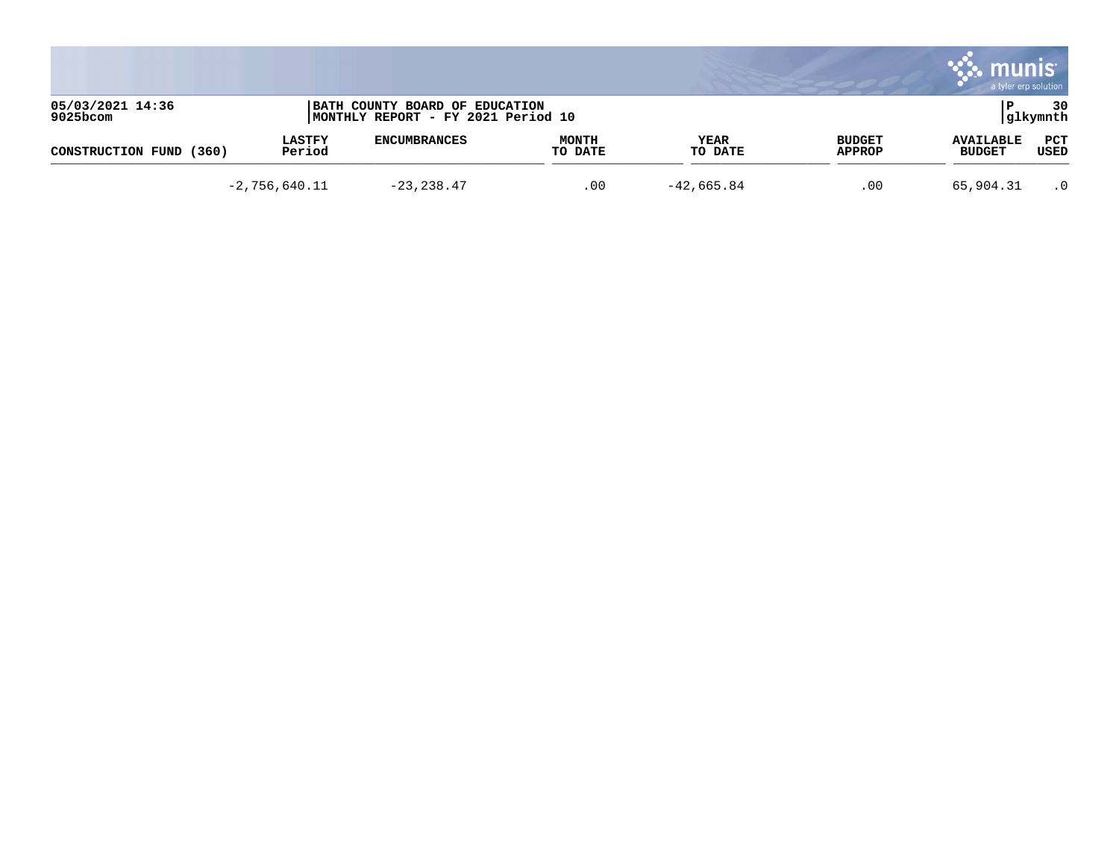|                              |                         |                                                                      |                         |                 |                         | munis<br>a tyler erp solution     |                    |
|------------------------------|-------------------------|----------------------------------------------------------------------|-------------------------|-----------------|-------------------------|-----------------------------------|--------------------|
| 05/03/2021 14:36<br>9025bcom |                         | BATH COUNTY BOARD OF EDUCATION<br>MONTHLY REPORT - FY 2021 Period 10 |                         |                 |                         |                                   | 30<br> glkymnth    |
| (360)<br>CONSTRUCTION FUND   | <b>LASTFY</b><br>Period | <b>ENCUMBRANCES</b>                                                  | <b>MONTH</b><br>TO DATE | YEAR<br>TO DATE | <b>BUDGET</b><br>APPROP | <b>AVAILABLE</b><br><b>BUDGET</b> | <b>PCT</b><br>USED |
|                              | $-2,756,640.11$         | $-23, 238.47$                                                        | .00                     | $-42,665.84$    | .00                     | 65,904.31                         | $\cdot$ 0          |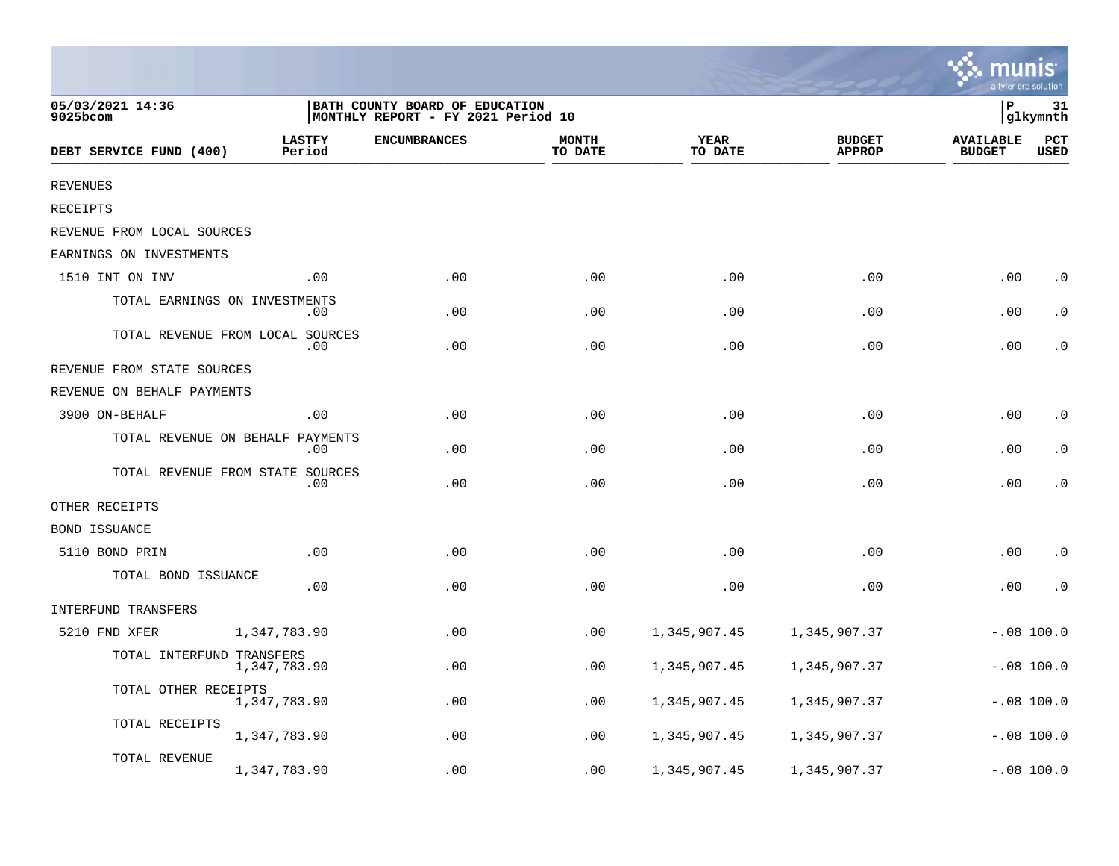|                                  |                         |                                                                      |                         |                        |                                |                                   | a tyler erp solution |
|----------------------------------|-------------------------|----------------------------------------------------------------------|-------------------------|------------------------|--------------------------------|-----------------------------------|----------------------|
| 05/03/2021 14:36<br>9025bcom     |                         | BATH COUNTY BOARD OF EDUCATION<br>MONTHLY REPORT - FY 2021 Period 10 |                         |                        |                                | ΙP                                | 31<br>glkymnth       |
| DEBT SERVICE FUND (400)          | <b>LASTFY</b><br>Period | <b>ENCUMBRANCES</b>                                                  | <b>MONTH</b><br>TO DATE | <b>YEAR</b><br>TO DATE | <b>BUDGET</b><br><b>APPROP</b> | <b>AVAILABLE</b><br><b>BUDGET</b> | PCT<br><b>USED</b>   |
| <b>REVENUES</b>                  |                         |                                                                      |                         |                        |                                |                                   |                      |
| <b>RECEIPTS</b>                  |                         |                                                                      |                         |                        |                                |                                   |                      |
| REVENUE FROM LOCAL SOURCES       |                         |                                                                      |                         |                        |                                |                                   |                      |
| EARNINGS ON INVESTMENTS          |                         |                                                                      |                         |                        |                                |                                   |                      |
| 1510 INT ON INV                  | .00                     | .00                                                                  | .00                     | .00                    | .00                            | .00                               | $\cdot$ 0            |
| TOTAL EARNINGS ON INVESTMENTS    | .00                     | .00                                                                  | .00                     | .00                    | .00                            | .00                               | $\cdot$ 0            |
| TOTAL REVENUE FROM LOCAL SOURCES | .00                     | .00                                                                  | .00                     | .00                    | .00                            | .00                               | $\cdot$ 0            |
| REVENUE FROM STATE SOURCES       |                         |                                                                      |                         |                        |                                |                                   |                      |
| REVENUE ON BEHALF PAYMENTS       |                         |                                                                      |                         |                        |                                |                                   |                      |
| 3900 ON-BEHALF                   | .00                     | .00                                                                  | .00                     | .00                    | .00                            | .00                               | $\cdot$ 0            |
| TOTAL REVENUE ON BEHALF PAYMENTS | .00                     | .00                                                                  | .00                     | .00                    | .00                            | .00                               | $\cdot$ 0            |
| TOTAL REVENUE FROM STATE SOURCES | .00                     | .00                                                                  | .00                     | .00                    | .00                            | .00                               | $\cdot$ 0            |
| OTHER RECEIPTS                   |                         |                                                                      |                         |                        |                                |                                   |                      |
| BOND ISSUANCE                    |                         |                                                                      |                         |                        |                                |                                   |                      |
| 5110 BOND PRIN                   | .00                     | .00                                                                  | .00                     | .00                    | .00                            | .00                               | $\cdot$ 0            |
| TOTAL BOND ISSUANCE              | .00                     | .00                                                                  | .00                     | .00                    | .00                            | .00                               | $\cdot$ 0            |
| INTERFUND TRANSFERS              |                         |                                                                      |                         |                        |                                |                                   |                      |
| 5210 FND XFER                    | 1,347,783.90            | .00                                                                  | .00                     | 1,345,907.45           | 1,345,907.37                   |                                   | $-.08 100.0$         |
| TOTAL INTERFUND TRANSFERS        | 1,347,783.90            | .00                                                                  | .00                     | 1,345,907.45           | 1,345,907.37                   |                                   | $-.08 100.0$         |
| TOTAL OTHER RECEIPTS             | 1,347,783.90            | .00                                                                  | .00                     | 1,345,907.45           | 1,345,907.37                   |                                   | $-.08 100.0$         |
| TOTAL RECEIPTS                   | 1,347,783.90            | .00                                                                  | .00                     | 1,345,907.45           | 1,345,907.37                   |                                   | $-.08$ 100.0         |
| TOTAL REVENUE                    | 1,347,783.90            | .00                                                                  | .00                     | 1,345,907.45           | 1,345,907.37                   |                                   | $-.08$ 100.0         |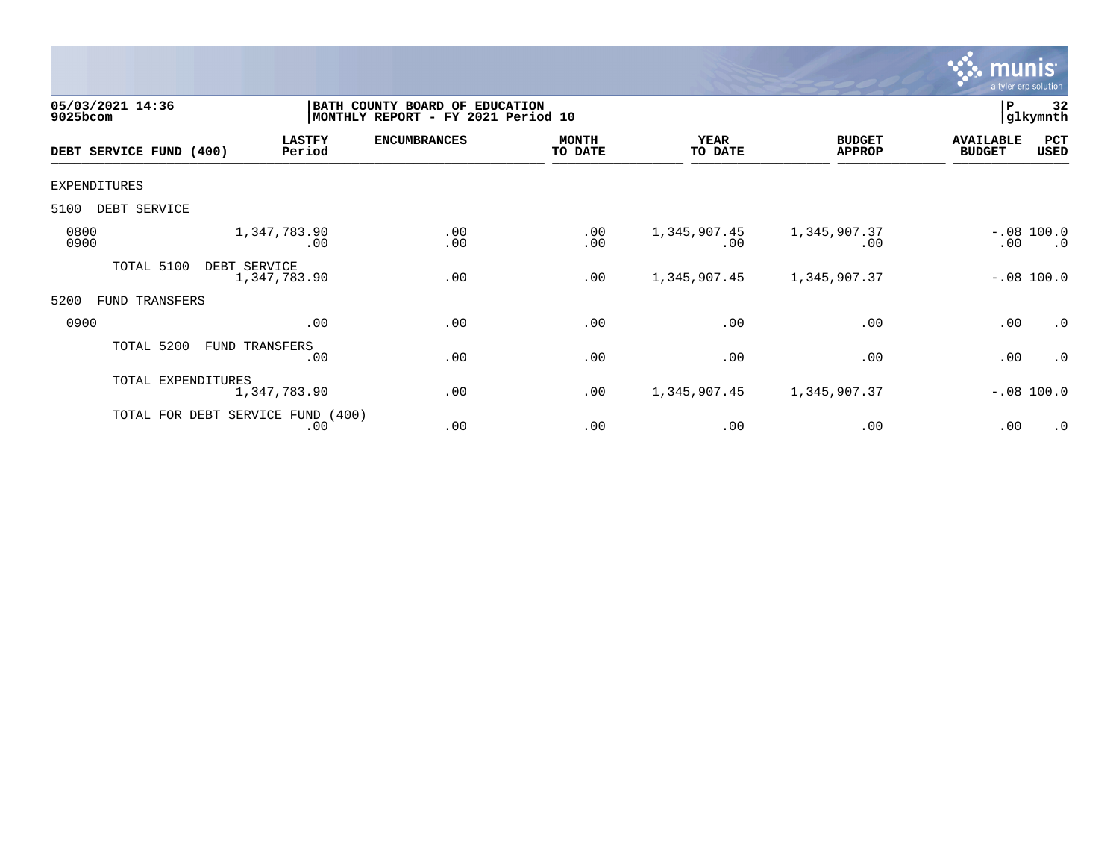

| 05/03/2021 14:36<br>9025bcom |                    |                                          | BATH COUNTY BOARD OF<br><b>EDUCATION</b><br>MONTHLY REPORT - FY 2021 Period 10 |                         |                        |                                |                                   |                           |
|------------------------------|--------------------|------------------------------------------|--------------------------------------------------------------------------------|-------------------------|------------------------|--------------------------------|-----------------------------------|---------------------------|
| DEBT SERVICE FUND (400)      |                    | <b>LASTFY</b><br>Period                  | <b>ENCUMBRANCES</b>                                                            | <b>MONTH</b><br>TO DATE | <b>YEAR</b><br>TO DATE | <b>BUDGET</b><br><b>APPROP</b> | <b>AVAILABLE</b><br><b>BUDGET</b> | PCT<br>USED               |
| EXPENDITURES                 |                    |                                          |                                                                                |                         |                        |                                |                                   |                           |
| 5100<br>DEBT SERVICE         |                    |                                          |                                                                                |                         |                        |                                |                                   |                           |
| 0800<br>0900                 |                    | 1,347,783.90<br>.00                      | .00<br>.00                                                                     | .00<br>.00              | 1,345,907.45<br>.00    | 1,345,907.37<br>.00            | .00                               | $-.08$ 100.0<br>$\cdot$ 0 |
| TOTAL 5100                   | DEBT SERVICE       | 1,347,783.90                             | .00                                                                            | .00                     | 1,345,907.45           | 1,345,907.37                   |                                   | $-.08$ 100.0              |
| 5200<br>FUND                 | TRANSFERS          |                                          |                                                                                |                         |                        |                                |                                   |                           |
| 0900                         |                    | .00                                      | .00                                                                            | .00                     | .00                    | .00                            | .00                               | $\cdot$ 0                 |
| TOTAL 5200                   |                    | FUND TRANSFERS<br>.00                    | .00                                                                            | .00                     | .00                    | .00                            | .00                               | $\cdot$ 0                 |
|                              | TOTAL EXPENDITURES | 1,347,783.90                             | .00                                                                            | .00                     | 1,345,907.45           | 1,345,907.37                   |                                   | $-.08 100.0$              |
|                              |                    | TOTAL FOR DEBT SERVICE FUND (400)<br>.00 | .00                                                                            | .00                     | .00                    | .00                            | .00                               | $\cdot$ 0                 |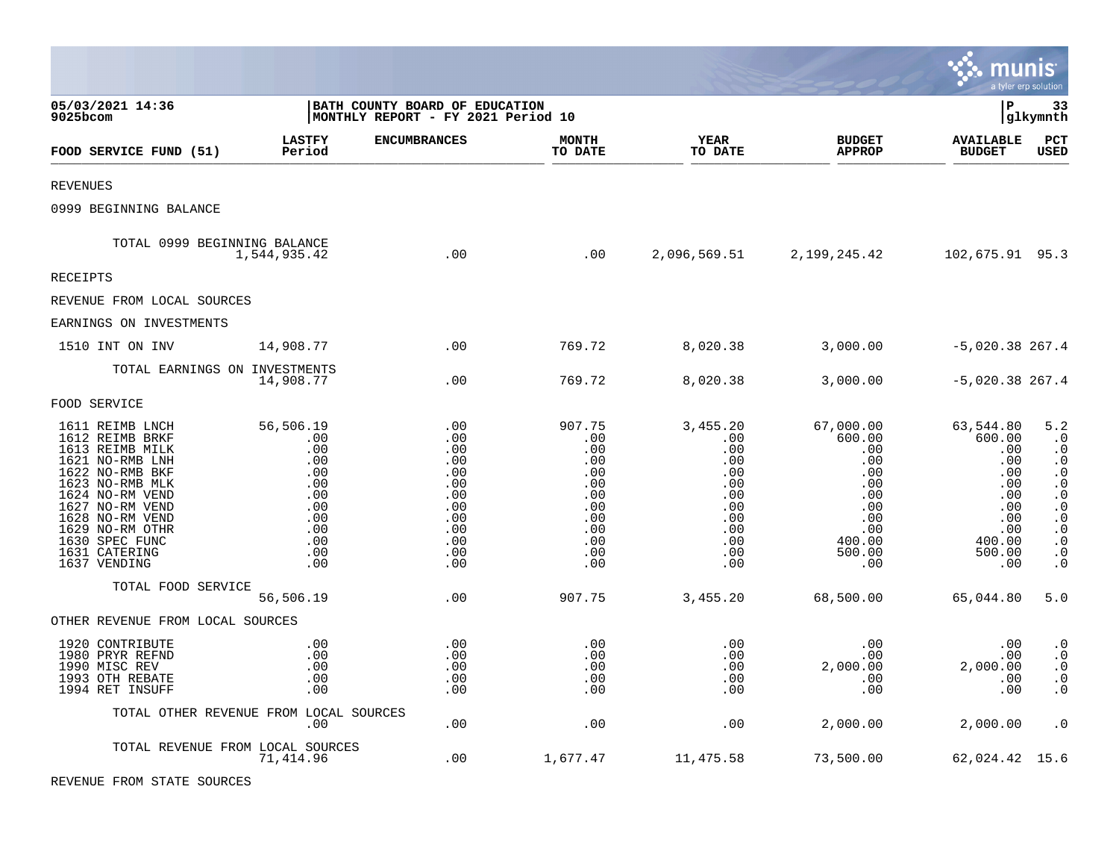|                                                                                                                                                                                                                                               |                                                                                               |                                                                                         |                                                                                            |                                                                                              |                                                                                                             | munis                                                                                                  | a tyler erp solution                                                                                                                                                            |
|-----------------------------------------------------------------------------------------------------------------------------------------------------------------------------------------------------------------------------------------------|-----------------------------------------------------------------------------------------------|-----------------------------------------------------------------------------------------|--------------------------------------------------------------------------------------------|----------------------------------------------------------------------------------------------|-------------------------------------------------------------------------------------------------------------|--------------------------------------------------------------------------------------------------------|---------------------------------------------------------------------------------------------------------------------------------------------------------------------------------|
| 05/03/2021 14:36<br>9025bcom                                                                                                                                                                                                                  |                                                                                               | BATH COUNTY BOARD OF EDUCATION<br> MONTHLY REPORT - FY 2021 Period 10                   |                                                                                            |                                                                                              |                                                                                                             | lР                                                                                                     | 33<br> glkymnth                                                                                                                                                                 |
| FOOD SERVICE FUND (51)                                                                                                                                                                                                                        | <b>LASTFY</b><br>Period                                                                       | <b>ENCUMBRANCES</b>                                                                     | <b>MONTH</b><br>TO DATE                                                                    | YEAR<br>TO DATE                                                                              | <b>BUDGET</b><br><b>APPROP</b>                                                                              | <b>AVAILABLE</b><br><b>BUDGET</b>                                                                      | PCT<br><b>USED</b>                                                                                                                                                              |
| <b>REVENUES</b>                                                                                                                                                                                                                               |                                                                                               |                                                                                         |                                                                                            |                                                                                              |                                                                                                             |                                                                                                        |                                                                                                                                                                                 |
| 0999 BEGINNING BALANCE                                                                                                                                                                                                                        |                                                                                               |                                                                                         |                                                                                            |                                                                                              |                                                                                                             |                                                                                                        |                                                                                                                                                                                 |
| TOTAL 0999 BEGINNING BALANCE                                                                                                                                                                                                                  | 1,544,935.42                                                                                  | .00                                                                                     | .00                                                                                        |                                                                                              | 2,096,569.51 2,199,245.42                                                                                   | 102,675.91 95.3                                                                                        |                                                                                                                                                                                 |
| <b>RECEIPTS</b>                                                                                                                                                                                                                               |                                                                                               |                                                                                         |                                                                                            |                                                                                              |                                                                                                             |                                                                                                        |                                                                                                                                                                                 |
| REVENUE FROM LOCAL SOURCES                                                                                                                                                                                                                    |                                                                                               |                                                                                         |                                                                                            |                                                                                              |                                                                                                             |                                                                                                        |                                                                                                                                                                                 |
| EARNINGS ON INVESTMENTS                                                                                                                                                                                                                       |                                                                                               |                                                                                         |                                                                                            |                                                                                              |                                                                                                             |                                                                                                        |                                                                                                                                                                                 |
| 1510 INT ON INV                                                                                                                                                                                                                               | 14,908.77                                                                                     | .00                                                                                     | 769.72                                                                                     | 8,020.38                                                                                     | 3,000.00                                                                                                    | $-5,020.38$ 267.4                                                                                      |                                                                                                                                                                                 |
| TOTAL EARNINGS ON INVESTMENTS                                                                                                                                                                                                                 | 14,908.77                                                                                     | .00                                                                                     | 769.72                                                                                     | 8,020.38                                                                                     | 3,000.00                                                                                                    | $-5,020.38$ 267.4                                                                                      |                                                                                                                                                                                 |
| FOOD SERVICE                                                                                                                                                                                                                                  |                                                                                               |                                                                                         |                                                                                            |                                                                                              |                                                                                                             |                                                                                                        |                                                                                                                                                                                 |
| 1611 REIMB LNCH<br>1612 REIMB BRKF<br>1613 REIMB MILK<br>1621 NO-RMB LNH<br>1622 NO-RMB BKF<br>1623 NO-RMB MLK<br>1624 NO-RM VEND<br>1627 NO-RM VEND<br>1628 NO-RM VEND<br>1629 NO-RM OTHR<br>1630 SPEC FUNC<br>1631 CATERING<br>1637 VENDING | 56,506.19<br>.00<br>.00<br>.00<br>.00<br>.00<br>.00<br>.00<br>.00<br>.00<br>.00<br>.00<br>.00 | .00<br>.00<br>.00<br>.00<br>.00<br>.00<br>.00<br>.00<br>.00<br>.00<br>.00<br>.00<br>.00 | 907.75<br>.00<br>.00<br>.00<br>.00<br>.00<br>.00<br>.00<br>.00<br>.00<br>.00<br>.00<br>.00 | 3,455.20<br>.00<br>.00<br>.00<br>.00<br>.00<br>.00<br>.00<br>.00<br>.00<br>.00<br>.00<br>.00 | 67,000.00<br>600.00<br>.00<br>.00<br>$.00 \,$<br>.00<br>.00<br>.00<br>.00<br>.00<br>400.00<br>500.00<br>.00 | 63,544.80<br>600.00<br>.00<br>.00<br>.00<br>.00<br>.00<br>.00<br>.00<br>.00<br>400.00<br>500.00<br>.00 | 5.2<br>$\cdot$ 0<br>$\cdot$ 0<br>$\cdot$ 0<br>$\cdot$ 0<br>$\cdot$ 0<br>$\cdot$ 0<br>$\cdot$ 0<br>$\boldsymbol{\cdot}$ 0<br>. $\boldsymbol{0}$<br>$\cdot$ 0<br>$\cdot$ 0<br>. 0 |
| TOTAL FOOD SERVICE                                                                                                                                                                                                                            | 56,506.19                                                                                     | .00                                                                                     | 907.75                                                                                     | 3,455.20                                                                                     | 68,500.00                                                                                                   | 65,044.80                                                                                              | 5.0                                                                                                                                                                             |
| OTHER REVENUE FROM LOCAL SOURCES                                                                                                                                                                                                              |                                                                                               |                                                                                         |                                                                                            |                                                                                              |                                                                                                             |                                                                                                        |                                                                                                                                                                                 |
| 1920 CONTRIBUTE<br>1980 PRYR REFND<br>1990 MISC REV<br>1993 OTH REBATE<br>1994 RET INSUFF                                                                                                                                                     | .00<br>.00<br>.00<br>.00<br>.00                                                               | .00<br>.00<br>.00<br>.00<br>.00                                                         | .00<br>.00<br>.00<br>.00<br>.00                                                            | .00<br>.00<br>.00<br>.00<br>.00                                                              | .00<br>$.00 \,$<br>2,000.00<br>.00<br>.00                                                                   | .00<br>.00<br>2,000.00<br>.00<br>.00                                                                   | $\cdot$ 0<br>$\boldsymbol{\cdot}$ 0<br>$\cdot$ 0<br>$\cdot$ 0<br>$\cdot$ 0                                                                                                      |
|                                                                                                                                                                                                                                               | TOTAL OTHER REVENUE FROM LOCAL SOURCES<br>.00                                                 | .00                                                                                     | .00                                                                                        | .00                                                                                          | 2,000.00                                                                                                    | 2,000.00                                                                                               | $\cdot$ 0                                                                                                                                                                       |
| TOTAL REVENUE FROM LOCAL SOURCES                                                                                                                                                                                                              | 71,414.96                                                                                     | .00                                                                                     | 1,677.47                                                                                   | 11,475.58                                                                                    | 73,500.00                                                                                                   | 62,024.42 15.6                                                                                         |                                                                                                                                                                                 |

**Contract Contract Contract** 

REVENUE FROM STATE SOURCES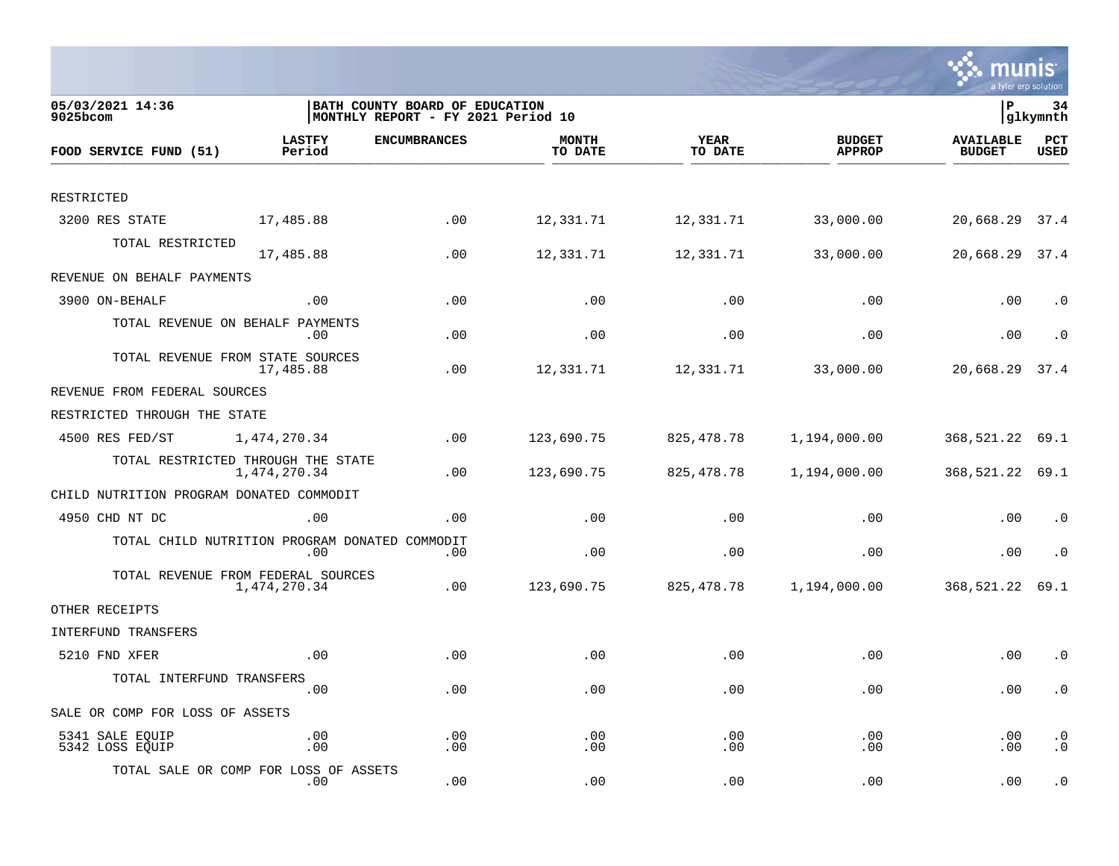

| 05/03/2021 14:36<br>9025bcom                   |                         | BATH COUNTY BOARD OF EDUCATION<br>MONTHLY REPORT - FY 2021 Period 10 |                         |                        |                                | lР                                | 34<br> glkymnth        |
|------------------------------------------------|-------------------------|----------------------------------------------------------------------|-------------------------|------------------------|--------------------------------|-----------------------------------|------------------------|
| FOOD SERVICE FUND (51)                         | <b>LASTFY</b><br>Period | <b>ENCUMBRANCES</b>                                                  | <b>MONTH</b><br>TO DATE | <b>YEAR</b><br>TO DATE | <b>BUDGET</b><br><b>APPROP</b> | <b>AVAILABLE</b><br><b>BUDGET</b> | PCT<br><b>USED</b>     |
|                                                |                         |                                                                      |                         |                        |                                |                                   |                        |
| RESTRICTED                                     |                         |                                                                      |                         |                        |                                |                                   |                        |
| 3200 RES STATE                                 | 17,485.88               | .00                                                                  | 12,331.71               | 12,331.71              | 33,000.00                      | 20,668.29                         | 37.4                   |
| TOTAL RESTRICTED                               | 17,485.88               | .00                                                                  | 12,331.71               | 12,331.71              | 33,000.00                      | 20,668.29 37.4                    |                        |
| REVENUE ON BEHALF PAYMENTS                     |                         |                                                                      |                         |                        |                                |                                   |                        |
| 3900 ON-BEHALF                                 | .00                     | .00                                                                  | .00                     | .00                    | .00                            | .00                               | $\cdot$ 0              |
| TOTAL REVENUE ON BEHALF PAYMENTS               | .00                     | .00                                                                  | .00                     | .00                    | .00                            | .00                               | $\cdot$ 0              |
| TOTAL REVENUE FROM STATE SOURCES               | 17,485.88               | .00                                                                  | 12,331.71               | 12,331.71              | 33,000.00                      | 20,668.29                         | 37.4                   |
| REVENUE FROM FEDERAL SOURCES                   |                         |                                                                      |                         |                        |                                |                                   |                        |
| RESTRICTED THROUGH THE STATE                   |                         |                                                                      |                         |                        |                                |                                   |                        |
| 4500 RES FED/ST                                | 1,474,270.34            | .00                                                                  | 123,690.75              | 825, 478. 78           | 1,194,000.00                   | 368,521.22 69.1                   |                        |
| TOTAL RESTRICTED THROUGH THE STATE             | 1,474,270.34            | .00                                                                  | 123,690.75              | 825, 478. 78           | 1,194,000.00                   | 368,521.22 69.1                   |                        |
| CHILD NUTRITION PROGRAM DONATED COMMODIT       |                         |                                                                      |                         |                        |                                |                                   |                        |
| 4950 CHD NT DC                                 | .00                     | .00                                                                  | .00                     | .00                    | .00                            | .00                               | $\cdot$ 0              |
| TOTAL CHILD NUTRITION PROGRAM DONATED COMMODIT | .00                     | .00                                                                  | .00                     | .00                    | .00                            | .00                               | $\cdot$ 0              |
| TOTAL REVENUE FROM FEDERAL SOURCES             | 1,474,270.34            | .00                                                                  | 123,690.75              | 825,478.78             | 1,194,000.00                   | 368,521.22                        | 69.1                   |
| OTHER RECEIPTS                                 |                         |                                                                      |                         |                        |                                |                                   |                        |
| INTERFUND TRANSFERS                            |                         |                                                                      |                         |                        |                                |                                   |                        |
| 5210 FND XFER                                  | .00                     | .00                                                                  | .00                     | .00                    | .00                            | .00                               | $\cdot$ 0              |
| TOTAL INTERFUND TRANSFERS                      | .00                     | .00                                                                  | .00                     | .00                    | .00                            | .00                               | $\cdot$ 0              |
| SALE OR COMP FOR LOSS OF ASSETS                |                         |                                                                      |                         |                        |                                |                                   |                        |
| 5341 SALE EQUIP<br>5342 LOSS EQUIP             | .00<br>.00              | .00<br>.00                                                           | .00<br>.00              | .00<br>.00             | .00<br>.00                     | .00<br>.00                        | $\cdot$ 0<br>$\cdot$ 0 |
| TOTAL SALE OR COMP FOR LOSS OF ASSETS          | .00                     | .00                                                                  | .00                     | .00                    | .00                            | .00                               | $\cdot$ 0              |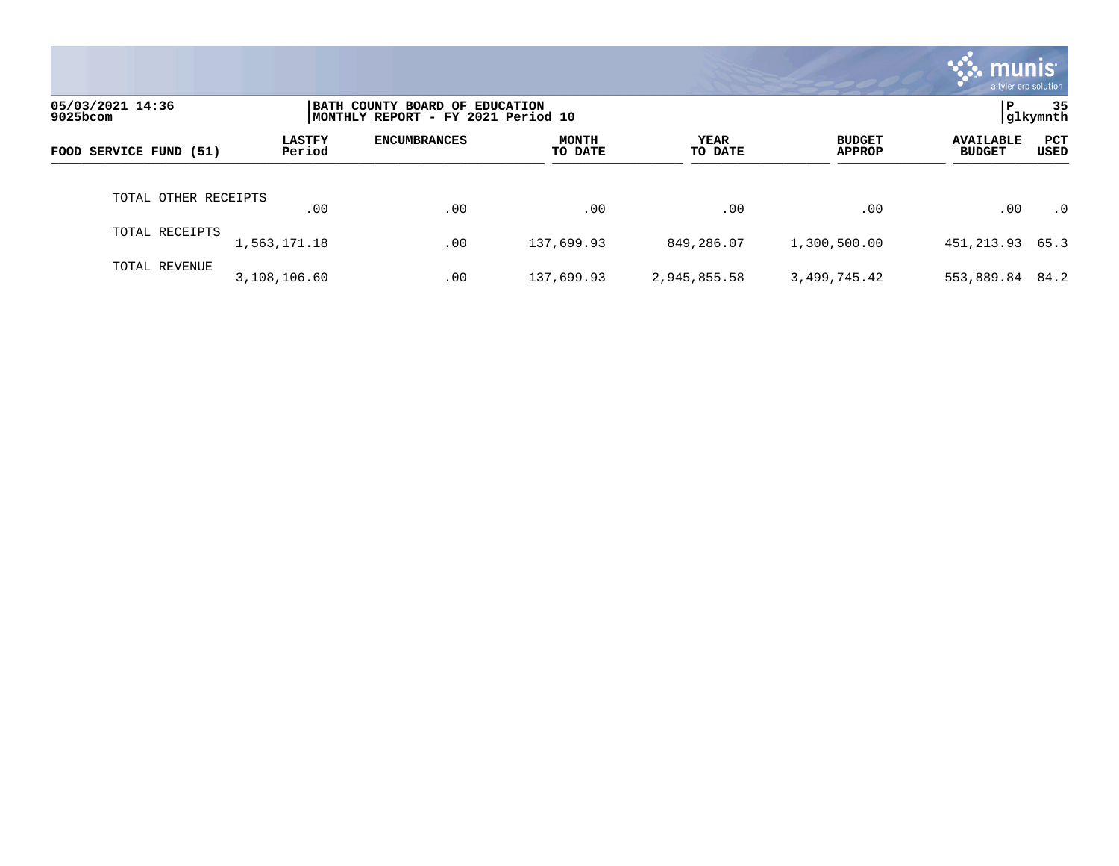|                                 |                         |                                                                      |                         |                 |                                | <b>Munis</b><br>a tyler erp solution |                    |
|---------------------------------|-------------------------|----------------------------------------------------------------------|-------------------------|-----------------|--------------------------------|--------------------------------------|--------------------|
| 05/03/2021 14:36<br>$9025$ bcom |                         | BATH COUNTY BOARD OF EDUCATION<br>MONTHLY REPORT - FY 2021 Period 10 |                         |                 |                                | Р                                    | 35<br> glkymnth    |
| FOOD SERVICE FUND (51)          | <b>LASTFY</b><br>Period | <b>ENCUMBRANCES</b>                                                  | <b>MONTH</b><br>TO DATE | YEAR<br>TO DATE | <b>BUDGET</b><br><b>APPROP</b> | <b>AVAILABLE</b><br><b>BUDGET</b>    | <b>PCT</b><br>USED |
| TOTAL OTHER RECEIPTS            | .00                     | .00                                                                  | .00                     | .00             | .00                            | .00                                  | $\cdot$ 0          |
| TOTAL RECEIPTS                  | 1,563,171.18            | .00                                                                  | 137,699.93              | 849,286.07      | 1,300,500.00                   | 451,213.93 65.3                      |                    |
| TOTAL REVENUE                   | 3,108,106.60            | .00                                                                  | 137,699.93              | 2,945,855.58    | 3,499,745.42                   | 553,889.84                           | 84.2               |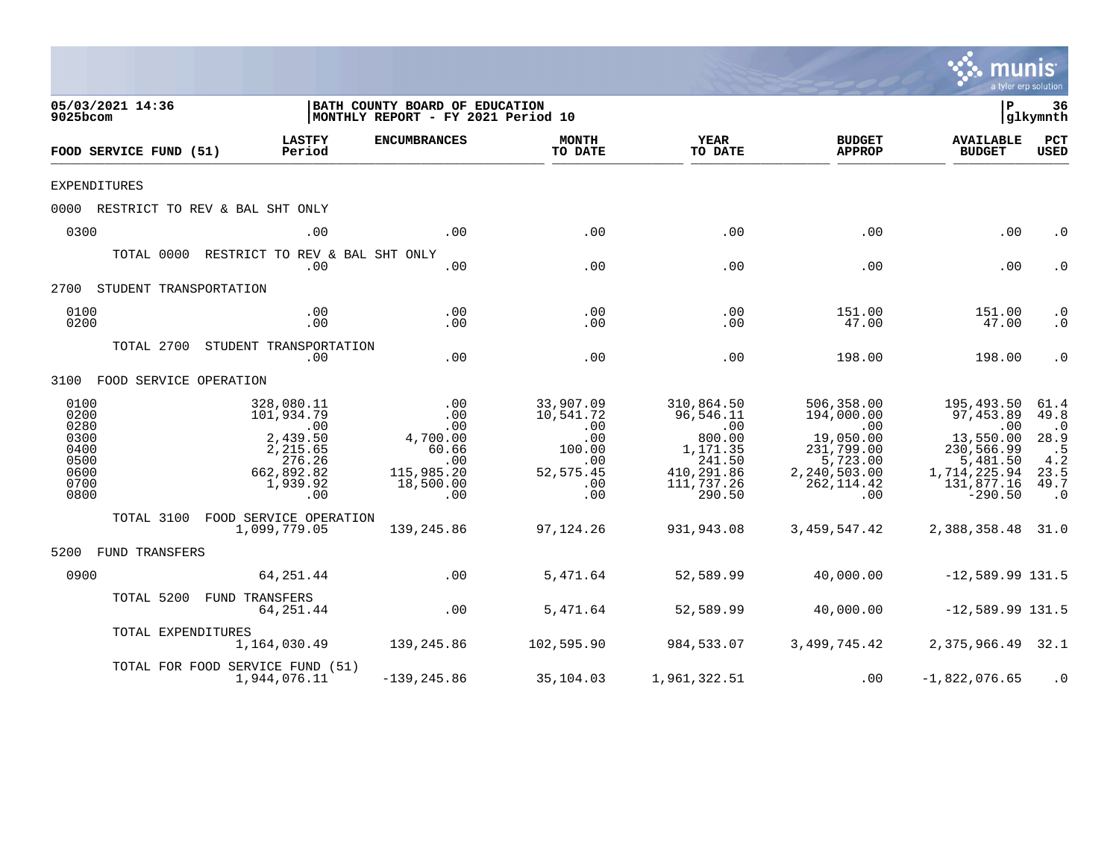|                                                                      |                                                                                                                |                                                                                 |                                                                                   |                                                                                                      |                                                                                                              |                                                                                                                        | a tyler erp solution                                                               |
|----------------------------------------------------------------------|----------------------------------------------------------------------------------------------------------------|---------------------------------------------------------------------------------|-----------------------------------------------------------------------------------|------------------------------------------------------------------------------------------------------|--------------------------------------------------------------------------------------------------------------|------------------------------------------------------------------------------------------------------------------------|------------------------------------------------------------------------------------|
| 05/03/2021 14:36<br>9025bcom                                         |                                                                                                                | BATH COUNTY BOARD OF EDUCATION<br>MONTHLY REPORT - FY 2021 Period 10            |                                                                                   |                                                                                                      |                                                                                                              | $\mathbf P$                                                                                                            | 36<br> glkymnth                                                                    |
| FOOD SERVICE FUND (51)                                               | <b>LASTFY</b><br>Period                                                                                        | <b>ENCUMBRANCES</b>                                                             | <b>MONTH</b><br>TO DATE                                                           | <b>YEAR</b><br>TO DATE                                                                               | <b>BUDGET</b><br><b>APPROP</b>                                                                               | <b>AVAILABLE</b><br><b>BUDGET</b>                                                                                      | PCT<br><b>USED</b>                                                                 |
| <b>EXPENDITURES</b>                                                  |                                                                                                                |                                                                                 |                                                                                   |                                                                                                      |                                                                                                              |                                                                                                                        |                                                                                    |
|                                                                      | 0000 RESTRICT TO REV & BAL SHT ONLY                                                                            |                                                                                 |                                                                                   |                                                                                                      |                                                                                                              |                                                                                                                        |                                                                                    |
| 0300                                                                 | .00                                                                                                            | .00                                                                             | .00                                                                               | .00                                                                                                  | .00                                                                                                          | .00                                                                                                                    | $\cdot$ 0                                                                          |
|                                                                      | TOTAL 0000 RESTRICT TO REV & BAL SHT ONLY<br>.00                                                               | .00                                                                             | .00                                                                               | .00                                                                                                  | .00                                                                                                          | .00                                                                                                                    | $\cdot$ 0                                                                          |
| 2700 STUDENT TRANSPORTATION                                          |                                                                                                                |                                                                                 |                                                                                   |                                                                                                      |                                                                                                              |                                                                                                                        |                                                                                    |
| 0100<br>0200                                                         | .00<br>.00                                                                                                     | .00<br>.00                                                                      | .00<br>.00                                                                        | .00<br>.00                                                                                           | 151.00<br>47.00                                                                                              | 151.00<br>47.00                                                                                                        | $\cdot$ 0<br>$\cdot$ 0                                                             |
|                                                                      | TOTAL 2700 STUDENT TRANSPORTATION<br>.00                                                                       | .00                                                                             | .00                                                                               | .00                                                                                                  | 198.00                                                                                                       | 198.00                                                                                                                 | $\cdot$ 0                                                                          |
| 3100 FOOD SERVICE OPERATION                                          |                                                                                                                |                                                                                 |                                                                                   |                                                                                                      |                                                                                                              |                                                                                                                        |                                                                                    |
| 0100<br>0200<br>0280<br>0300<br>0400<br>0500<br>0600<br>0700<br>0800 | 328,080.11<br>101,934.79<br>$\overline{00}$<br>2,439.50<br>2,215.65<br>276.26<br>662,892.82<br>1,939.92<br>.00 | .00<br>.00<br>.00<br>4,700.00<br>60.66<br>.00<br>115,985.20<br>18,500.00<br>.00 | 33,907.09<br>10,541.72<br>.00<br>.00<br>100.00<br>.00<br>52, 575.45<br>.00<br>.00 | 310,864.50<br>96,546.11<br>.00<br>800.00<br>1,171.35<br>241.50<br>410,291.86<br>111,737.26<br>290.50 | 506,358.00<br>194,000.00<br>.00<br>19,050.00<br>231,799.00<br>5,723.00<br>2,240,503.00<br>262, 114.42<br>.00 | 195,493.50<br>97,453.89<br>$\sim$ 00<br>13,550.00<br>230,566.99<br>5,481.50<br>1,714,225.94<br>131,877.16<br>$-290.50$ | 61.4<br>49.8<br>$\cdot$ 0<br>28.9<br>$\cdot$ 5<br>4.2<br>23.5<br>49.7<br>$\cdot$ 0 |
|                                                                      | TOTAL 3100 FOOD SERVICE OPERATION<br>1,099,779.05                                                              | 139,245.86                                                                      | 97,124.26                                                                         | 931,943.08                                                                                           | 3,459,547.42                                                                                                 | 2,388,358.48 31.0                                                                                                      |                                                                                    |
| 5200 FUND TRANSFERS                                                  |                                                                                                                |                                                                                 |                                                                                   |                                                                                                      |                                                                                                              |                                                                                                                        |                                                                                    |
| 0900                                                                 | 64,251.44                                                                                                      | $\sim$ 00                                                                       | 5,471.64                                                                          | 52,589.99                                                                                            | 40,000.00                                                                                                    | $-12,589.99$ 131.5                                                                                                     |                                                                                    |
|                                                                      | TOTAL 5200 FUND TRANSFERS<br>64,251.44                                                                         | .00                                                                             | 5,471.64                                                                          | 52,589.99                                                                                            | 40,000.00                                                                                                    | $-12,589.99$ 131.5                                                                                                     |                                                                                    |
| TOTAL EXPENDITURES                                                   |                                                                                                                | 1, 164, 030.49 139, 245.86                                                      |                                                                                   | 102,595.90 984,533.07                                                                                |                                                                                                              | 3,499,745.42 2,375,966.49 32.1                                                                                         |                                                                                    |
|                                                                      | TOTAL FOR FOOD SERVICE FUND (51)<br>1,944,076.11                                                               | $-139, 245.86$                                                                  | 35,104.03                                                                         | 1,961,322.51                                                                                         | .00                                                                                                          | $-1,822,076.65$                                                                                                        | $\cdot$ 0                                                                          |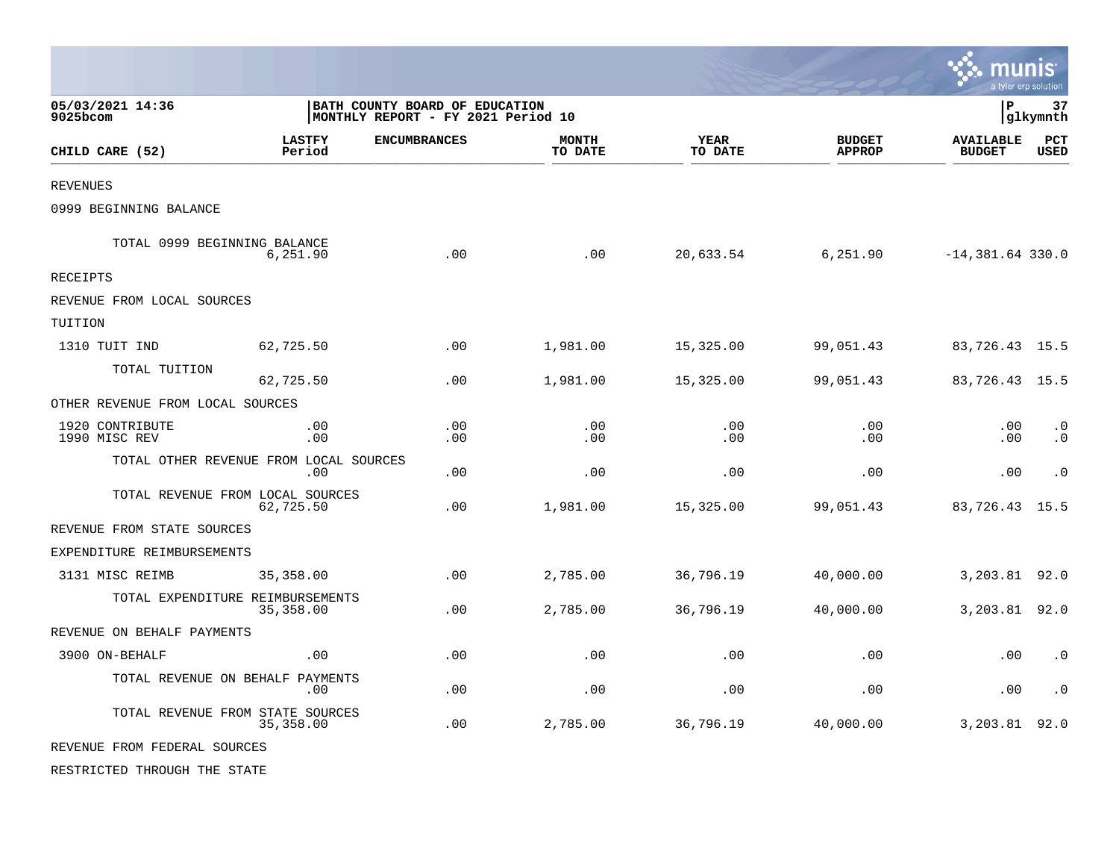|                                  |                                               |                                                                      |                         |                        |                                | munis<br>a tyler erp solution     |                        |
|----------------------------------|-----------------------------------------------|----------------------------------------------------------------------|-------------------------|------------------------|--------------------------------|-----------------------------------|------------------------|
| 05/03/2021 14:36<br>$9025$ bcom  |                                               | BATH COUNTY BOARD OF EDUCATION<br>MONTHLY REPORT - FY 2021 Period 10 |                         |                        |                                | l P                               | 37<br> glkymnth        |
| CHILD CARE (52)                  | <b>LASTFY</b><br>Period                       | <b>ENCUMBRANCES</b>                                                  | <b>MONTH</b><br>TO DATE | <b>YEAR</b><br>TO DATE | <b>BUDGET</b><br><b>APPROP</b> | <b>AVAILABLE</b><br><b>BUDGET</b> | PCT<br><b>USED</b>     |
| <b>REVENUES</b>                  |                                               |                                                                      |                         |                        |                                |                                   |                        |
| 0999 BEGINNING BALANCE           |                                               |                                                                      |                         |                        |                                |                                   |                        |
| TOTAL 0999 BEGINNING BALANCE     | 6,251.90                                      | .00                                                                  | .00                     | 20,633.54              | 6,251.90                       | $-14,381.64$ 330.0                |                        |
| RECEIPTS                         |                                               |                                                                      |                         |                        |                                |                                   |                        |
| REVENUE FROM LOCAL SOURCES       |                                               |                                                                      |                         |                        |                                |                                   |                        |
| TUITION                          |                                               |                                                                      |                         |                        |                                |                                   |                        |
| 1310 TUIT IND                    | 62,725.50                                     | .00                                                                  | 1,981.00                | 15,325.00              | 99,051.43                      | 83,726.43 15.5                    |                        |
| TOTAL TUITION                    | 62,725.50                                     | .00                                                                  | 1,981.00                | 15,325.00              | 99,051.43                      | 83,726.43 15.5                    |                        |
| OTHER REVENUE FROM LOCAL SOURCES |                                               |                                                                      |                         |                        |                                |                                   |                        |
| 1920 CONTRIBUTE<br>1990 MISC REV | .00<br>.00                                    | .00<br>.00                                                           | .00<br>.00              | .00<br>.00             | .00<br>.00                     | .00<br>.00                        | $\cdot$ 0<br>$\cdot$ 0 |
|                                  | TOTAL OTHER REVENUE FROM LOCAL SOURCES<br>.00 | .00                                                                  | .00                     | .00                    | .00                            | .00                               | $\cdot$ 0              |
|                                  | TOTAL REVENUE FROM LOCAL SOURCES<br>62,725.50 | .00.                                                                 | 1,981.00                | 15,325.00              | 99,051.43                      | 83,726.43                         | 15.5                   |
| REVENUE FROM STATE SOURCES       |                                               |                                                                      |                         |                        |                                |                                   |                        |
| EXPENDITURE REIMBURSEMENTS       |                                               |                                                                      |                         |                        |                                |                                   |                        |
| 3131 MISC REIMB                  | 35,358.00                                     | .00.                                                                 | 2,785.00                | 36,796.19              | 40,000.00                      | 3,203.81 92.0                     |                        |
|                                  | TOTAL EXPENDITURE REIMBURSEMENTS<br>35,358.00 | .00                                                                  | 2,785.00                | 36,796.19              | 40,000.00                      | 3,203.81 92.0                     |                        |
| REVENUE ON BEHALF PAYMENTS       |                                               |                                                                      |                         |                        |                                |                                   |                        |
| 3900 ON-BEHALF                   | .00                                           | .00                                                                  | .00                     | .00                    | .00                            | .00                               | $\cdot$ 0              |
|                                  | TOTAL REVENUE ON BEHALF PAYMENTS<br>.00       | .00                                                                  | .00                     | .00                    | .00                            | .00                               | $\cdot$ 0              |
|                                  | TOTAL REVENUE FROM STATE SOURCES<br>35,358.00 | .00                                                                  | 2,785.00                | 36,796.19              | 40,000.00                      | 3,203.81                          | 92.0                   |
| REVENUE FROM FEDERAL SOURCES     |                                               |                                                                      |                         |                        |                                |                                   |                        |
| RESTRICTED THROUGH THE STATE     |                                               |                                                                      |                         |                        |                                |                                   |                        |

**Contract**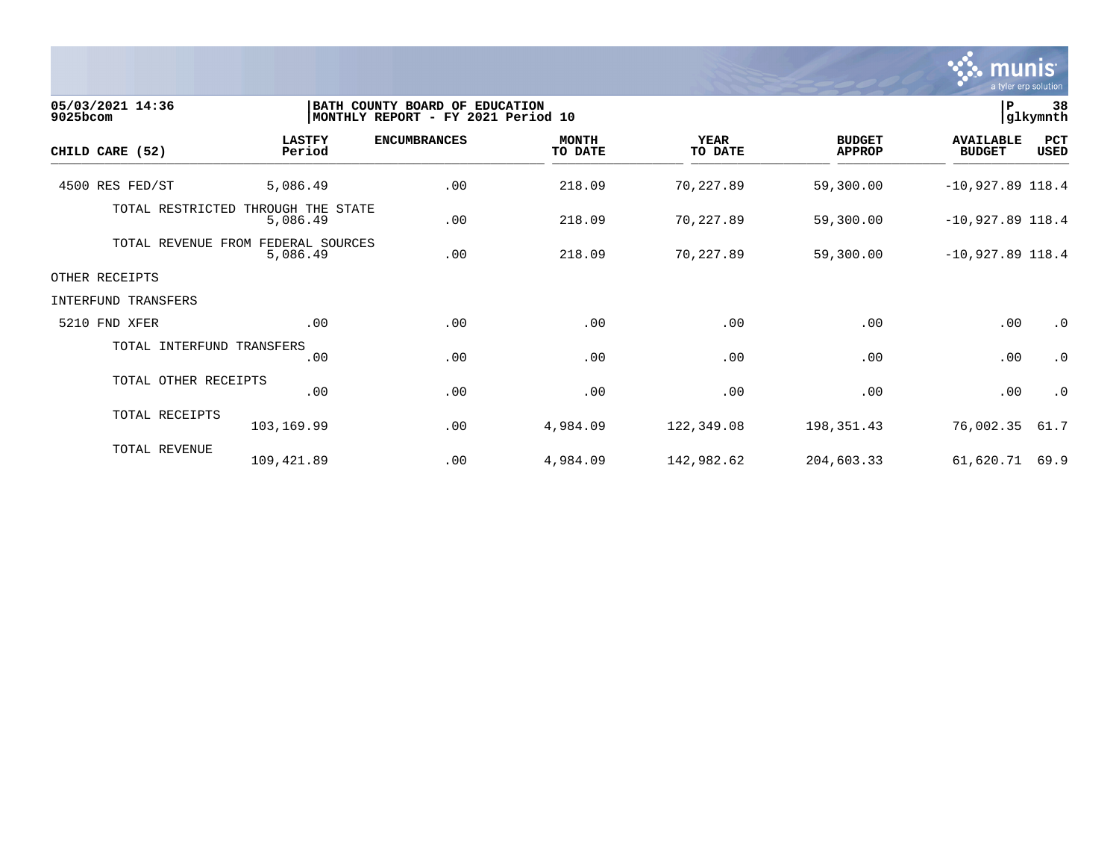

| 05/03/2021 14:36<br>9025bcom | BATH COUNTY BOARD OF EDUCATION<br>MONTHLY REPORT - FY 2021 Period 10 | l P<br>38<br>glkymnth |                         |                        |                                |                                   |                    |
|------------------------------|----------------------------------------------------------------------|-----------------------|-------------------------|------------------------|--------------------------------|-----------------------------------|--------------------|
| CHILD CARE (52)              | <b>LASTFY</b><br>Period                                              | <b>ENCUMBRANCES</b>   | <b>MONTH</b><br>TO DATE | <b>YEAR</b><br>TO DATE | <b>BUDGET</b><br><b>APPROP</b> | <b>AVAILABLE</b><br><b>BUDGET</b> | PCT<br><b>USED</b> |
| 4500 RES FED/ST              | 5,086.49                                                             | .00                   | 218.09                  | 70,227.89              | 59,300.00                      | $-10,927.89$ 118.4                |                    |
| TOTAL RESTRICTED             | THROUGH THE STATE<br>5,086.49                                        | .00                   | 218.09                  | 70,227.89              | 59,300.00                      | $-10,927.89$ 118.4                |                    |
| TOTAL REVENUE FROM           | FEDERAL SOURCES<br>5,086.49                                          | .00                   | 218.09                  | 70,227.89              | 59,300.00                      | $-10,927.89$ 118.4                |                    |
| OTHER RECEIPTS               |                                                                      |                       |                         |                        |                                |                                   |                    |
| INTERFUND TRANSFERS          |                                                                      |                       |                         |                        |                                |                                   |                    |
| 5210 FND XFER                | .00                                                                  | .00                   | .00                     | .00                    | .00                            | .00                               | $\cdot$ 0          |
| TOTAL INTERFUND TRANSFERS    | .00                                                                  | .00                   | .00                     | .00                    | .00                            | .00                               | $\cdot$ 0          |
| TOTAL OTHER RECEIPTS         | .00                                                                  | .00                   | .00                     | .00                    | .00                            | .00                               | $\cdot$ 0          |
| TOTAL RECEIPTS               | 103,169.99                                                           | .00                   | 4,984.09                | 122,349.08             | 198,351.43                     | 76,002.35                         | 61.7               |
| TOTAL REVENUE                | 109,421.89                                                           | .00                   | 4,984.09                | 142,982.62             | 204,603.33                     | 61,620.71                         | 69.9               |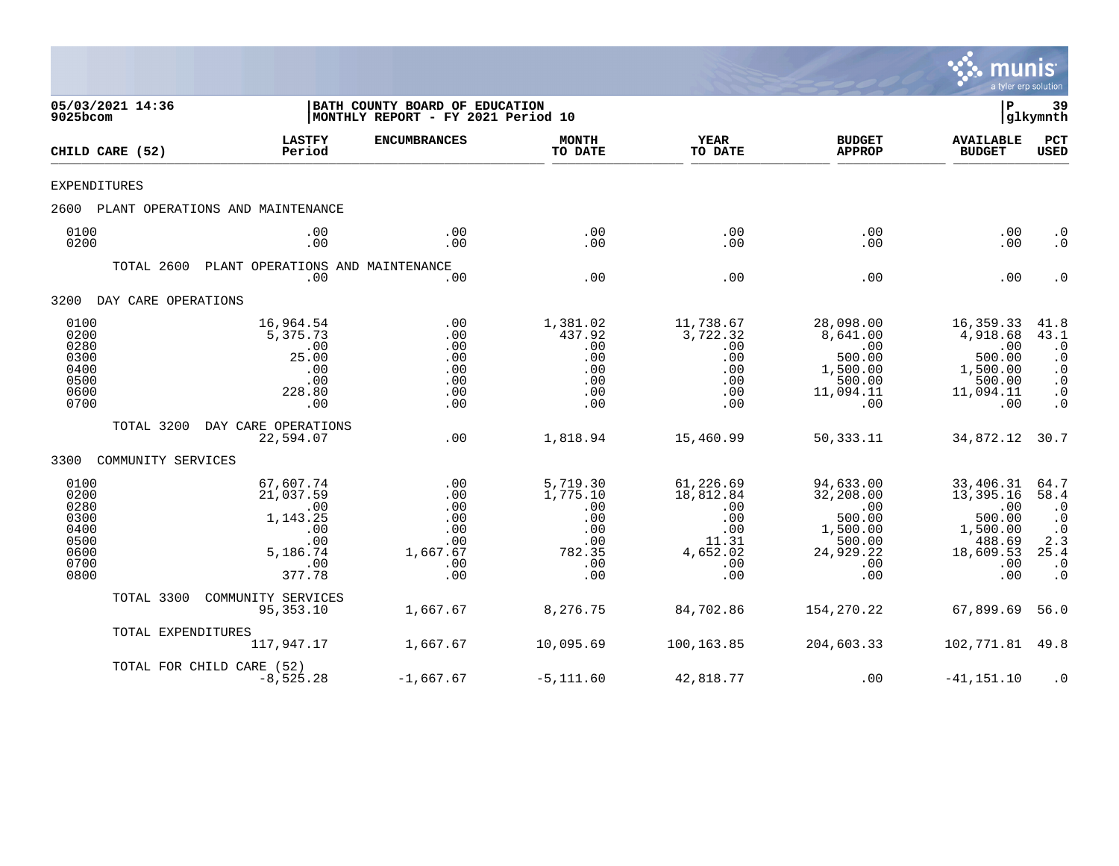

| 05/03/2021 14:36<br>9025bcom                                         |                     |                                                                                      | BATH COUNTY BOARD OF EDUCATION<br>MONTHLY REPORT - FY 2021 Period 10 |                                                                          |                                                                                |                                                                                          |                                                                                          |                                                                                                         |
|----------------------------------------------------------------------|---------------------|--------------------------------------------------------------------------------------|----------------------------------------------------------------------|--------------------------------------------------------------------------|--------------------------------------------------------------------------------|------------------------------------------------------------------------------------------|------------------------------------------------------------------------------------------|---------------------------------------------------------------------------------------------------------|
|                                                                      | CHILD CARE (52)     | <b>LASTFY</b><br>Period                                                              | <b>ENCUMBRANCES</b>                                                  | <b>MONTH</b><br>TO DATE                                                  | <b>YEAR</b><br>TO DATE                                                         | <b>BUDGET</b><br><b>APPROP</b>                                                           | <b>AVAILABLE</b><br><b>BUDGET</b>                                                        | PCT<br>USED                                                                                             |
| <b>EXPENDITURES</b>                                                  |                     |                                                                                      |                                                                      |                                                                          |                                                                                |                                                                                          |                                                                                          |                                                                                                         |
| 2600                                                                 |                     | PLANT OPERATIONS AND MAINTENANCE                                                     |                                                                      |                                                                          |                                                                                |                                                                                          |                                                                                          |                                                                                                         |
| 0100<br>0200                                                         |                     | .00<br>.00                                                                           | .00<br>.00                                                           | .00<br>.00                                                               | .00<br>.00                                                                     | .00<br>.00                                                                               | .00<br>.00                                                                               | $\cdot$ 0<br>$\cdot$ 0                                                                                  |
|                                                                      | TOTAL 2600          | PLANT OPERATIONS AND MAINTENANCE<br>.00                                              | .00                                                                  | .00                                                                      | .00                                                                            | .00                                                                                      | .00                                                                                      | $\cdot$ 0                                                                                               |
| 3200                                                                 | DAY CARE OPERATIONS |                                                                                      |                                                                      |                                                                          |                                                                                |                                                                                          |                                                                                          |                                                                                                         |
| 0100<br>0200<br>0280<br>0300<br>0400<br>0500<br>0600<br>0700         |                     | 16,964.54<br>5,375.73<br>.00<br>25.00<br>.00<br>.00<br>228.80<br>.00                 | .00<br>.00<br>.00<br>.00<br>.00<br>.00<br>.00<br>.00                 | 1,381.02<br>437.92<br>.00<br>.00<br>.00<br>.00<br>.00<br>.00             | 11,738.67<br>3,722.32<br>.00<br>.00<br>.00<br>.00<br>.00<br>.00                | 28,098.00<br>8,641.00<br>.00<br>500.00<br>1,500.00<br>500.00<br>11,094.11<br>.00         | 16,359.33<br>4,918.68<br>.00<br>500.00<br>1,500.00<br>500.00<br>11,094.11<br>.00         | 41.8<br>43.1<br>$\cdot$ 0<br>$\cdot$ 0<br>$\cdot$ 0<br>$\cdot$ 0<br>$\boldsymbol{\cdot}$ 0<br>$\cdot$ 0 |
|                                                                      | TOTAL 3200          | DAY CARE OPERATIONS<br>22,594.07                                                     | .00                                                                  | 1,818.94                                                                 | 15,460.99                                                                      | 50,333.11                                                                                | 34,872.12                                                                                | 30.7                                                                                                    |
| 3300                                                                 | COMMUNITY SERVICES  |                                                                                      |                                                                      |                                                                          |                                                                                |                                                                                          |                                                                                          |                                                                                                         |
| 0100<br>0200<br>0280<br>0300<br>0400<br>0500<br>0600<br>0700<br>0800 |                     | 67,607.74<br>21,037.59<br>.00<br>1,143.25<br>.00<br>.00<br>5,186.74<br>.00<br>377.78 | .00<br>.00<br>.00<br>.00<br>.00<br>.00<br>1,667.67<br>.00<br>.00     | 5,719.30<br>1,775.10<br>.00<br>.00<br>.00<br>.00<br>782.35<br>.00<br>.00 | 61,226.69<br>18,812.84<br>.00<br>.00<br>.00<br>11.31<br>4,652.02<br>.00<br>.00 | 94,633.00<br>32,208.00<br>.00<br>500.00<br>1,500.00<br>500.00<br>24,929.22<br>.00<br>.00 | 33,406.31<br>13,395.16<br>.00<br>500.00<br>1,500.00<br>488.69<br>18,609.53<br>.00<br>.00 | 64.7<br>58.4<br>$\cdot$ 0<br>$\cdot$ 0<br>$\cdot$ 0<br>2.3<br>25.4<br>$\cdot$ 0<br>$\cdot$ 0            |
|                                                                      | TOTAL 3300          | COMMUNITY SERVICES<br>95, 353. 10                                                    | 1,667.67                                                             | 8,276.75                                                                 | 84,702.86                                                                      | 154,270.22                                                                               | 67,899.69                                                                                | 56.0                                                                                                    |
|                                                                      | TOTAL EXPENDITURES  | 117,947.17                                                                           | 1,667.67                                                             | 10,095.69                                                                | 100,163.85                                                                     | 204,603.33                                                                               | 102,771.81                                                                               | 49.8                                                                                                    |
|                                                                      |                     | TOTAL FOR CHILD CARE (52)<br>$-8,525.28$                                             | $-1,667.67$                                                          | $-5, 111.60$                                                             | 42,818.77                                                                      | .00                                                                                      | $-41, 151.10$                                                                            | $\cdot$ 0                                                                                               |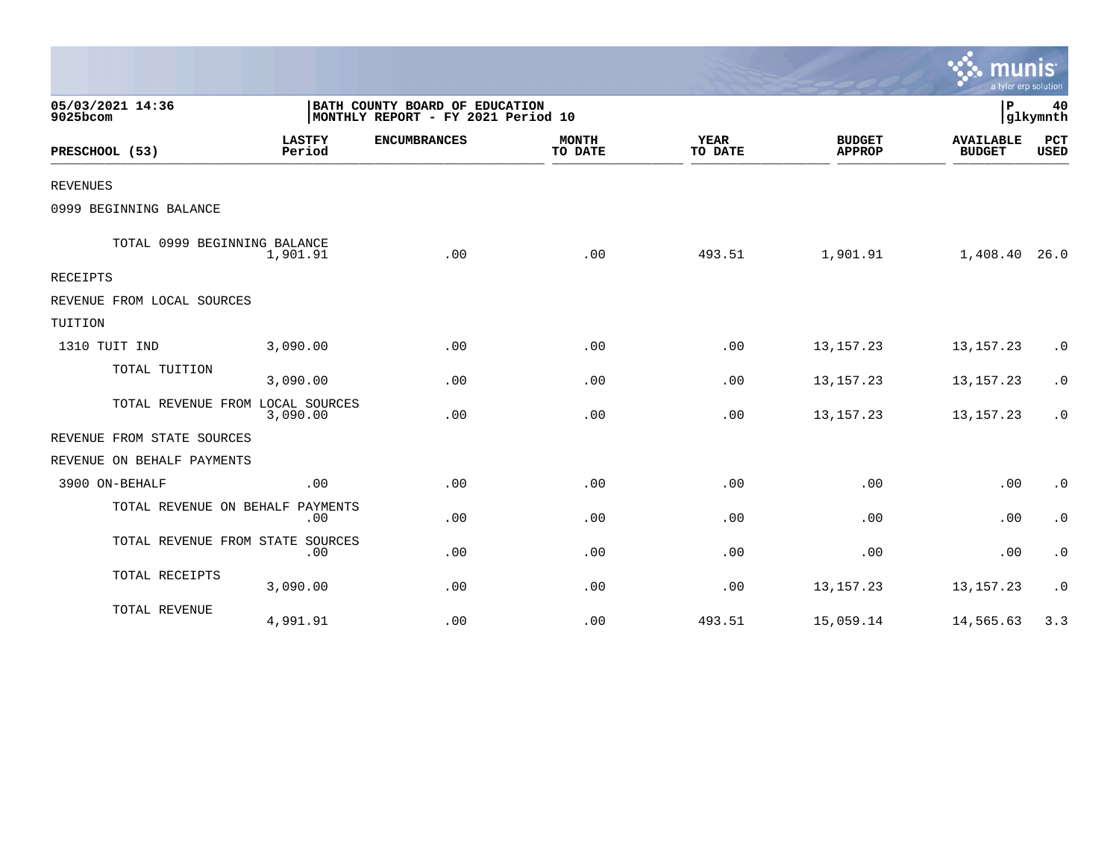|                                  |                         |                                                                      |                         |                        |                                | a tyler erp solution              |                    |
|----------------------------------|-------------------------|----------------------------------------------------------------------|-------------------------|------------------------|--------------------------------|-----------------------------------|--------------------|
| 05/03/2021 14:36<br>9025bcom     |                         | BATH COUNTY BOARD OF EDUCATION<br>MONTHLY REPORT - FY 2021 Period 10 |                         |                        |                                | P                                 | 40<br>glkymnth     |
| PRESCHOOL (53)                   | <b>LASTFY</b><br>Period | <b>ENCUMBRANCES</b>                                                  | <b>MONTH</b><br>TO DATE | <b>YEAR</b><br>TO DATE | <b>BUDGET</b><br><b>APPROP</b> | <b>AVAILABLE</b><br><b>BUDGET</b> | PCT<br><b>USED</b> |
| <b>REVENUES</b>                  |                         |                                                                      |                         |                        |                                |                                   |                    |
| 0999 BEGINNING BALANCE           |                         |                                                                      |                         |                        |                                |                                   |                    |
| TOTAL 0999 BEGINNING BALANCE     | 1,901.91                | .00                                                                  | .00                     | 493.51                 | 1,901.91                       | 1,408.40 26.0                     |                    |
| <b>RECEIPTS</b>                  |                         |                                                                      |                         |                        |                                |                                   |                    |
| REVENUE FROM LOCAL SOURCES       |                         |                                                                      |                         |                        |                                |                                   |                    |
| TUITION                          |                         |                                                                      |                         |                        |                                |                                   |                    |
| 1310 TUIT IND                    | 3,090.00                | .00                                                                  | .00                     | .00                    | 13, 157. 23                    | 13, 157. 23                       | $\cdot$ 0          |
| TOTAL TUITION                    | 3,090.00                | .00                                                                  | .00                     | .00                    | 13, 157. 23                    | 13, 157. 23                       | $\cdot$ 0          |
| TOTAL REVENUE FROM LOCAL SOURCES | 3,090.00                | .00                                                                  | .00                     | .00                    | 13, 157. 23                    | 13, 157. 23                       | $\cdot$ 0          |
| REVENUE FROM STATE SOURCES       |                         |                                                                      |                         |                        |                                |                                   |                    |
| REVENUE ON BEHALF PAYMENTS       |                         |                                                                      |                         |                        |                                |                                   |                    |
| 3900 ON-BEHALF                   | .00                     | .00                                                                  | .00                     | .00                    | .00                            | .00                               | $\cdot$ 0          |
| TOTAL REVENUE ON BEHALF PAYMENTS | .00                     | .00                                                                  | .00                     | .00                    | .00                            | .00                               | $\cdot$ 0          |
| TOTAL REVENUE FROM STATE SOURCES | .00                     | .00                                                                  | .00                     | .00                    | .00                            | .00                               | $\cdot$ 0          |
| TOTAL RECEIPTS                   | 3,090.00                | .00                                                                  | .00                     | .00                    | 13, 157. 23                    | 13, 157. 23                       | $\cdot$ 0          |
| TOTAL REVENUE                    | 4,991.91                | .00                                                                  | .00                     | 493.51                 | 15,059.14                      | 14,565.63                         | 3.3                |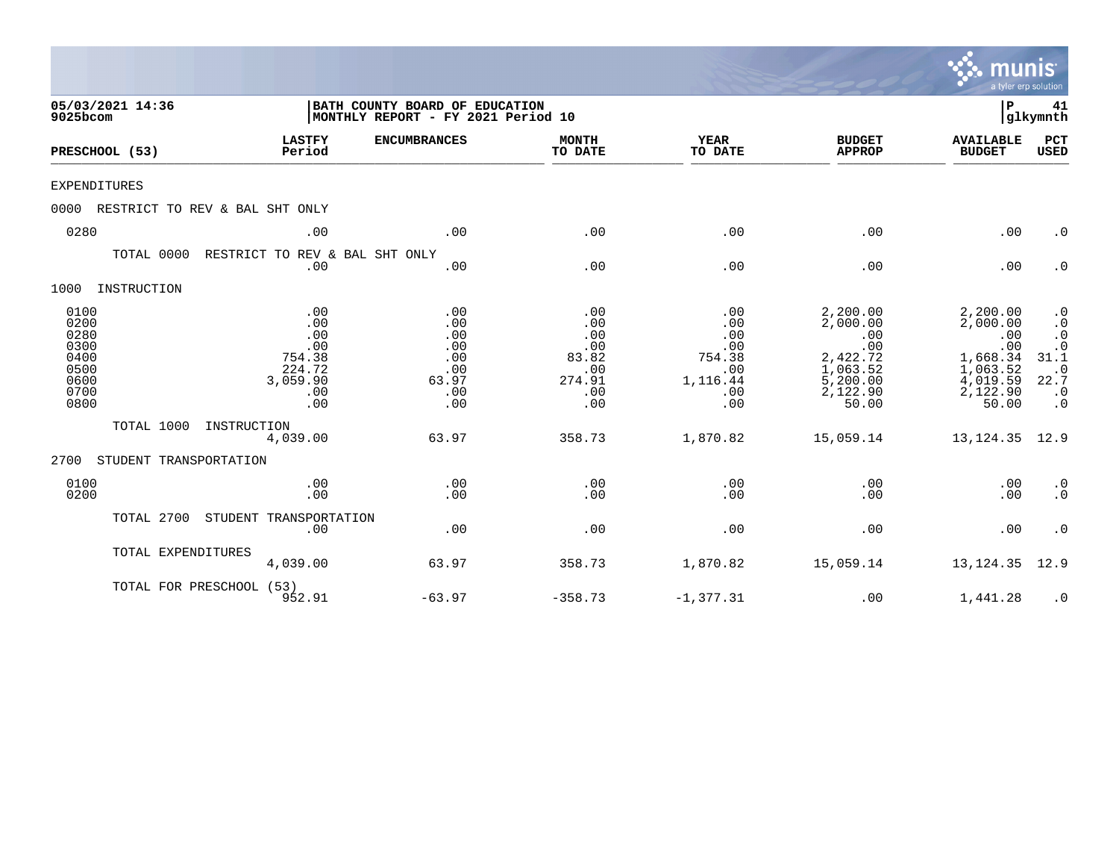|                                                                      |                                |                                                                        |                                                                      |                                                                  |                                                                     |                                                                                             | munis<br>a tyler erp solution                                                               |                                                                                                                 |
|----------------------------------------------------------------------|--------------------------------|------------------------------------------------------------------------|----------------------------------------------------------------------|------------------------------------------------------------------|---------------------------------------------------------------------|---------------------------------------------------------------------------------------------|---------------------------------------------------------------------------------------------|-----------------------------------------------------------------------------------------------------------------|
| 9025bcom                                                             | 05/03/2021 14:36               |                                                                        | BATH COUNTY BOARD OF EDUCATION<br>MONTHLY REPORT - FY 2021 Period 10 |                                                                  |                                                                     |                                                                                             | ΙP                                                                                          | 41<br> glkymnth                                                                                                 |
|                                                                      | PRESCHOOL (53)                 | <b>LASTFY</b><br>Period                                                | <b>ENCUMBRANCES</b>                                                  | <b>MONTH</b><br>TO DATE                                          | <b>YEAR</b><br>TO DATE                                              | <b>BUDGET</b><br><b>APPROP</b>                                                              | <b>AVAILABLE</b><br><b>BUDGET</b>                                                           | PCT<br><b>USED</b>                                                                                              |
| <b>EXPENDITURES</b>                                                  |                                |                                                                        |                                                                      |                                                                  |                                                                     |                                                                                             |                                                                                             |                                                                                                                 |
| 0000                                                                 | RESTRICT TO REV & BAL SHT ONLY |                                                                        |                                                                      |                                                                  |                                                                     |                                                                                             |                                                                                             |                                                                                                                 |
| 0280                                                                 |                                | .00                                                                    | .00                                                                  | .00                                                              | .00                                                                 | .00                                                                                         | .00                                                                                         | $\cdot$ 0                                                                                                       |
|                                                                      | TOTAL 0000                     | RESTRICT TO REV & BAL SHT ONLY<br>.00                                  | .00                                                                  | .00                                                              | .00                                                                 | .00                                                                                         | .00                                                                                         | $\cdot$ 0                                                                                                       |
| 1000                                                                 | INSTRUCTION                    |                                                                        |                                                                      |                                                                  |                                                                     |                                                                                             |                                                                                             |                                                                                                                 |
| 0100<br>0200<br>0280<br>0300<br>0400<br>0500<br>0600<br>0700<br>0800 |                                | .00<br>.00<br>.00<br>.00<br>754.38<br>224.72<br>3,059.90<br>.00<br>.00 | .00<br>.00<br>.00<br>.00<br>.00<br>.00<br>63.97<br>.00<br>.00        | .00<br>.00<br>.00<br>.00<br>83.82<br>.00<br>274.91<br>.00<br>.00 | .00<br>.00<br>.00<br>.00<br>754.38<br>.00<br>1,116.44<br>.00<br>.00 | 2,200.00<br>2,000.00<br>.00<br>.00<br>2,422.72<br>1,063.52<br>5,200.00<br>2,122.90<br>50.00 | 2,200.00<br>2,000.00<br>.00<br>.00<br>1,668.34<br>1,063.52<br>4,019.59<br>2,122.90<br>50.00 | $\cdot$ 0<br>$\cdot$ 0<br>$\cdot$ 0<br>$.0$<br>31.1<br>$\boldsymbol{\cdot}$ 0<br>22.7<br>$\cdot$ 0<br>$\cdot$ 0 |
|                                                                      | TOTAL 1000                     | INSTRUCTION<br>4,039.00                                                | 63.97                                                                | 358.73                                                           | 1,870.82                                                            | 15,059.14                                                                                   | 13, 124.35                                                                                  | 12.9                                                                                                            |
| 2700                                                                 | STUDENT TRANSPORTATION         |                                                                        |                                                                      |                                                                  |                                                                     |                                                                                             |                                                                                             |                                                                                                                 |
| 0100<br>0200                                                         |                                | .00<br>.00                                                             | .00<br>.00                                                           | .00<br>.00                                                       | .00<br>.00                                                          | .00<br>.00                                                                                  | .00<br>.00                                                                                  | $\cdot$ 0<br>$\cdot$ 0                                                                                          |
|                                                                      | TOTAL 2700                     | STUDENT TRANSPORTATION<br>.00                                          | .00                                                                  | .00                                                              | .00                                                                 | .00                                                                                         | .00                                                                                         | $\cdot$ 0                                                                                                       |
|                                                                      | TOTAL EXPENDITURES             | 4,039.00                                                               | 63.97                                                                | 358.73                                                           | 1,870.82                                                            | 15,059.14                                                                                   | 13, 124.35                                                                                  | 12.9                                                                                                            |
|                                                                      | TOTAL FOR PRESCHOOL (53)       | 952.91                                                                 | $-63.97$                                                             | $-358.73$                                                        | $-1, 377.31$                                                        | .00                                                                                         | 1,441.28                                                                                    | $\cdot$ 0                                                                                                       |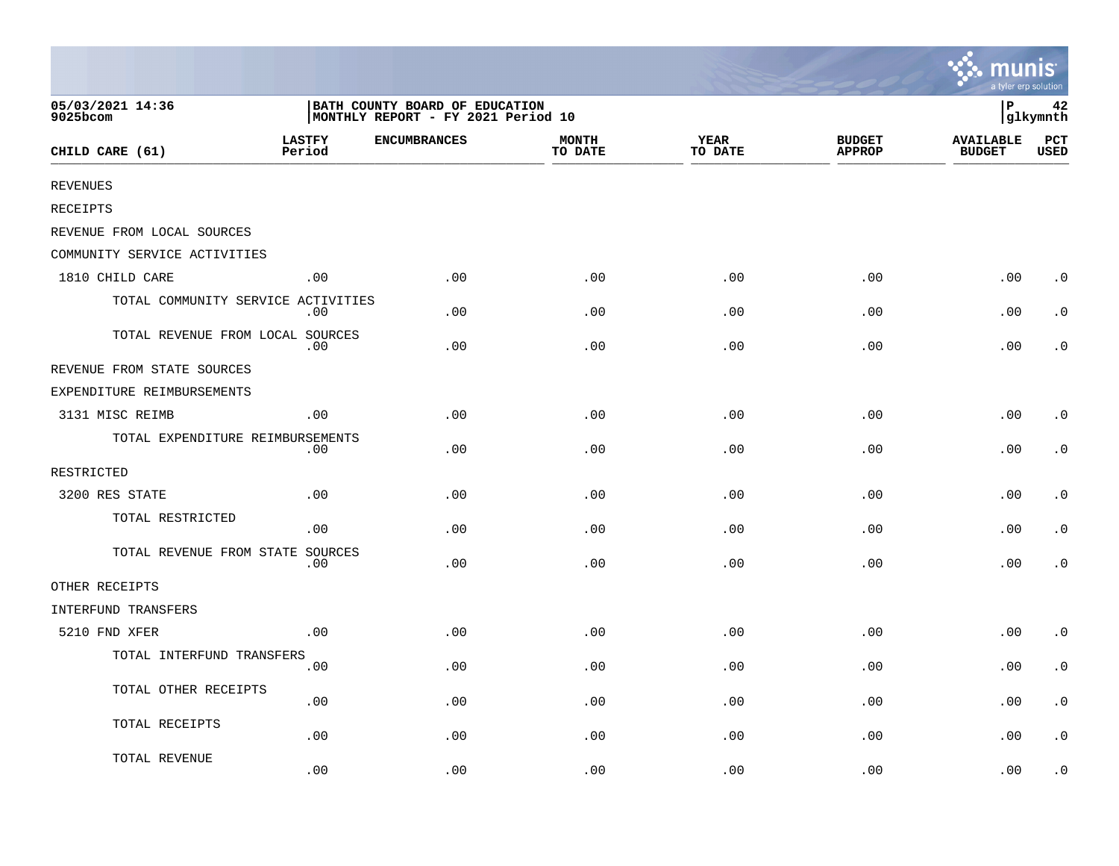|                                    |                         |                                                                      |                         |                        |                                | <b>W. MUNIS</b><br>a tyler erp solution |                    |
|------------------------------------|-------------------------|----------------------------------------------------------------------|-------------------------|------------------------|--------------------------------|-----------------------------------------|--------------------|
| 05/03/2021 14:36<br>9025bcom       |                         | BATH COUNTY BOARD OF EDUCATION<br>MONTHLY REPORT - FY 2021 Period 10 |                         |                        |                                | İΡ                                      | 42<br>glkymnth     |
| CHILD CARE (61)                    | <b>LASTFY</b><br>Period | <b>ENCUMBRANCES</b>                                                  | <b>MONTH</b><br>TO DATE | <b>YEAR</b><br>TO DATE | <b>BUDGET</b><br><b>APPROP</b> | <b>AVAILABLE</b><br><b>BUDGET</b>       | PCT<br><b>USED</b> |
| <b>REVENUES</b>                    |                         |                                                                      |                         |                        |                                |                                         |                    |
| <b>RECEIPTS</b>                    |                         |                                                                      |                         |                        |                                |                                         |                    |
| REVENUE FROM LOCAL SOURCES         |                         |                                                                      |                         |                        |                                |                                         |                    |
| COMMUNITY SERVICE ACTIVITIES       |                         |                                                                      |                         |                        |                                |                                         |                    |
| 1810 CHILD CARE                    | .00                     | .00                                                                  | .00                     | .00                    | .00                            | .00                                     | $\cdot$ 0          |
| TOTAL COMMUNITY SERVICE ACTIVITIES | .00                     | .00                                                                  | .00                     | .00                    | .00                            | .00                                     | $\cdot$ 0          |
| TOTAL REVENUE FROM LOCAL SOURCES   | .00                     | .00.                                                                 | .00                     | .00                    | .00                            | .00                                     | $\cdot$ 0          |
| REVENUE FROM STATE SOURCES         |                         |                                                                      |                         |                        |                                |                                         |                    |
| EXPENDITURE REIMBURSEMENTS         |                         |                                                                      |                         |                        |                                |                                         |                    |
| 3131 MISC REIMB                    | .00                     | .00                                                                  | .00                     | .00                    | .00                            | .00                                     | $\cdot$ 0          |
| TOTAL EXPENDITURE REIMBURSEMENTS   | .00                     | .00                                                                  | .00                     | .00                    | .00                            | .00                                     | $\cdot$ 0          |
| RESTRICTED                         |                         |                                                                      |                         |                        |                                |                                         |                    |
| 3200 RES STATE                     | .00                     | .00                                                                  | .00                     | .00                    | .00                            | .00                                     | $\cdot$ 0          |
| TOTAL RESTRICTED                   | .00                     | .00                                                                  | .00                     | .00                    | .00                            | .00                                     | $\cdot$ 0          |
| TOTAL REVENUE FROM STATE SOURCES   | .00                     | .00                                                                  | .00                     | .00                    | .00                            | .00                                     | $\cdot$ 0          |
| OTHER RECEIPTS                     |                         |                                                                      |                         |                        |                                |                                         |                    |
| INTERFUND TRANSFERS                |                         |                                                                      |                         |                        |                                |                                         |                    |
| 5210 FND XFER                      | .00                     | .00                                                                  | .00                     | .00                    | .00                            | .00                                     | $\cdot$ 0          |
| TOTAL INTERFUND TRANSFERS          | .00                     | .00                                                                  | .00                     | .00                    | .00                            | .00                                     | $\cdot$ 0          |
| TOTAL OTHER RECEIPTS               | .00                     | .00                                                                  | .00                     | .00                    | .00                            | .00                                     | $\cdot$ 0          |
| TOTAL RECEIPTS                     | .00                     | .00                                                                  | .00                     | .00                    | .00                            | .00                                     | $\cdot$ 0          |
| TOTAL REVENUE                      | .00                     | .00                                                                  | .00                     | .00                    | .00                            | .00                                     | $\cdot$ 0          |

 $\sim$   $\sim$   $\sim$   $\sim$   $\sim$   $\sim$   $\sim$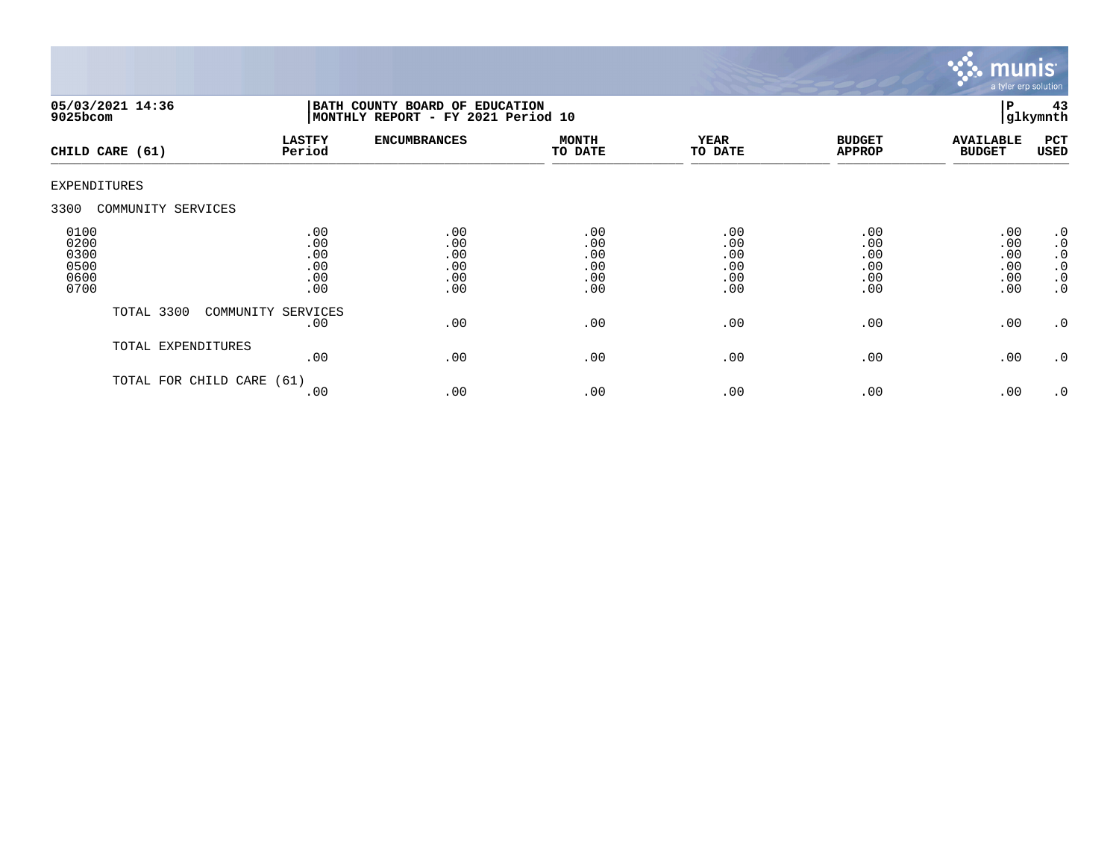

| $9025$ bcom                                  | 05/03/2021 14:36     | BATH COUNTY BOARD OF EDUCATION<br>MONTHLY REPORT - FY 2021 Period 10 |                                        |                                        |                                        |                                        | 43<br>l P<br>glkymnth                  |                                                                                  |
|----------------------------------------------|----------------------|----------------------------------------------------------------------|----------------------------------------|----------------------------------------|----------------------------------------|----------------------------------------|----------------------------------------|----------------------------------------------------------------------------------|
|                                              | CHILD CARE (61)      | <b>LASTFY</b><br>Period                                              | <b>ENCUMBRANCES</b>                    | <b>MONTH</b><br>TO DATE                | <b>YEAR</b><br>TO DATE                 | <b>BUDGET</b><br><b>APPROP</b>         | <b>AVAILABLE</b><br><b>BUDGET</b>      | PCT<br>USED                                                                      |
| <b>EXPENDITURES</b>                          |                      |                                                                      |                                        |                                        |                                        |                                        |                                        |                                                                                  |
| 3300                                         | COMMUNITY SERVICES   |                                                                      |                                        |                                        |                                        |                                        |                                        |                                                                                  |
| 0100<br>0200<br>0300<br>0500<br>0600<br>0700 |                      | .00<br>.00<br>.00<br>.00<br>.00<br>.00                               | .00<br>.00<br>.00<br>.00<br>.00<br>.00 | .00<br>.00<br>.00<br>.00<br>.00<br>.00 | .00<br>.00<br>.00<br>.00<br>.00<br>.00 | .00<br>.00<br>.00<br>.00<br>.00<br>.00 | .00<br>.00<br>.00<br>.00<br>.00<br>.00 | .0<br>$\boldsymbol{\cdot}$ 0<br>$\cdot$ 0<br>$\cdot$ 0<br>$\cdot$ 0<br>$\cdot$ 0 |
|                                              | TOTAL 3300           | COMMUNITY SERVICES<br>.00                                            | .00                                    | .00                                    | .00                                    | .00                                    | .00                                    | $\cdot$ 0                                                                        |
|                                              | TOTAL EXPENDITURES   | .00                                                                  | .00                                    | .00                                    | .00                                    | .00                                    | .00                                    | $\cdot$ 0                                                                        |
|                                              | TOTAL FOR CHILD CARE | (61)<br>.00                                                          | .00                                    | .00                                    | .00                                    | .00                                    | .00                                    | $\cdot$ 0                                                                        |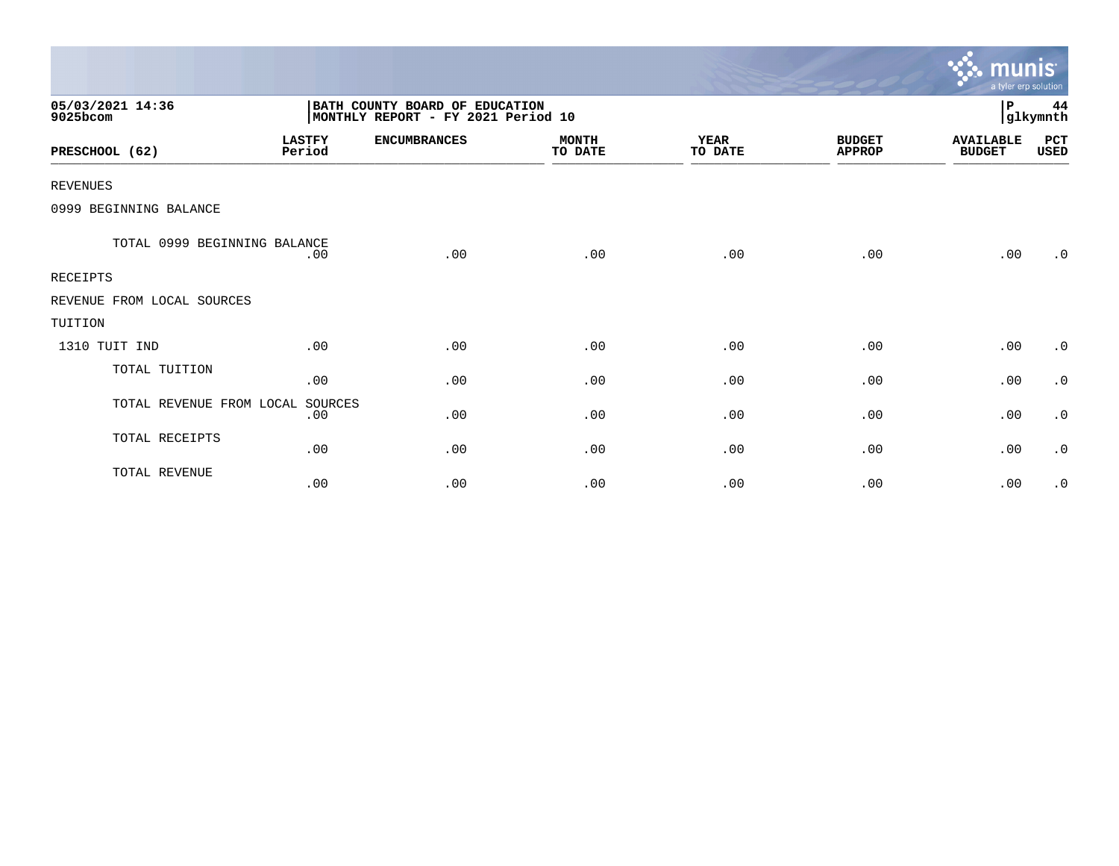|                              |                         |                                                                       |                         |                        |                                | <b>munis</b><br>a tyler erp solution |                |
|------------------------------|-------------------------|-----------------------------------------------------------------------|-------------------------|------------------------|--------------------------------|--------------------------------------|----------------|
| 05/03/2021 14:36<br>9025bcom |                         | BATH COUNTY BOARD OF EDUCATION<br> MONTHLY REPORT - FY 2021 Period 10 |                         |                        |                                | P                                    | 44<br>glkymnth |
| PRESCHOOL (62)               | <b>LASTFY</b><br>Period | <b>ENCUMBRANCES</b>                                                   | <b>MONTH</b><br>TO DATE | <b>YEAR</b><br>TO DATE | <b>BUDGET</b><br><b>APPROP</b> | <b>AVAILABLE</b><br><b>BUDGET</b>    | PCT<br>USED    |
| <b>REVENUES</b>              |                         |                                                                       |                         |                        |                                |                                      |                |
| 0999 BEGINNING BALANCE       |                         |                                                                       |                         |                        |                                |                                      |                |
| TOTAL 0999 BEGINNING BALANCE | .00                     | .00                                                                   | .00                     | .00                    | .00                            | .00                                  | $\cdot$ 0      |
| <b>RECEIPTS</b>              |                         |                                                                       |                         |                        |                                |                                      |                |
| REVENUE FROM LOCAL SOURCES   |                         |                                                                       |                         |                        |                                |                                      |                |
| TUITION                      |                         |                                                                       |                         |                        |                                |                                      |                |
| 1310 TUIT IND                | .00                     | .00                                                                   | .00                     | .00                    | .00                            | .00                                  | $\cdot$ 0      |
| TOTAL TUITION                | .00                     | .00                                                                   | .00                     | .00                    | .00                            | .00                                  | $\cdot$ 0      |
| TOTAL REVENUE FROM LOCAL     | SOURCES<br>.00          | .00                                                                   | .00                     | .00                    | .00                            | .00                                  | $\cdot$ 0      |
| TOTAL RECEIPTS               | .00                     | .00                                                                   | .00                     | .00                    | .00                            | .00                                  | $\cdot$ 0      |
| TOTAL REVENUE                | .00                     | .00                                                                   | .00                     | .00                    | .00                            | .00                                  | $\cdot$ 0      |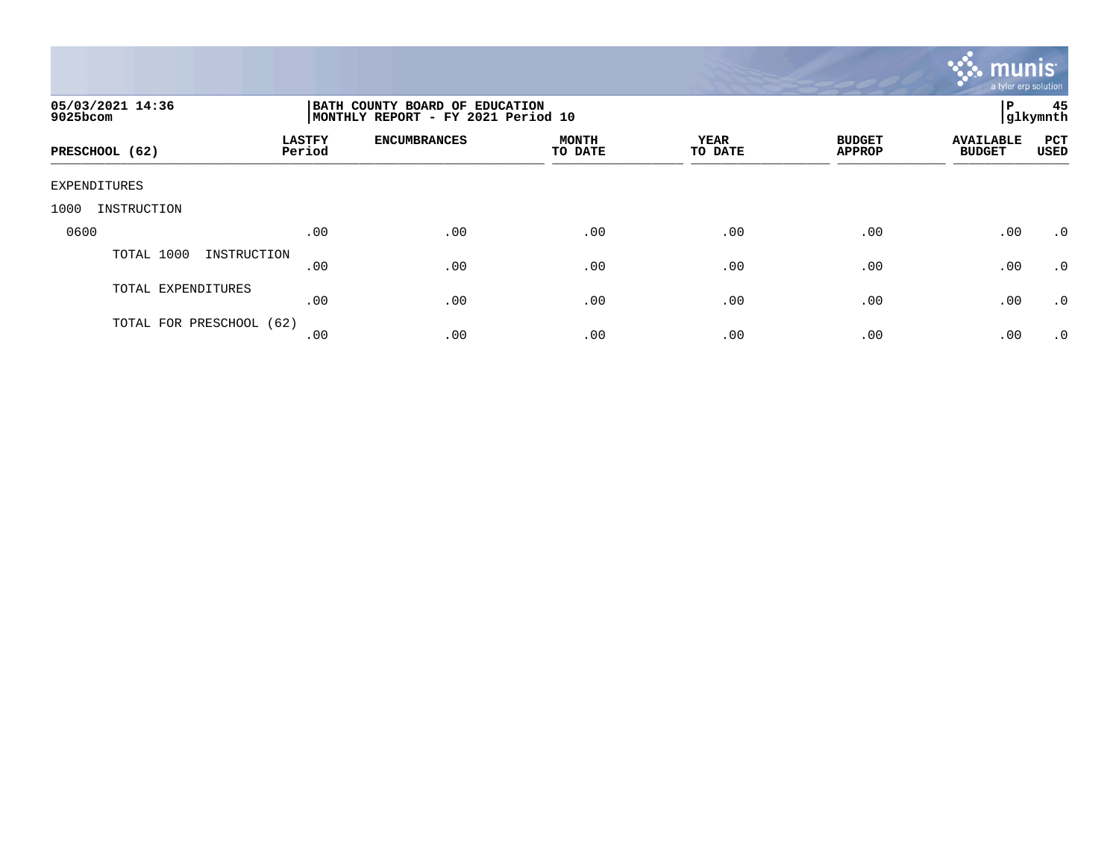

| 05/03/2021 14:36<br>9025bcom |                         | BATH COUNTY BOARD OF EDUCATION<br>MONTHLY REPORT - FY 2021 Period 10 |                         |                        |                                |                                   |                           |
|------------------------------|-------------------------|----------------------------------------------------------------------|-------------------------|------------------------|--------------------------------|-----------------------------------|---------------------------|
| PRESCHOOL (62)               | <b>LASTFY</b><br>Period | <b>ENCUMBRANCES</b>                                                  | <b>MONTH</b><br>TO DATE | <b>YEAR</b><br>TO DATE | <b>BUDGET</b><br><b>APPROP</b> | <b>AVAILABLE</b><br><b>BUDGET</b> | <b>PCT</b><br><b>USED</b> |
| EXPENDITURES                 |                         |                                                                      |                         |                        |                                |                                   |                           |
| INSTRUCTION<br>1000          |                         |                                                                      |                         |                        |                                |                                   |                           |
| 0600                         | .00                     | .00                                                                  | .00                     | .00                    | .00                            | .00                               | .0                        |
| TOTAL 1000<br>INSTRUCTION    | .00                     | .00                                                                  | .00                     | .00                    | .00                            | .00                               | .0                        |
| TOTAL EXPENDITURES           | .00                     | .00                                                                  | .00                     | .00                    | .00                            | .00                               | .0                        |
| TOTAL FOR PRESCHOOL (62)     | .00                     | .00                                                                  | .00                     | .00                    | .00                            | .00                               | $\cdot$ 0                 |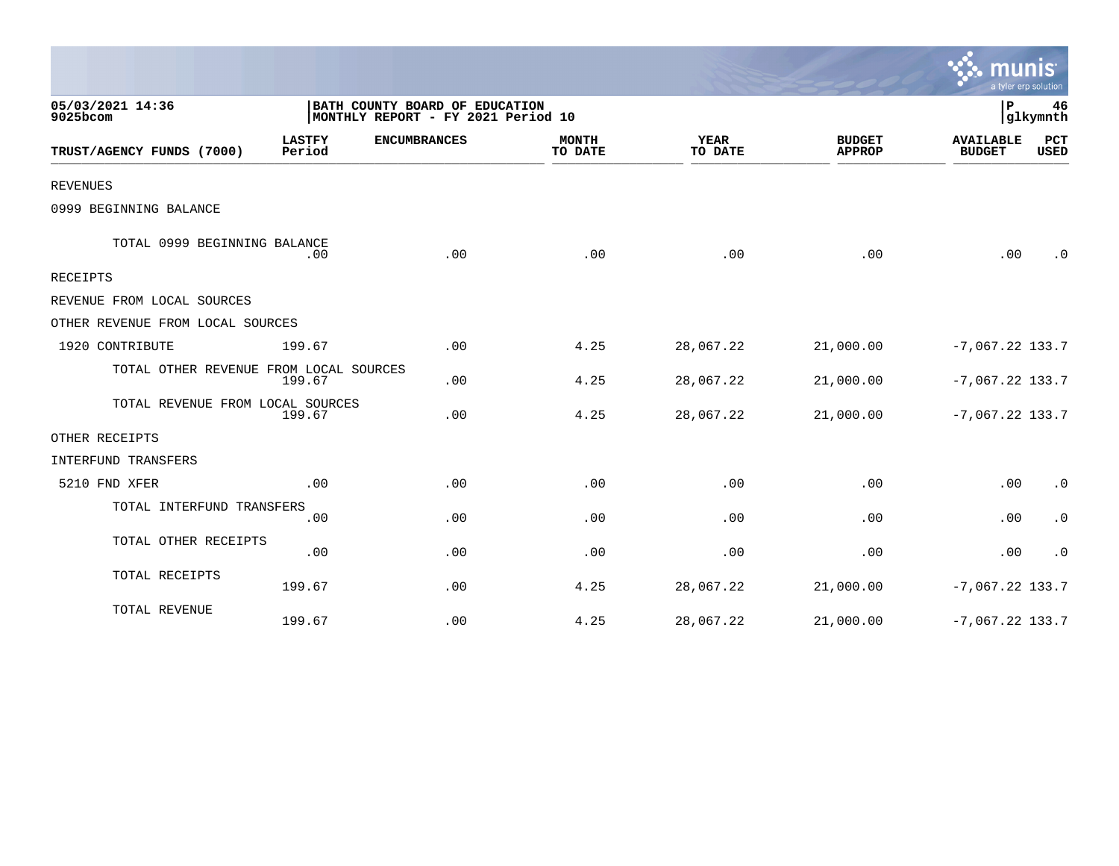|                                        |                         |                                                                      |                         |                        |                                | a tyler erp solution              |                    |
|----------------------------------------|-------------------------|----------------------------------------------------------------------|-------------------------|------------------------|--------------------------------|-----------------------------------|--------------------|
| 05/03/2021 14:36<br>9025bcom           |                         | BATH COUNTY BOARD OF EDUCATION<br>MONTHLY REPORT - FY 2021 Period 10 |                         |                        |                                | ΙP                                | 46<br> glkymnth    |
| TRUST/AGENCY FUNDS (7000)              | <b>LASTFY</b><br>Period | <b>ENCUMBRANCES</b>                                                  | <b>MONTH</b><br>TO DATE | <b>YEAR</b><br>TO DATE | <b>BUDGET</b><br><b>APPROP</b> | <b>AVAILABLE</b><br><b>BUDGET</b> | PCT<br><b>USED</b> |
| <b>REVENUES</b>                        |                         |                                                                      |                         |                        |                                |                                   |                    |
| 0999 BEGINNING BALANCE                 |                         |                                                                      |                         |                        |                                |                                   |                    |
| TOTAL 0999 BEGINNING BALANCE           | .00                     | .00                                                                  | .00                     | .00                    | .00                            | .00                               | $\cdot$ 0          |
| RECEIPTS                               |                         |                                                                      |                         |                        |                                |                                   |                    |
| REVENUE FROM LOCAL SOURCES             |                         |                                                                      |                         |                        |                                |                                   |                    |
| OTHER REVENUE FROM LOCAL SOURCES       |                         |                                                                      |                         |                        |                                |                                   |                    |
| 1920 CONTRIBUTE                        | 199.67                  | .00                                                                  | 4.25                    | 28,067.22              | 21,000.00                      | $-7,067.22$ 133.7                 |                    |
| TOTAL OTHER REVENUE FROM LOCAL SOURCES | 199.67                  | .00                                                                  | 4.25                    | 28,067.22              | 21,000.00                      | $-7,067.22$ 133.7                 |                    |
| TOTAL REVENUE FROM LOCAL SOURCES       | 199.67                  | .00                                                                  | 4.25                    | 28,067.22              | 21,000.00                      | $-7,067.22$ 133.7                 |                    |
| OTHER RECEIPTS                         |                         |                                                                      |                         |                        |                                |                                   |                    |
| INTERFUND TRANSFERS                    |                         |                                                                      |                         |                        |                                |                                   |                    |
| 5210 FND XFER                          | .00                     | .00                                                                  | .00                     | .00                    | .00                            | .00                               | $\cdot$ 0          |
| TOTAL INTERFUND TRANSFERS              | .00                     | .00                                                                  | .00                     | .00                    | .00                            | .00                               | $\cdot$ 0          |
| TOTAL OTHER RECEIPTS                   | .00                     | .00                                                                  | .00                     | .00                    | .00                            | .00                               | $\cdot$ 0          |
| TOTAL RECEIPTS                         | 199.67                  | .00                                                                  | 4.25                    | 28,067.22              | 21,000.00                      | $-7,067.22$ 133.7                 |                    |
| TOTAL REVENUE                          | 199.67                  | .00                                                                  | 4.25                    | 28,067.22              | 21,000.00                      | $-7,067.22$ 133.7                 |                    |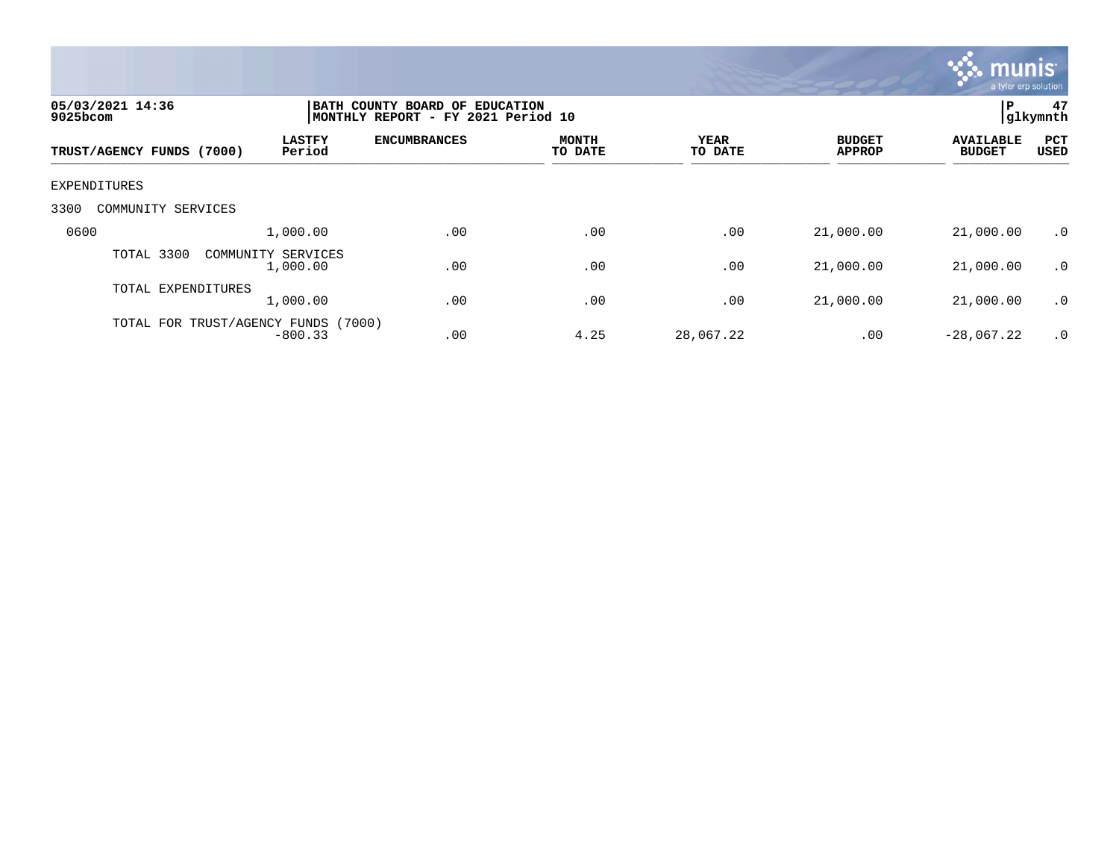

| 05/03/2021 14:36<br>9025bcom        | Р<br>BATH COUNTY BOARD OF EDUCATION<br>glkymnth<br>MONTHLY REPORT - FY 2021 Period 10 |                     |                         |                        |                                |                                   |                      |  |
|-------------------------------------|---------------------------------------------------------------------------------------|---------------------|-------------------------|------------------------|--------------------------------|-----------------------------------|----------------------|--|
| TRUST/AGENCY FUNDS (7000)           | <b>LASTFY</b><br>Period                                                               | <b>ENCUMBRANCES</b> | <b>MONTH</b><br>TO DATE | <b>YEAR</b><br>TO DATE | <b>BUDGET</b><br><b>APPROP</b> | <b>AVAILABLE</b><br><b>BUDGET</b> | <b>PCT</b><br>USED   |  |
| EXPENDITURES                        |                                                                                       |                     |                         |                        |                                |                                   |                      |  |
| 3300<br>COMMUNITY SERVICES          |                                                                                       |                     |                         |                        |                                |                                   |                      |  |
| 0600                                | 1,000.00                                                                              | .00                 | .00                     | .00                    | 21,000.00                      | 21,000.00                         | $\cdot$ 0            |  |
| TOTAL 3300                          | COMMUNITY SERVICES<br>1,000.00                                                        | .00                 | .00                     | .00                    | 21,000.00                      | 21,000.00                         | $\cdot$ 0            |  |
| TOTAL EXPENDITURES                  | 1,000.00                                                                              | .00                 | .00                     | .00                    | 21,000.00                      | 21,000.00                         | $\cdot$ 0            |  |
| TOTAL FOR TRUST/AGENCY FUNDS (7000) | $-800.33$                                                                             | .00                 | 4.25                    | 28,067.22              | .00                            | $-28,067,22$                      | $\cdot$ <sup>0</sup> |  |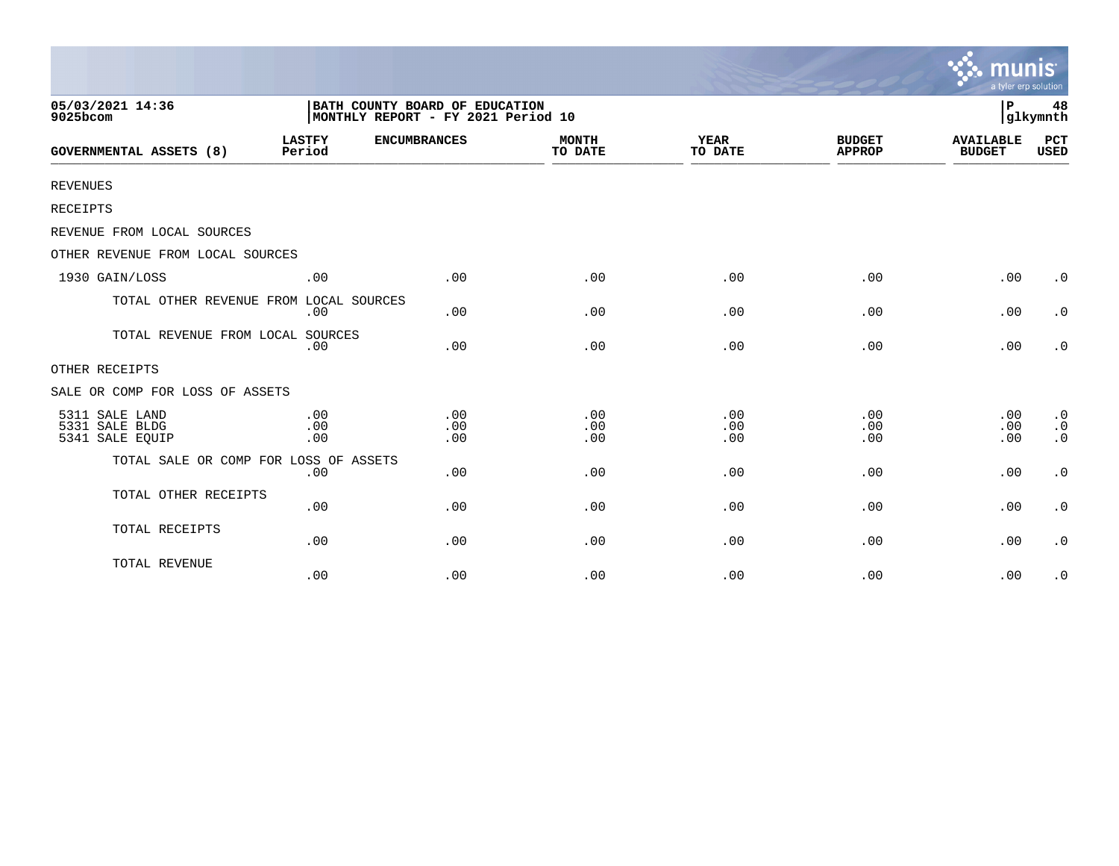|                                                     |                         |                                                                      |                         |                        |                                | munis<br>a tyler erp solution     |                                                  |
|-----------------------------------------------------|-------------------------|----------------------------------------------------------------------|-------------------------|------------------------|--------------------------------|-----------------------------------|--------------------------------------------------|
| 05/03/2021 14:36<br>9025bcom                        |                         | BATH COUNTY BOARD OF EDUCATION<br>MONTHLY REPORT - FY 2021 Period 10 |                         |                        |                                | l P                               | 48<br>glkymnth                                   |
| GOVERNMENTAL ASSETS (8)                             | <b>LASTFY</b><br>Period | <b>ENCUMBRANCES</b>                                                  | <b>MONTH</b><br>TO DATE | <b>YEAR</b><br>TO DATE | <b>BUDGET</b><br><b>APPROP</b> | <b>AVAILABLE</b><br><b>BUDGET</b> | <b>PCT</b><br>USED                               |
| <b>REVENUES</b>                                     |                         |                                                                      |                         |                        |                                |                                   |                                                  |
| RECEIPTS                                            |                         |                                                                      |                         |                        |                                |                                   |                                                  |
| REVENUE FROM LOCAL SOURCES                          |                         |                                                                      |                         |                        |                                |                                   |                                                  |
| OTHER REVENUE FROM LOCAL SOURCES                    |                         |                                                                      |                         |                        |                                |                                   |                                                  |
| 1930 GAIN/LOSS                                      | .00                     | .00                                                                  | .00                     | .00                    | .00                            | .00                               | $\cdot$ 0                                        |
| TOTAL OTHER REVENUE FROM LOCAL SOURCES              | .00                     | .00                                                                  | .00                     | .00                    | .00                            | .00                               | $\cdot$ 0                                        |
| TOTAL REVENUE FROM LOCAL SOURCES                    | .00                     | .00                                                                  | .00                     | .00                    | .00                            | .00                               | $\cdot$ 0                                        |
| OTHER RECEIPTS                                      |                         |                                                                      |                         |                        |                                |                                   |                                                  |
| SALE OR COMP FOR LOSS OF ASSETS                     |                         |                                                                      |                         |                        |                                |                                   |                                                  |
| 5311 SALE LAND<br>5331 SALE BLDG<br>5341 SALE EQUIP | .00<br>.00<br>.00       | .00<br>.00<br>.00                                                    | .00<br>.00<br>.00       | .00<br>.00<br>.00      | .00<br>.00<br>.00              | .00<br>.00<br>.00                 | $\cdot$ 0<br>$\boldsymbol{\cdot}$ 0<br>$\cdot$ 0 |
| TOTAL SALE OR COMP FOR LOSS OF ASSETS               | .00                     | .00                                                                  | .00                     | .00                    | .00                            | .00                               | $\cdot$ 0                                        |
| TOTAL OTHER RECEIPTS                                | .00                     | .00                                                                  | .00                     | .00                    | .00                            | .00                               | $\cdot$ 0                                        |
| TOTAL RECEIPTS                                      | .00                     | .00                                                                  | .00                     | .00                    | .00                            | .00                               | $\cdot$ 0                                        |
| TOTAL REVENUE                                       | .00                     | .00                                                                  | .00                     | .00                    | .00                            | .00                               | $\cdot$ 0                                        |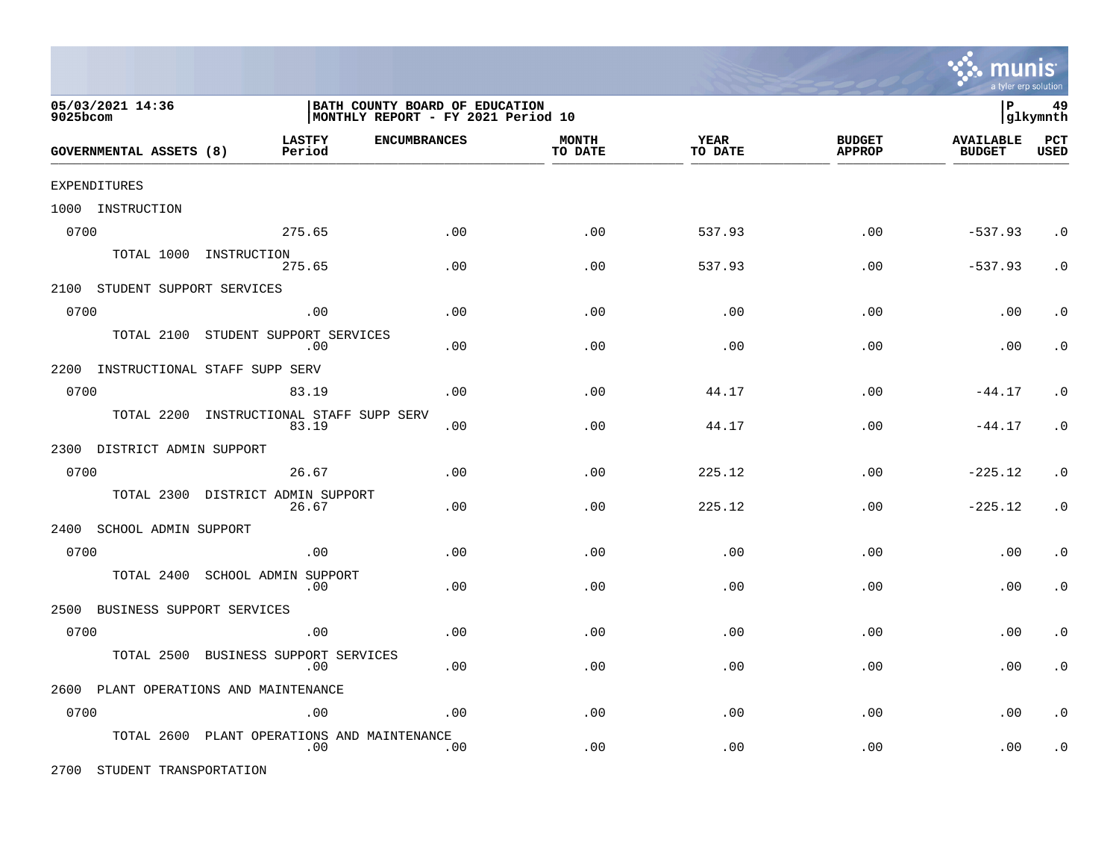

| 05/03/2021 14:36<br>9025bcom          |                               | BATH COUNTY BOARD OF EDUCATION<br>MONTHLY REPORT - FY 2021 Period 10 |                     |                         |                        |                                |                                   | 49<br>glkymnth     |
|---------------------------------------|-------------------------------|----------------------------------------------------------------------|---------------------|-------------------------|------------------------|--------------------------------|-----------------------------------|--------------------|
| GOVERNMENTAL ASSETS (8)               |                               | <b>LASTFY</b><br>Period                                              | <b>ENCUMBRANCES</b> | <b>MONTH</b><br>TO DATE | <b>YEAR</b><br>TO DATE | <b>BUDGET</b><br><b>APPROP</b> | <b>AVAILABLE</b><br><b>BUDGET</b> | PCT<br><b>USED</b> |
| EXPENDITURES                          |                               |                                                                      |                     |                         |                        |                                |                                   |                    |
| 1000 INSTRUCTION                      |                               |                                                                      |                     |                         |                        |                                |                                   |                    |
| 0700                                  |                               | 275.65                                                               | .00                 | .00                     | 537.93                 | .00                            | $-537.93$                         | $\cdot$ 0          |
|                                       | TOTAL 1000 INSTRUCTION        | 275.65                                                               | .00                 | .00                     | 537.93                 | .00                            | $-537.93$                         | $\cdot$ 0          |
| 2100 STUDENT SUPPORT SERVICES         |                               |                                                                      |                     |                         |                        |                                |                                   |                    |
| 0700                                  |                               | .00                                                                  | .00                 | .00                     | .00                    | .00                            | .00                               | $\cdot$ 0          |
|                                       |                               | TOTAL 2100 STUDENT SUPPORT SERVICES<br>.00                           | .00                 | .00                     | .00                    | .00                            | .00                               | $\cdot$ 0          |
| 2200                                  | INSTRUCTIONAL STAFF SUPP SERV |                                                                      |                     |                         |                        |                                |                                   |                    |
| 0700                                  |                               | 83.19                                                                | .00                 | .00                     | 44.17                  | .00                            | $-44.17$                          | $\cdot$ 0          |
| TOTAL 2200                            |                               | INSTRUCTIONAL STAFF SUPP SERV<br>83.19                               | .00                 | .00                     | 44.17                  | .00                            | $-44.17$                          | $\cdot$ 0          |
| 2300 DISTRICT ADMIN SUPPORT           |                               |                                                                      |                     |                         |                        |                                |                                   |                    |
| 0700                                  |                               | 26.67                                                                | .00                 | .00                     | 225.12                 | .00                            | $-225.12$                         | $\cdot$ 0          |
|                                       |                               | TOTAL 2300 DISTRICT ADMIN SUPPORT<br>26.67                           | .00                 | .00                     | 225.12                 | .00                            | $-225.12$                         | $\cdot$ 0          |
| 2400 SCHOOL ADMIN SUPPORT             |                               |                                                                      |                     |                         |                        |                                |                                   |                    |
| 0700                                  |                               | .00                                                                  | .00                 | .00                     | .00                    | .00                            | .00                               | $\cdot$ 0          |
| TOTAL 2400                            |                               | SCHOOL ADMIN SUPPORT<br>.00                                          | .00                 | .00                     | .00                    | .00                            | .00                               | $\cdot$ 0          |
| 2500 BUSINESS SUPPORT SERVICES        |                               |                                                                      |                     |                         |                        |                                |                                   |                    |
| 0700                                  |                               | .00                                                                  | .00                 | .00                     | .00                    | .00                            | .00                               | $\cdot$ 0          |
| TOTAL 2500                            |                               | BUSINESS SUPPORT SERVICES<br>.00                                     | .00                 | .00                     | .00                    | .00                            | .00                               | $\cdot$ 0          |
| 2600 PLANT OPERATIONS AND MAINTENANCE |                               |                                                                      |                     |                         |                        |                                |                                   |                    |
| 0700                                  |                               | .00                                                                  | .00                 | .00                     | .00                    | .00                            | .00                               | $\cdot$ 0          |
| TOTAL 2600                            |                               | PLANT OPERATIONS AND MAINTENANCE<br>.00                              | .00                 | .00                     | .00                    | .00                            | .00                               | $\cdot$ 0          |

2700 STUDENT TRANSPORTATION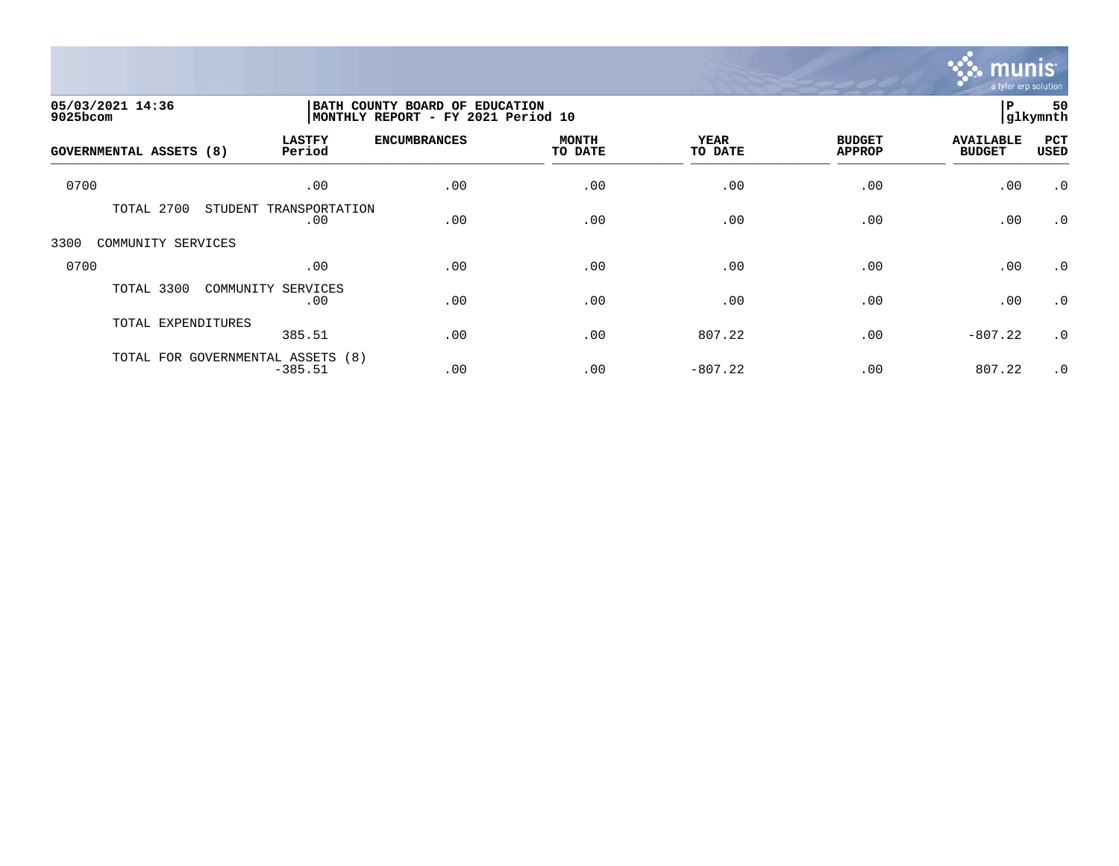

| 05/03/2021 14:36<br>9025bcom   |                                                | BATH COUNTY BOARD OF EDUCATION<br>MONTHLY REPORT - FY 2021 Period 10 |                         |                        |                                |                                   |             |
|--------------------------------|------------------------------------------------|----------------------------------------------------------------------|-------------------------|------------------------|--------------------------------|-----------------------------------|-------------|
| <b>GOVERNMENTAL ASSETS (8)</b> | <b>LASTFY</b><br>Period                        | <b>ENCUMBRANCES</b>                                                  | <b>MONTH</b><br>TO DATE | <b>YEAR</b><br>TO DATE | <b>BUDGET</b><br><b>APPROP</b> | <b>AVAILABLE</b><br><b>BUDGET</b> | PCT<br>USED |
| 0700                           | .00                                            | .00                                                                  | .00                     | .00                    | .00                            | .00                               | $\cdot$ 0   |
| TOTAL 2700                     | STUDENT<br>TRANSPORTATION<br>.00               | .00                                                                  | .00                     | .00                    | .00                            | .00                               | $\cdot$ 0   |
| 3300<br>COMMUNITY SERVICES     |                                                |                                                                      |                         |                        |                                |                                   |             |
| 0700                           | .00                                            | .00                                                                  | .00                     | .00                    | .00                            | .00                               | $\cdot$ 0   |
| TOTAL 3300                     | COMMUNITY SERVICES<br>.00                      | .00                                                                  | .00                     | .00                    | .00                            | .00                               | $\cdot$ 0   |
| TOTAL EXPENDITURES             | 385.51                                         | .00                                                                  | .00                     | 807.22                 | .00                            | $-807.22$                         | $\cdot$ 0   |
|                                | TOTAL FOR GOVERNMENTAL ASSETS (8)<br>$-385.51$ | .00                                                                  | .00                     | $-807.22$              | .00                            | 807.22                            | $\cdot$ 0   |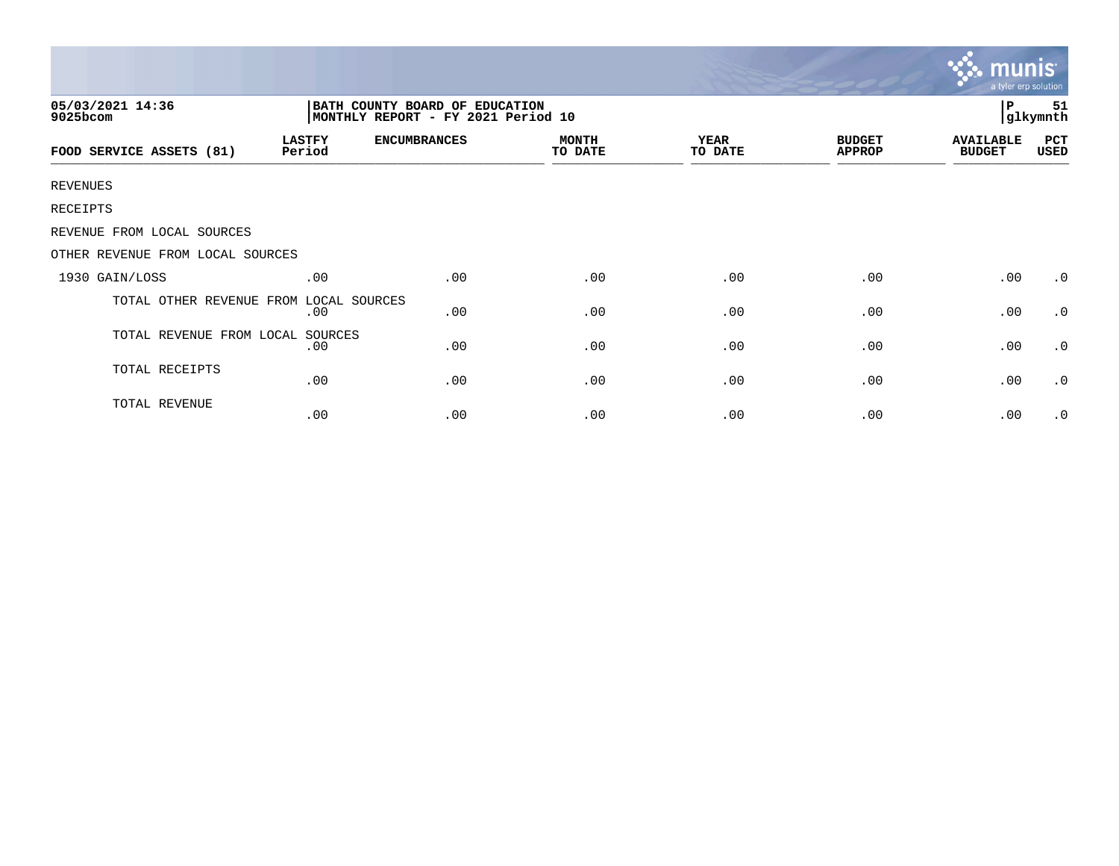|                                  |                                                                      |                     |                         |                        |                                | mu<br>a tyler erp solution        |                 |
|----------------------------------|----------------------------------------------------------------------|---------------------|-------------------------|------------------------|--------------------------------|-----------------------------------|-----------------|
| 05/03/2021 14:36<br>9025bcom     | BATH COUNTY BOARD OF EDUCATION<br>MONTHLY REPORT - FY 2021 Period 10 |                     |                         |                        |                                | l P                               | -51<br>glkymnth |
| FOOD SERVICE ASSETS (81)         | <b>LASTFY</b><br>Period                                              | <b>ENCUMBRANCES</b> | <b>MONTH</b><br>TO DATE | <b>YEAR</b><br>TO DATE | <b>BUDGET</b><br><b>APPROP</b> | <b>AVAILABLE</b><br><b>BUDGET</b> | PCT<br>USED     |
| <b>REVENUES</b>                  |                                                                      |                     |                         |                        |                                |                                   |                 |
| RECEIPTS                         |                                                                      |                     |                         |                        |                                |                                   |                 |
| REVENUE FROM LOCAL SOURCES       |                                                                      |                     |                         |                        |                                |                                   |                 |
| OTHER REVENUE FROM LOCAL SOURCES |                                                                      |                     |                         |                        |                                |                                   |                 |
| 1930 GAIN/LOSS                   | .00                                                                  | .00                 | .00                     | .00                    | .00                            | .00                               | $\cdot$ 0       |
| TOTAL OTHER REVENUE FROM         | LOCAL SOURCES<br>.00                                                 | .00                 | .00                     | .00                    | .00                            | .00                               | $\cdot$ 0       |
| TOTAL REVENUE FROM LOCAL SOURCES | .00                                                                  | .00                 | .00                     | .00                    | .00                            | .00                               | $\cdot$ 0       |
| TOTAL RECEIPTS                   | .00                                                                  | .00                 | .00                     | .00                    | .00                            | .00                               | $\cdot$ 0       |
| TOTAL REVENUE                    | .00                                                                  | .00                 | .00                     | .00                    | .00                            | .00                               | $\cdot$ 0       |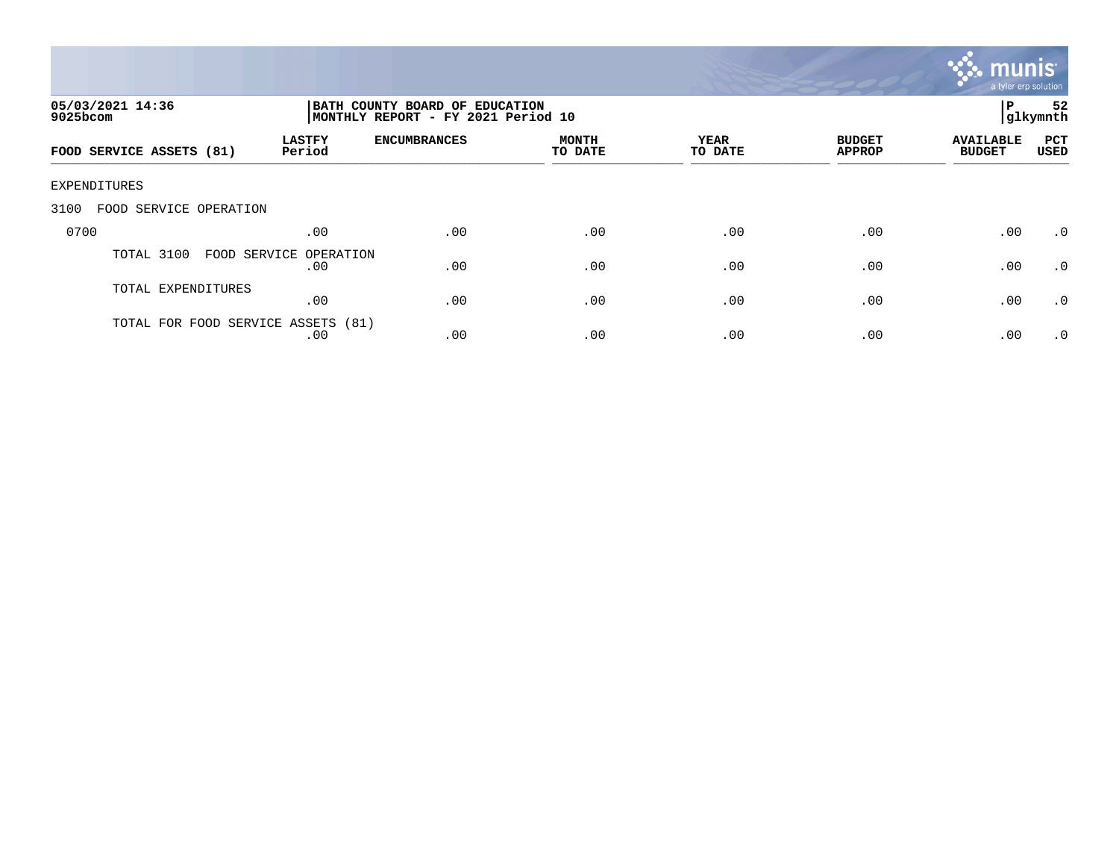

| 05/03/2021 14:36<br>$9025$ bcom    |                               | BATH COUNTY BOARD OF EDUCATION<br>MONTHLY REPORT - FY 2021 Period 10 |                         |                 |                                |                                   |                    |
|------------------------------------|-------------------------------|----------------------------------------------------------------------|-------------------------|-----------------|--------------------------------|-----------------------------------|--------------------|
| FOOD SERVICE ASSETS (81)           | <b>LASTFY</b><br>Period       | <b>ENCUMBRANCES</b>                                                  | <b>MONTH</b><br>TO DATE | YEAR<br>TO DATE | <b>BUDGET</b><br><b>APPROP</b> | <b>AVAILABLE</b><br><b>BUDGET</b> | PCT<br><b>USED</b> |
| <b>EXPENDITURES</b>                |                               |                                                                      |                         |                 |                                |                                   |                    |
| 3100<br>FOOD SERVICE OPERATION     |                               |                                                                      |                         |                 |                                |                                   |                    |
| 0700                               | .00                           | .00                                                                  | .00                     | .00             | .00                            | .00                               | .0                 |
| TOTAL 3100                         | FOOD SERVICE OPERATION<br>.00 | .00                                                                  | .00                     | .00             | .00                            | .00                               | .0                 |
| TOTAL EXPENDITURES                 | .00                           | .00                                                                  | .00                     | .00             | .00                            | .00                               | $\cdot$ 0          |
| TOTAL FOR FOOD SERVICE ASSETS (81) | .00                           | .00                                                                  | .00                     | .00             | .00                            | .00                               | $\cdot$ 0          |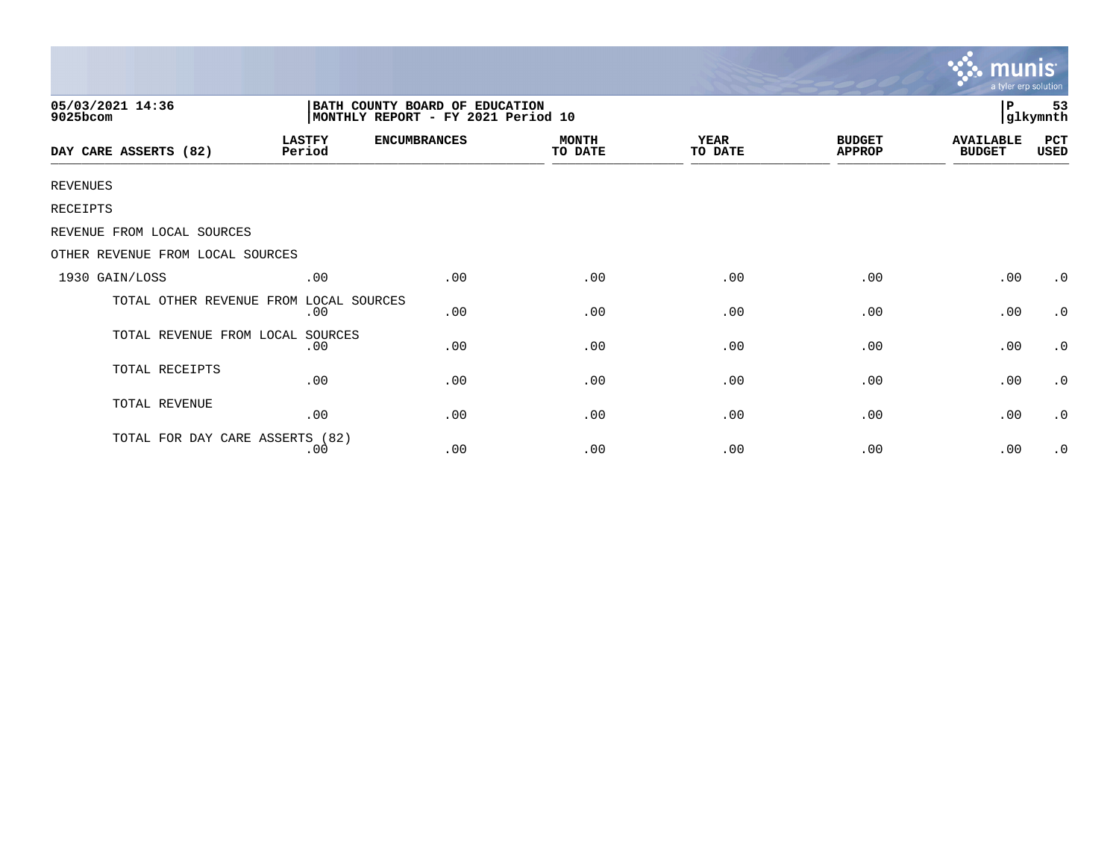|                                  |                                                                       |                     |                         |                 |                                | <b>munis</b><br>a tyler erp solution |                |
|----------------------------------|-----------------------------------------------------------------------|---------------------|-------------------------|-----------------|--------------------------------|--------------------------------------|----------------|
| 05/03/2021 14:36<br>9025bcom     | BATH COUNTY BOARD OF EDUCATION<br> MONTHLY REPORT - FY 2021 Period 10 |                     |                         |                 |                                |                                      | 53<br>glkymnth |
| DAY CARE ASSERTS (82)            | <b>LASTFY</b><br>Period                                               | <b>ENCUMBRANCES</b> | <b>MONTH</b><br>TO DATE | YEAR<br>TO DATE | <b>BUDGET</b><br><b>APPROP</b> | <b>AVAILABLE</b><br><b>BUDGET</b>    | PCT<br>USED    |
| <b>REVENUES</b>                  |                                                                       |                     |                         |                 |                                |                                      |                |
| RECEIPTS                         |                                                                       |                     |                         |                 |                                |                                      |                |
| REVENUE FROM LOCAL SOURCES       |                                                                       |                     |                         |                 |                                |                                      |                |
| OTHER REVENUE FROM LOCAL SOURCES |                                                                       |                     |                         |                 |                                |                                      |                |
| 1930 GAIN/LOSS                   | .00                                                                   | .00                 | .00                     | .00             | .00                            | .00                                  | $\cdot$ 0      |
| TOTAL OTHER REVENUE FROM         | LOCAL SOURCES<br>.00                                                  | .00                 | .00                     | .00             | .00                            | .00                                  | $\cdot$ 0      |
| TOTAL REVENUE FROM LOCAL         | SOURCES<br>.00                                                        | .00                 | .00                     | .00             | .00                            | .00                                  | $\cdot$ 0      |
| TOTAL RECEIPTS                   | .00                                                                   | .00                 | .00                     | .00             | .00                            | .00                                  | $\cdot$ 0      |
| TOTAL REVENUE                    | .00                                                                   | .00                 | .00                     | .00             | .00                            | .00                                  | $\cdot$ 0      |
| TOTAL FOR DAY CARE ASSERTS (82)  | .00                                                                   | .00                 | .00                     | .00             | .00                            | .00                                  | $\cdot$ 0      |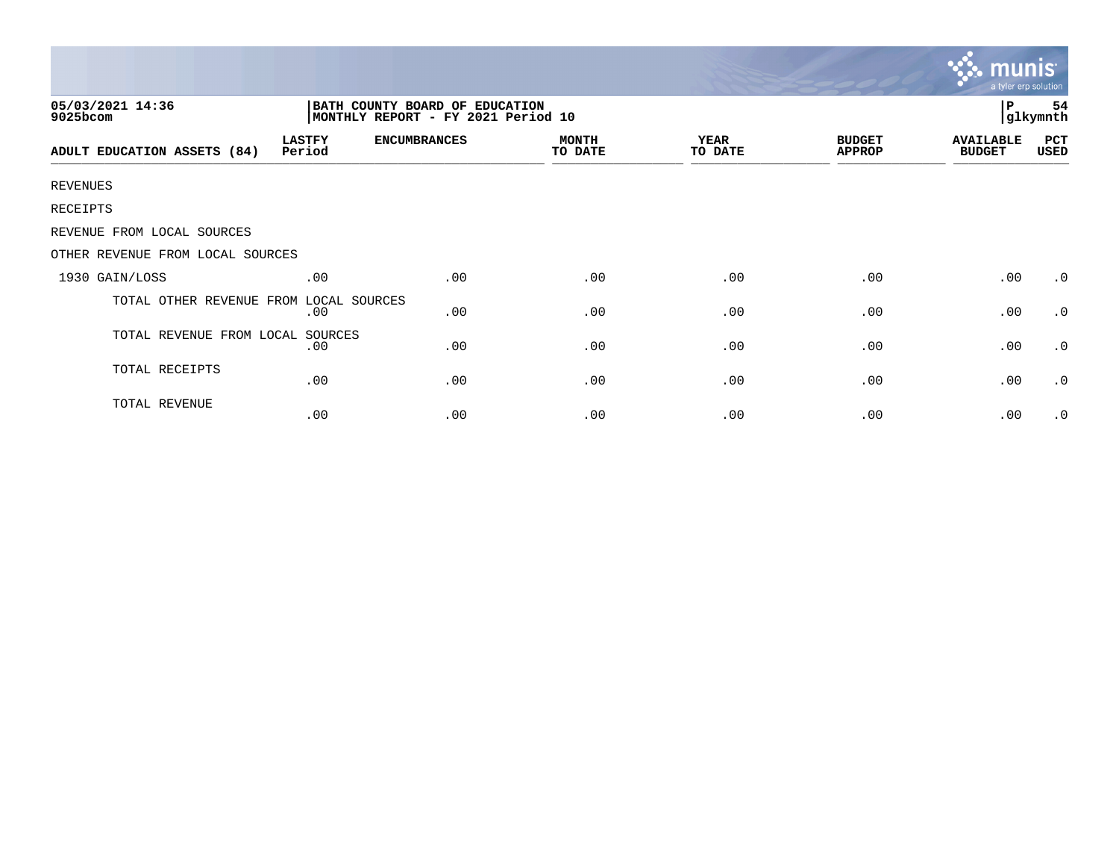|                                        |                                                                      |                     |                         |                        |                                | munis<br>a tyler erp solution     |                |
|----------------------------------------|----------------------------------------------------------------------|---------------------|-------------------------|------------------------|--------------------------------|-----------------------------------|----------------|
| 05/03/2021 14:36<br>9025bcom           | BATH COUNTY BOARD OF EDUCATION<br>MONTHLY REPORT - FY 2021 Period 10 |                     |                         |                        |                                | Р                                 | 54<br>glkymnth |
| ADULT EDUCATION ASSETS (84)            | <b>LASTFY</b><br>Period                                              | <b>ENCUMBRANCES</b> | <b>MONTH</b><br>TO DATE | <b>YEAR</b><br>TO DATE | <b>BUDGET</b><br><b>APPROP</b> | <b>AVAILABLE</b><br><b>BUDGET</b> | PCT<br>USED    |
| <b>REVENUES</b>                        |                                                                      |                     |                         |                        |                                |                                   |                |
| RECEIPTS                               |                                                                      |                     |                         |                        |                                |                                   |                |
| REVENUE FROM LOCAL SOURCES             |                                                                      |                     |                         |                        |                                |                                   |                |
| OTHER REVENUE FROM LOCAL SOURCES       |                                                                      |                     |                         |                        |                                |                                   |                |
| 1930 GAIN/LOSS                         | .00                                                                  | .00                 | .00                     | .00                    | .00                            | .00                               | $\cdot$ 0      |
| TOTAL OTHER REVENUE FROM LOCAL SOURCES | .00                                                                  | .00                 | .00                     | .00                    | .00                            | .00                               | $\cdot$ 0      |
| TOTAL REVENUE FROM LOCAL SOURCES       | .00                                                                  | .00                 | .00                     | .00                    | .00                            | .00                               | .0             |
| TOTAL RECEIPTS                         | .00                                                                  | .00                 | .00                     | .00                    | .00                            | .00                               | $\cdot$ 0      |
| TOTAL REVENUE                          | .00                                                                  | .00                 | .00                     | .00                    | .00                            | .00                               | $\cdot$ 0      |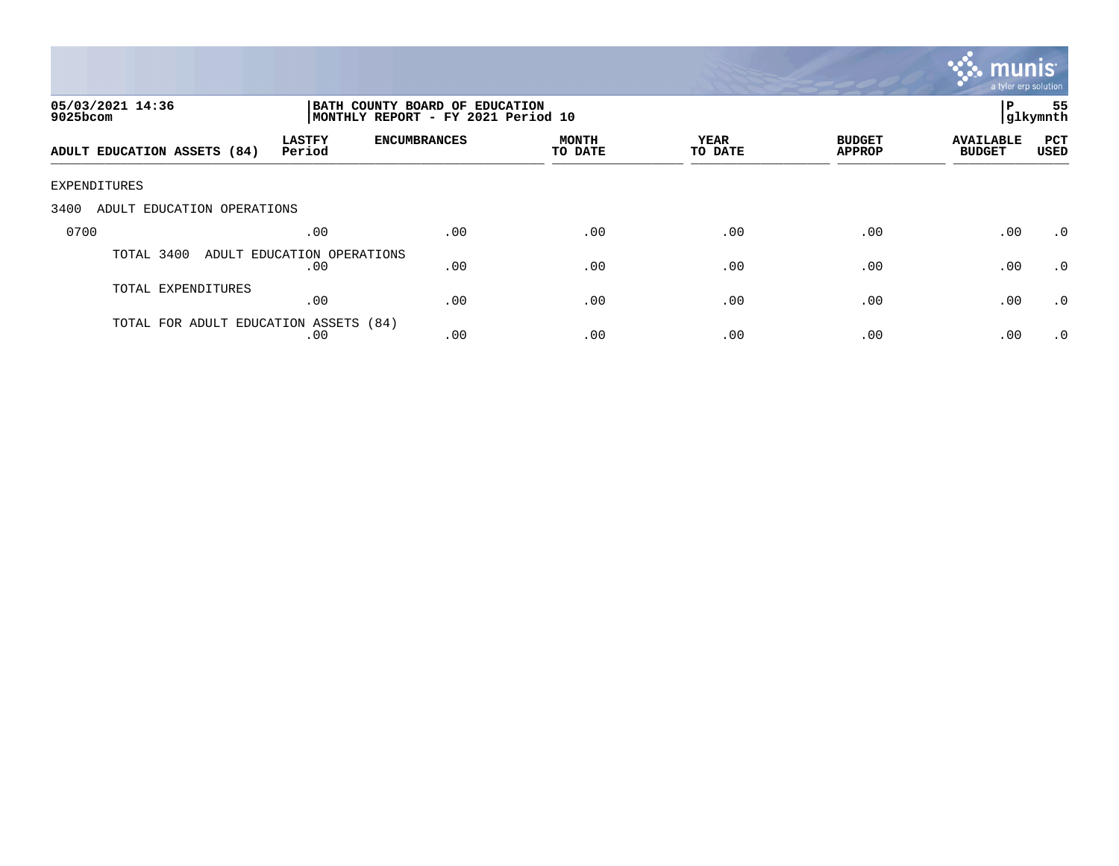

| 05/03/2021 14:36<br>$9025$ bcom       |                                   | P<br>BATH COUNTY BOARD OF EDUCATION<br> glkymnth<br>MONTHLY REPORT - FY 2021 Period 10 |                  |                 |                                |                                   |             |
|---------------------------------------|-----------------------------------|----------------------------------------------------------------------------------------|------------------|-----------------|--------------------------------|-----------------------------------|-------------|
| ADULT EDUCATION ASSETS (84)           | <b>LASTFY</b><br>Period           | <b>ENCUMBRANCES</b>                                                                    | MONTH<br>TO DATE | YEAR<br>TO DATE | <b>BUDGET</b><br><b>APPROP</b> | <b>AVAILABLE</b><br><b>BUDGET</b> | PCT<br>USED |
| EXPENDITURES                          |                                   |                                                                                        |                  |                 |                                |                                   |             |
| 3400<br>ADULT EDUCATION OPERATIONS    |                                   |                                                                                        |                  |                 |                                |                                   |             |
| 0700                                  | .00                               | .00                                                                                    | .00              | .00             | .00                            | .00                               | $\cdot$ 0   |
| TOTAL 3400                            | ADULT EDUCATION OPERATIONS<br>.00 | .00                                                                                    | .00              | .00             | .00                            | .00                               | $\cdot$ 0   |
| TOTAL EXPENDITURES                    | .00                               | .00                                                                                    | .00              | .00             | .00                            | .00                               | $\cdot$ 0   |
| TOTAL FOR ADULT EDUCATION ASSETS (84) | .00                               | .00                                                                                    | .00              | .00             | .00                            | .00                               | $\cdot$ 0   |